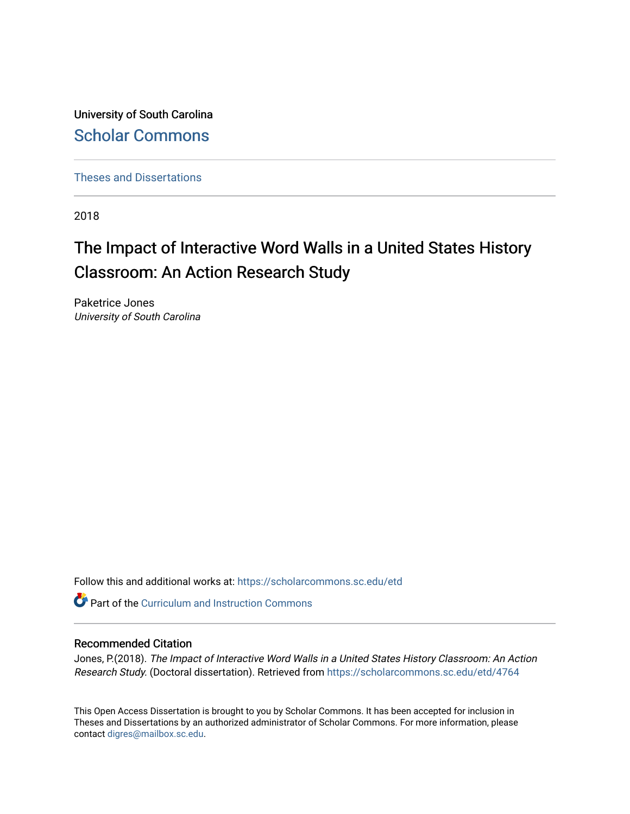University of South Carolina [Scholar Commons](https://scholarcommons.sc.edu/) 

[Theses and Dissertations](https://scholarcommons.sc.edu/etd)

2018

# The Impact of Interactive Word Walls in a United States History Classroom: An Action Research Study

Paketrice Jones University of South Carolina

Follow this and additional works at: [https://scholarcommons.sc.edu/etd](https://scholarcommons.sc.edu/etd?utm_source=scholarcommons.sc.edu%2Fetd%2F4764&utm_medium=PDF&utm_campaign=PDFCoverPages)

**C** Part of the Curriculum and Instruction Commons

## Recommended Citation

Jones, P.(2018). The Impact of Interactive Word Walls in a United States History Classroom: An Action Research Study. (Doctoral dissertation). Retrieved from [https://scholarcommons.sc.edu/etd/4764](https://scholarcommons.sc.edu/etd/4764?utm_source=scholarcommons.sc.edu%2Fetd%2F4764&utm_medium=PDF&utm_campaign=PDFCoverPages) 

This Open Access Dissertation is brought to you by Scholar Commons. It has been accepted for inclusion in Theses and Dissertations by an authorized administrator of Scholar Commons. For more information, please contact [digres@mailbox.sc.edu.](mailto:digres@mailbox.sc.edu)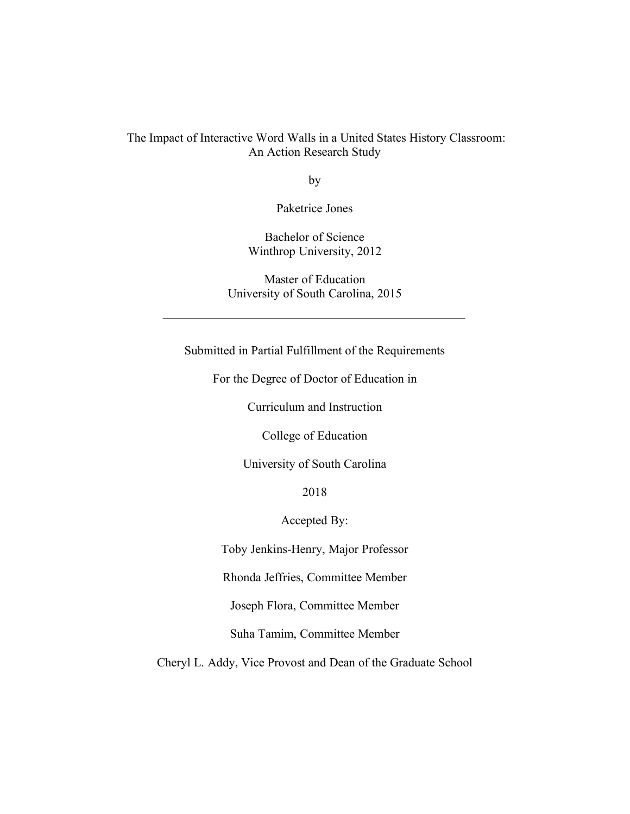# The Impact of Interactive Word Walls in a United States History Classroom: An Action Research Study

by

Paketrice Jones

Bachelor of Science Winthrop University, 2012

Master of Education University of South Carolina, 2015

Submitted in Partial Fulfillment of the Requirements

For the Degree of Doctor of Education in

Curriculum and Instruction

College of Education

University of South Carolina

2018

Accepted By:

Toby Jenkins-Henry, Major Professor

Rhonda Jeffries, Committee Member

Joseph Flora, Committee Member

Suha Tamim, Committee Member

Cheryl L. Addy, Vice Provost and Dean of the Graduate School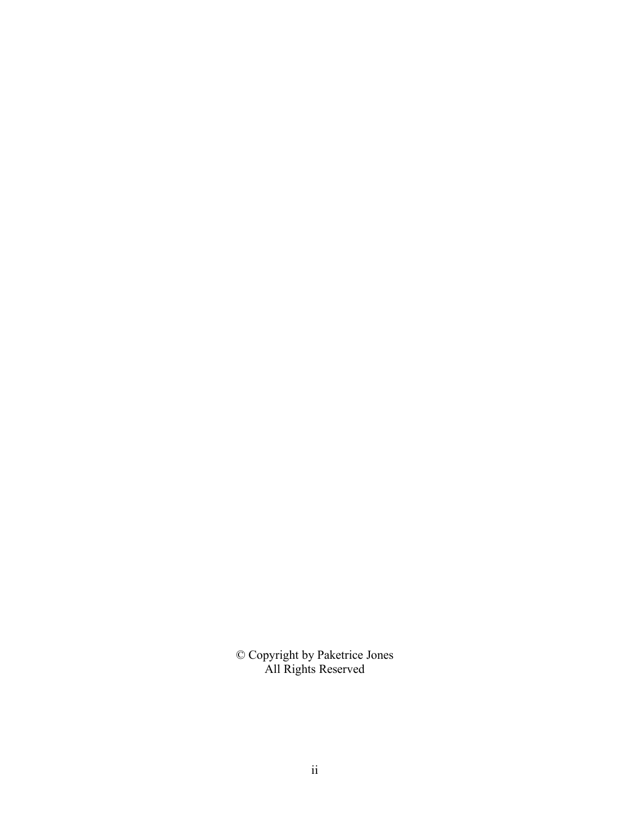© Copyright by Paketrice Jones All Rights Reserved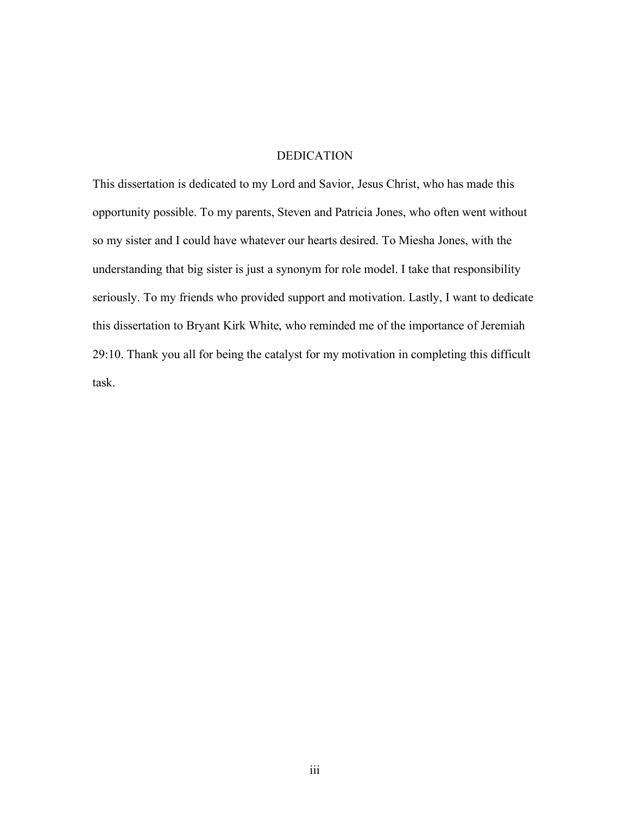# DEDICATION

This dissertation is dedicated to my Lord and Savior, Jesus Christ, who has made this opportunity possible. To my parents, Steven and Patricia Jones, who often went without so my sister and I could have whatever our hearts desired. To Miesha Jones, with the understanding that big sister is just a synonym for role model. I take that responsibility seriously. To my friends who provided support and motivation. Lastly, I want to dedicate this dissertation to Bryant Kirk White, who reminded me of the importance of Jeremiah 29:10. Thank you all for being the catalyst for my motivation in completing this difficult task.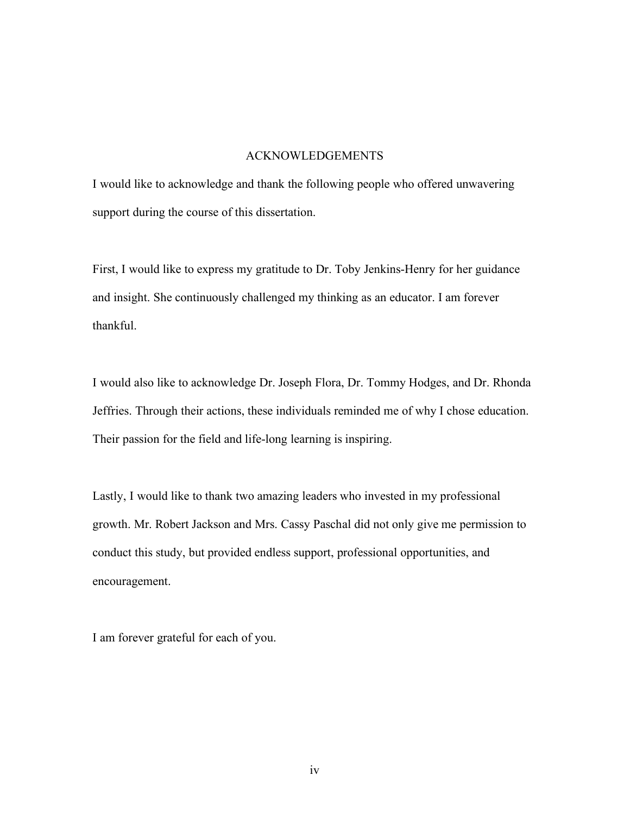#### ACKNOWLEDGEMENTS

I would like to acknowledge and thank the following people who offered unwavering support during the course of this dissertation.

First, I would like to express my gratitude to Dr. Toby Jenkins-Henry for her guidance and insight. She continuously challenged my thinking as an educator. I am forever thankful.

I would also like to acknowledge Dr. Joseph Flora, Dr. Tommy Hodges, and Dr. Rhonda Jeffries. Through their actions, these individuals reminded me of why I chose education. Their passion for the field and life-long learning is inspiring.

Lastly, I would like to thank two amazing leaders who invested in my professional growth. Mr. Robert Jackson and Mrs. Cassy Paschal did not only give me permission to conduct this study, but provided endless support, professional opportunities, and encouragement.

I am forever grateful for each of you.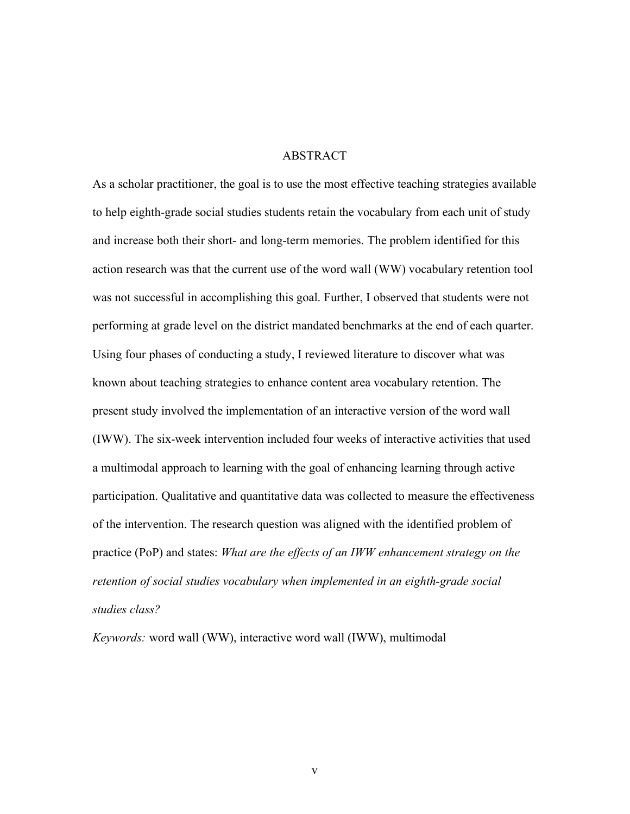## ABSTRACT

As a scholar practitioner, the goal is to use the most effective teaching strategies available to help eighth-grade social studies students retain the vocabulary from each unit of study and increase both their short- and long-term memories. The problem identified for this action research was that the current use of the word wall (WW) vocabulary retention tool was not successful in accomplishing this goal. Further, I observed that students were not performing at grade level on the district mandated benchmarks at the end of each quarter. Using four phases of conducting a study, I reviewed literature to discover what was known about teaching strategies to enhance content area vocabulary retention. The present study involved the implementation of an interactive version of the word wall (IWW). The six-week intervention included four weeks of interactive activities that used a multimodal approach to learning with the goal of enhancing learning through active participation. Qualitative and quantitative data was collected to measure the effectiveness of the intervention. The research question was aligned with the identified problem of practice (PoP) and states: *What are the effects of an IWW enhancement strategy on the retention of social studies vocabulary when implemented in an eighth-grade social studies class?*

*Keywords:* word wall (WW), interactive word wall (IWW), multimodal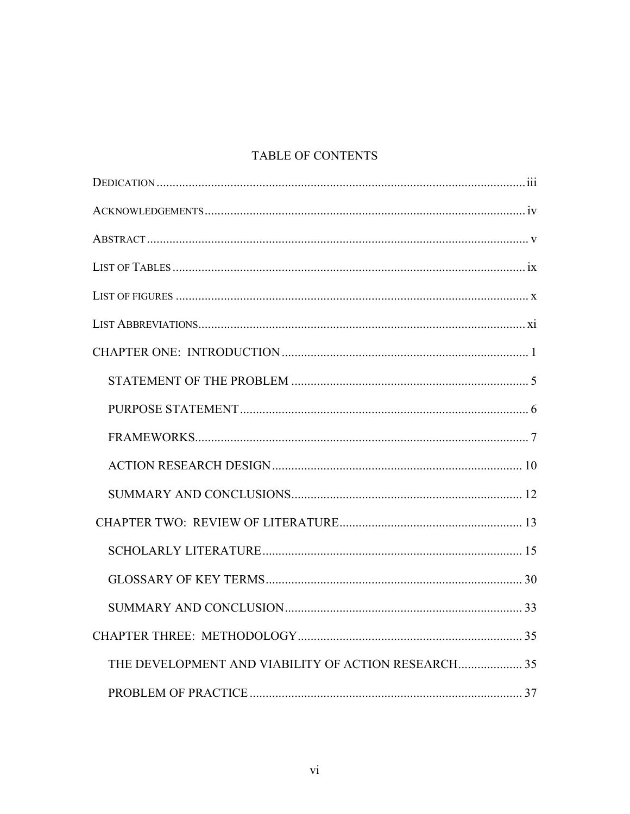# TABLE OF CONTENTS

| THE DEVELOPMENT AND VIABILITY OF ACTION RESEARCH 35 |  |
|-----------------------------------------------------|--|
|                                                     |  |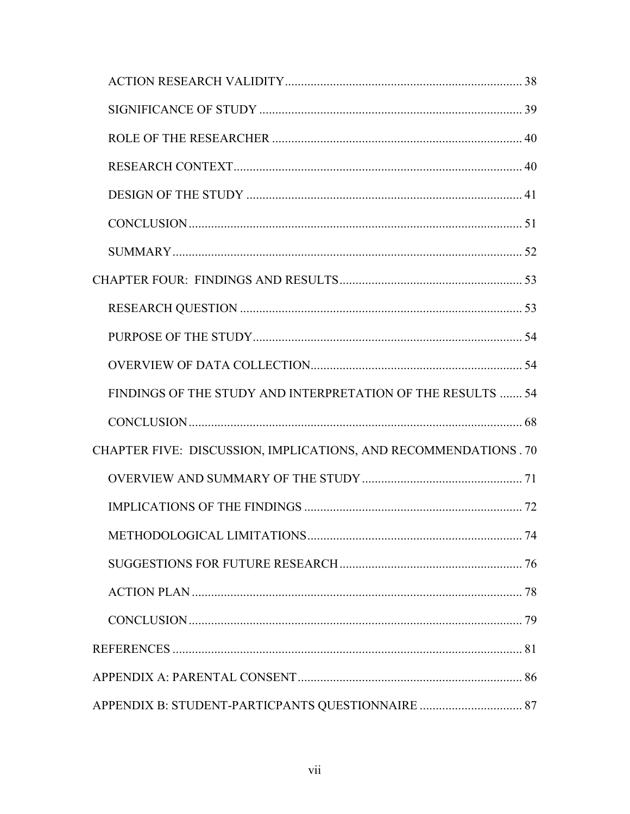| FINDINGS OF THE STUDY AND INTERPRETATION OF THE RESULTS  54     |  |
|-----------------------------------------------------------------|--|
|                                                                 |  |
| CHAPTER FIVE: DISCUSSION, IMPLICATIONS, AND RECOMMENDATIONS. 70 |  |
|                                                                 |  |
|                                                                 |  |
|                                                                 |  |
|                                                                 |  |
|                                                                 |  |
|                                                                 |  |
|                                                                 |  |
|                                                                 |  |
|                                                                 |  |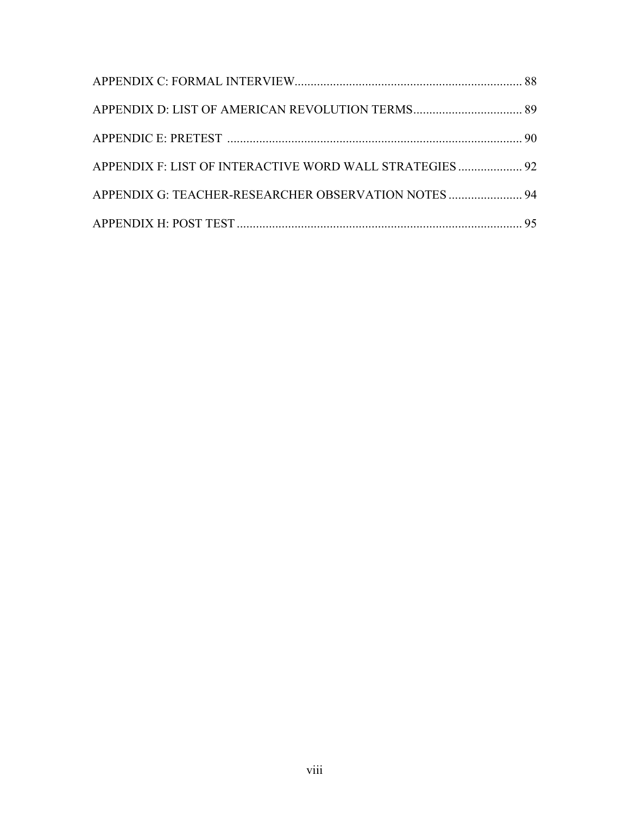| APPENDIX F: LIST OF INTERACTIVE WORD WALL STRATEGIES 92 |  |
|---------------------------------------------------------|--|
| APPENDIX G: TEACHER-RESEARCHER OBSERVATION NOTES  94    |  |
|                                                         |  |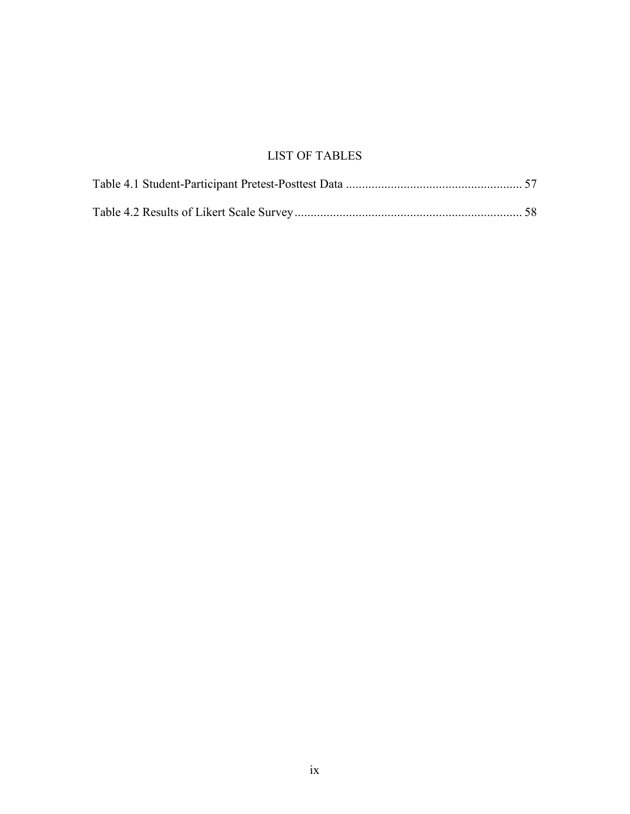# LIST OF TABLES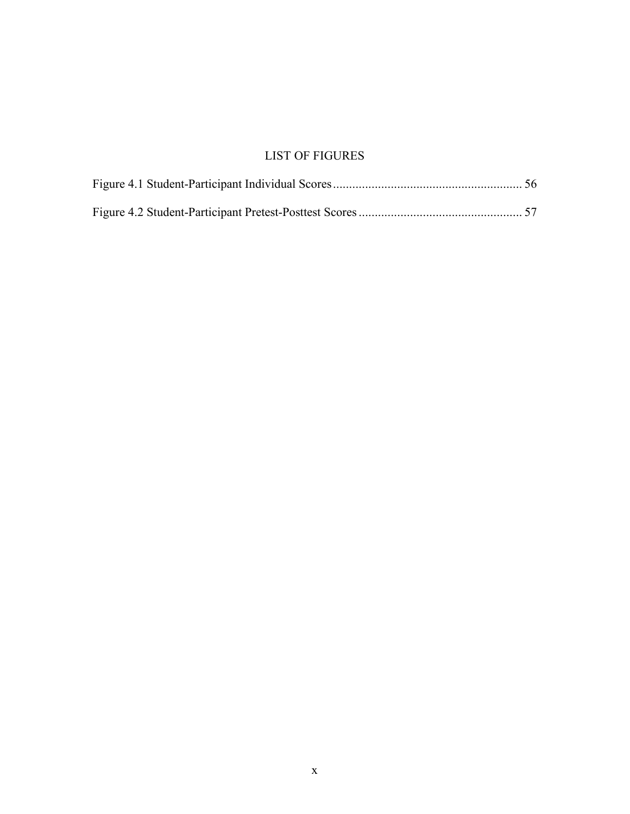# LIST OF FIGURES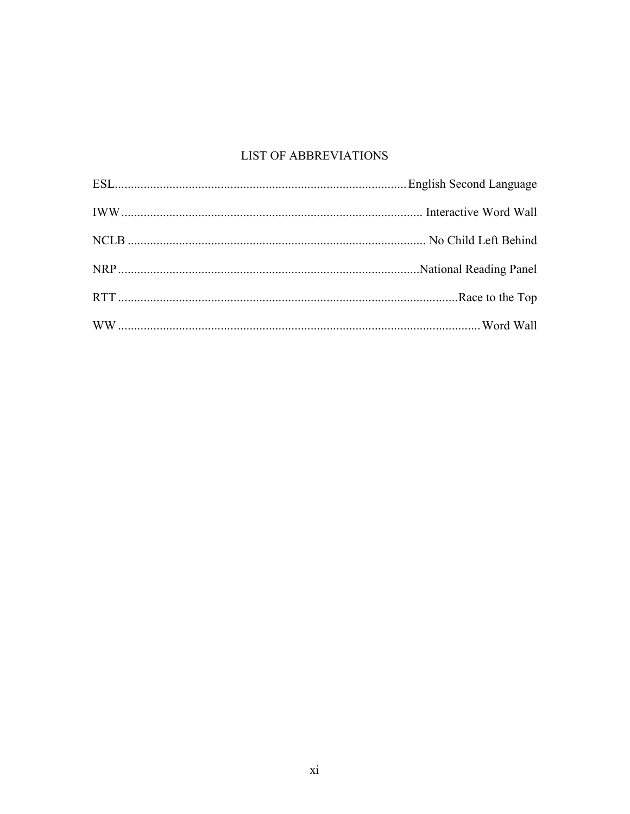# **LIST OF ABBREVIATIONS**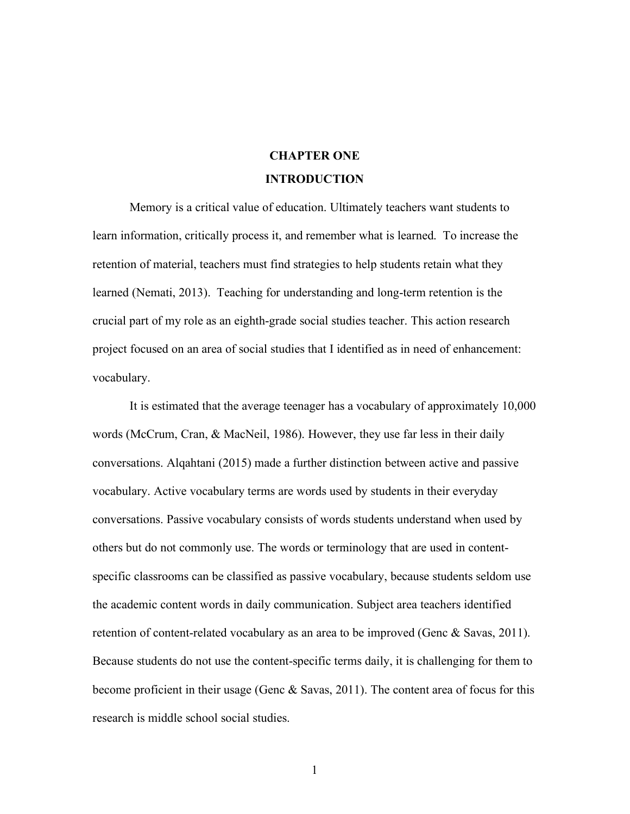# **CHAPTER ONE INTRODUCTION**

Memory is a critical value of education. Ultimately teachers want students to learn information, critically process it, and remember what is learned. To increase the retention of material, teachers must find strategies to help students retain what they learned (Nemati, 2013). Teaching for understanding and long-term retention is the crucial part of my role as an eighth-grade social studies teacher. This action research project focused on an area of social studies that I identified as in need of enhancement: vocabulary.

It is estimated that the average teenager has a vocabulary of approximately 10,000 words (McCrum, Cran, & MacNeil, 1986). However, they use far less in their daily conversations. Alqahtani (2015) made a further distinction between active and passive vocabulary. Active vocabulary terms are words used by students in their everyday conversations. Passive vocabulary consists of words students understand when used by others but do not commonly use. The words or terminology that are used in contentspecific classrooms can be classified as passive vocabulary, because students seldom use the academic content words in daily communication. Subject area teachers identified retention of content-related vocabulary as an area to be improved (Genc & Savas, 2011). Because students do not use the content-specific terms daily, it is challenging for them to become proficient in their usage (Genc & Savas, 2011). The content area of focus for this research is middle school social studies.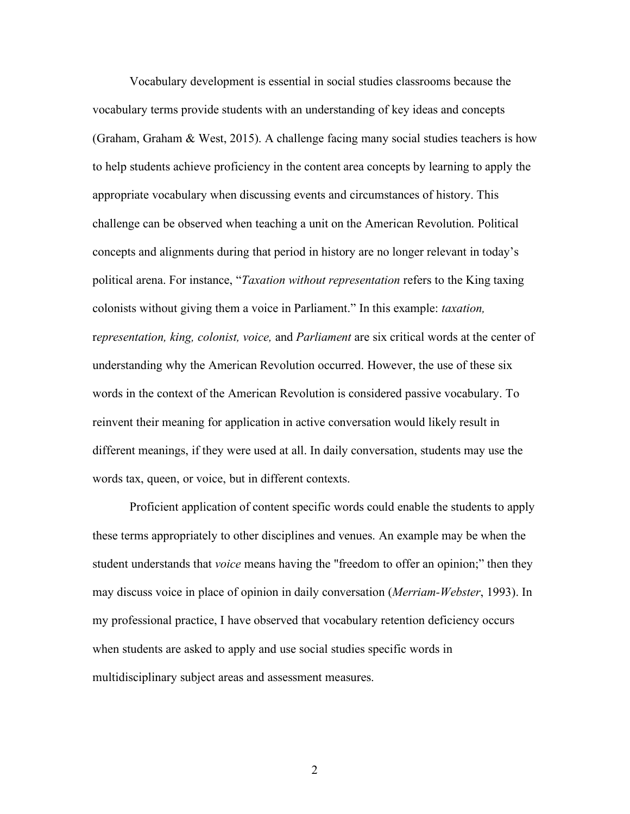Vocabulary development is essential in social studies classrooms because the vocabulary terms provide students with an understanding of key ideas and concepts (Graham, Graham & West, 2015). A challenge facing many social studies teachers is how to help students achieve proficiency in the content area concepts by learning to apply the appropriate vocabulary when discussing events and circumstances of history. This challenge can be observed when teaching a unit on the American Revolution. Political concepts and alignments during that period in history are no longer relevant in today's political arena. For instance, "*Taxation without representation* refers to the King taxing colonists without giving them a voice in Parliament." In this example: *taxation,* r*epresentation, king, colonist, voice,* and *Parliament* are six critical words at the center of understanding why the American Revolution occurred. However, the use of these six words in the context of the American Revolution is considered passive vocabulary. To reinvent their meaning for application in active conversation would likely result in different meanings, if they were used at all. In daily conversation, students may use the words tax, queen, or voice, but in different contexts.

Proficient application of content specific words could enable the students to apply these terms appropriately to other disciplines and venues. An example may be when the student understands that *voice* means having the "freedom to offer an opinion;" then they may discuss voice in place of opinion in daily conversation (*Merriam-Webster*, 1993). In my professional practice, I have observed that vocabulary retention deficiency occurs when students are asked to apply and use social studies specific words in multidisciplinary subject areas and assessment measures.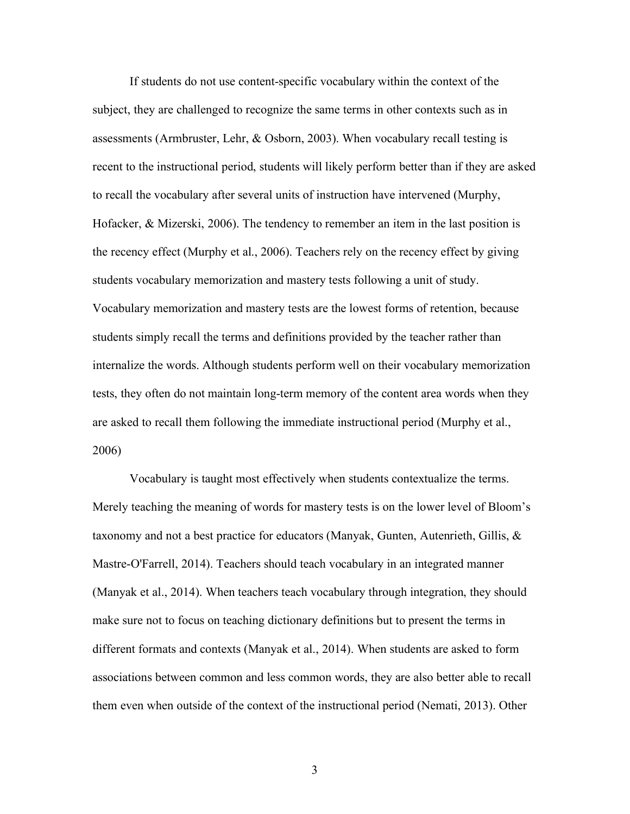If students do not use content-specific vocabulary within the context of the subject, they are challenged to recognize the same terms in other contexts such as in assessments (Armbruster, Lehr, & Osborn, 2003). When vocabulary recall testing is recent to the instructional period, students will likely perform better than if they are asked to recall the vocabulary after several units of instruction have intervened (Murphy, Hofacker, & Mizerski, 2006). The tendency to remember an item in the last position is the recency effect (Murphy et al., 2006). Teachers rely on the recency effect by giving students vocabulary memorization and mastery tests following a unit of study. Vocabulary memorization and mastery tests are the lowest forms of retention, because students simply recall the terms and definitions provided by the teacher rather than internalize the words. Although students perform well on their vocabulary memorization tests, they often do not maintain long-term memory of the content area words when they are asked to recall them following the immediate instructional period (Murphy et al., 2006)

Vocabulary is taught most effectively when students contextualize the terms. Merely teaching the meaning of words for mastery tests is on the lower level of Bloom's taxonomy and not a best practice for educators (Manyak, Gunten, Autenrieth, Gillis, & Mastre-O'Farrell, 2014). Teachers should teach vocabulary in an integrated manner (Manyak et al., 2014). When teachers teach vocabulary through integration, they should make sure not to focus on teaching dictionary definitions but to present the terms in different formats and contexts (Manyak et al., 2014). When students are asked to form associations between common and less common words, they are also better able to recall them even when outside of the context of the instructional period (Nemati, 2013). Other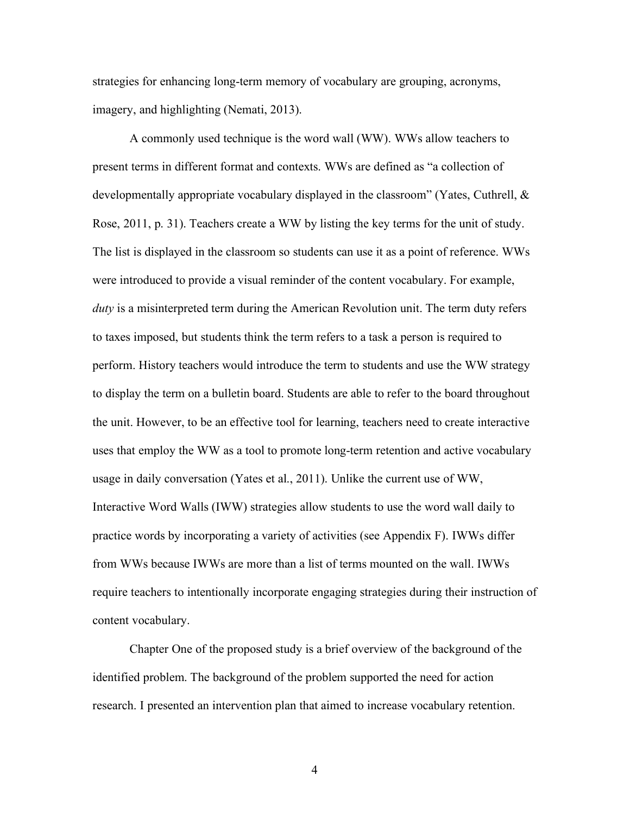strategies for enhancing long-term memory of vocabulary are grouping, acronyms, imagery, and highlighting (Nemati, 2013).

A commonly used technique is the word wall (WW). WWs allow teachers to present terms in different format and contexts. WWs are defined as "a collection of developmentally appropriate vocabulary displayed in the classroom" (Yates, Cuthrell, & Rose, 2011, p. 31). Teachers create a WW by listing the key terms for the unit of study. The list is displayed in the classroom so students can use it as a point of reference. WWs were introduced to provide a visual reminder of the content vocabulary. For example, *duty* is a misinterpreted term during the American Revolution unit. The term duty refers to taxes imposed, but students think the term refers to a task a person is required to perform. History teachers would introduce the term to students and use the WW strategy to display the term on a bulletin board. Students are able to refer to the board throughout the unit. However, to be an effective tool for learning, teachers need to create interactive uses that employ the WW as a tool to promote long-term retention and active vocabulary usage in daily conversation (Yates et al., 2011). Unlike the current use of WW, Interactive Word Walls (IWW) strategies allow students to use the word wall daily to practice words by incorporating a variety of activities (see Appendix F). IWWs differ from WWs because IWWs are more than a list of terms mounted on the wall. IWWs require teachers to intentionally incorporate engaging strategies during their instruction of content vocabulary.

 Chapter One of the proposed study is a brief overview of the background of the identified problem. The background of the problem supported the need for action research. I presented an intervention plan that aimed to increase vocabulary retention.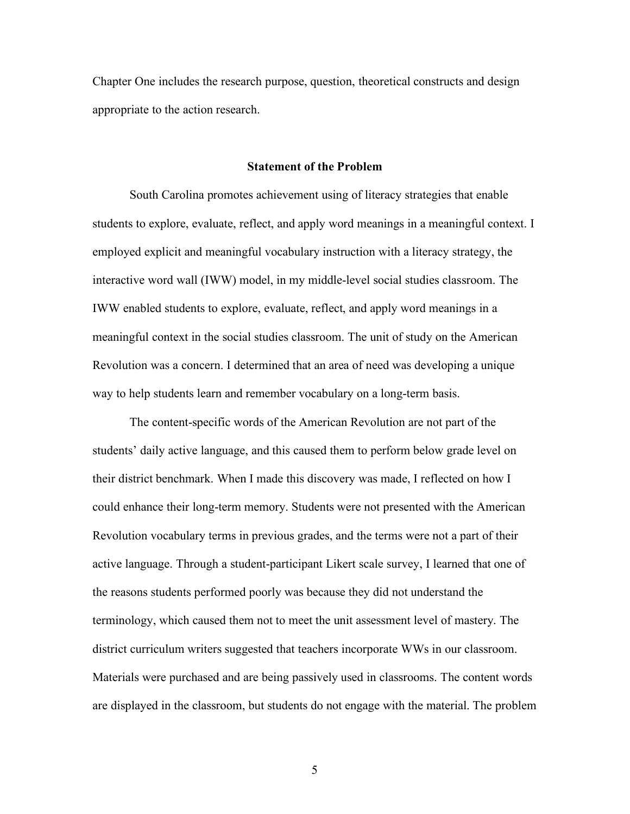Chapter One includes the research purpose, question, theoretical constructs and design appropriate to the action research.

#### **Statement of the Problem**

South Carolina promotes achievement using of literacy strategies that enable students to explore, evaluate, reflect, and apply word meanings in a meaningful context. I employed explicit and meaningful vocabulary instruction with a literacy strategy, the interactive word wall (IWW) model, in my middle-level social studies classroom. The IWW enabled students to explore, evaluate, reflect, and apply word meanings in a meaningful context in the social studies classroom. The unit of study on the American Revolution was a concern. I determined that an area of need was developing a unique way to help students learn and remember vocabulary on a long-term basis.

The content-specific words of the American Revolution are not part of the students' daily active language, and this caused them to perform below grade level on their district benchmark. When I made this discovery was made, I reflected on how I could enhance their long-term memory. Students were not presented with the American Revolution vocabulary terms in previous grades, and the terms were not a part of their active language. Through a student-participant Likert scale survey, I learned that one of the reasons students performed poorly was because they did not understand the terminology, which caused them not to meet the unit assessment level of mastery. The district curriculum writers suggested that teachers incorporate WWs in our classroom. Materials were purchased and are being passively used in classrooms. The content words are displayed in the classroom, but students do not engage with the material. The problem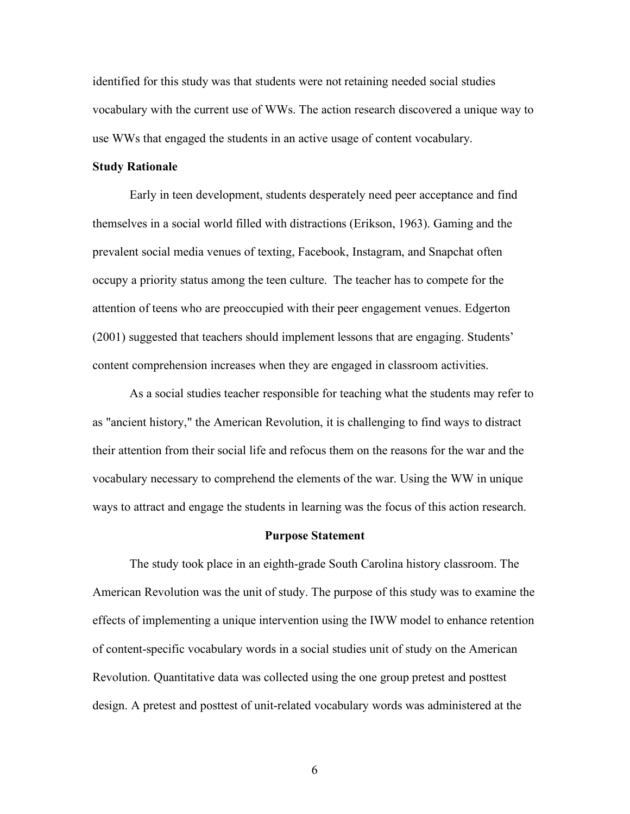identified for this study was that students were not retaining needed social studies vocabulary with the current use of WWs. The action research discovered a unique way to use WWs that engaged the students in an active usage of content vocabulary.

#### **Study Rationale**

Early in teen development, students desperately need peer acceptance and find themselves in a social world filled with distractions (Erikson, 1963). Gaming and the prevalent social media venues of texting, Facebook, Instagram, and Snapchat often occupy a priority status among the teen culture. The teacher has to compete for the attention of teens who are preoccupied with their peer engagement venues. Edgerton (2001) suggested that teachers should implement lessons that are engaging. Students' content comprehension increases when they are engaged in classroom activities.

 As a social studies teacher responsible for teaching what the students may refer to as "ancient history," the American Revolution, it is challenging to find ways to distract their attention from their social life and refocus them on the reasons for the war and the vocabulary necessary to comprehend the elements of the war. Using the WW in unique ways to attract and engage the students in learning was the focus of this action research.

#### **Purpose Statement**

The study took place in an eighth-grade South Carolina history classroom. The American Revolution was the unit of study. The purpose of this study was to examine the effects of implementing a unique intervention using the IWW model to enhance retention of content-specific vocabulary words in a social studies unit of study on the American Revolution. Quantitative data was collected using the one group pretest and posttest design. A pretest and posttest of unit-related vocabulary words was administered at the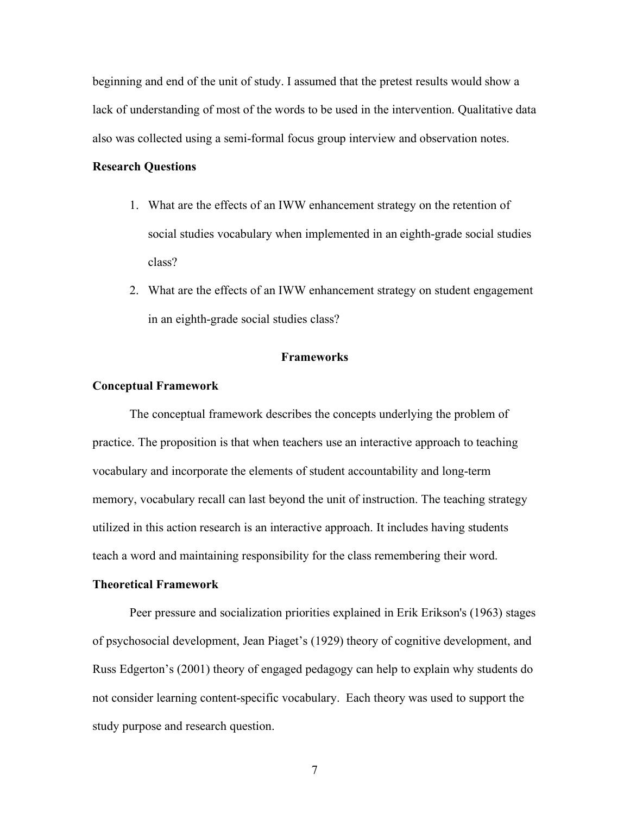beginning and end of the unit of study. I assumed that the pretest results would show a lack of understanding of most of the words to be used in the intervention. Qualitative data also was collected using a semi-formal focus group interview and observation notes.

## **Research Questions**

- 1. What are the effects of an IWW enhancement strategy on the retention of social studies vocabulary when implemented in an eighth-grade social studies class?
- 2. What are the effects of an IWW enhancement strategy on student engagement in an eighth-grade social studies class?

# **Frameworks**

#### **Conceptual Framework**

The conceptual framework describes the concepts underlying the problem of practice. The proposition is that when teachers use an interactive approach to teaching vocabulary and incorporate the elements of student accountability and long-term memory, vocabulary recall can last beyond the unit of instruction. The teaching strategy utilized in this action research is an interactive approach. It includes having students teach a word and maintaining responsibility for the class remembering their word.

#### **Theoretical Framework**

Peer pressure and socialization priorities explained in Erik Erikson's (1963) stages of psychosocial development, Jean Piaget's (1929) theory of cognitive development, and Russ Edgerton's (2001) theory of engaged pedagogy can help to explain why students do not consider learning content-specific vocabulary. Each theory was used to support the study purpose and research question.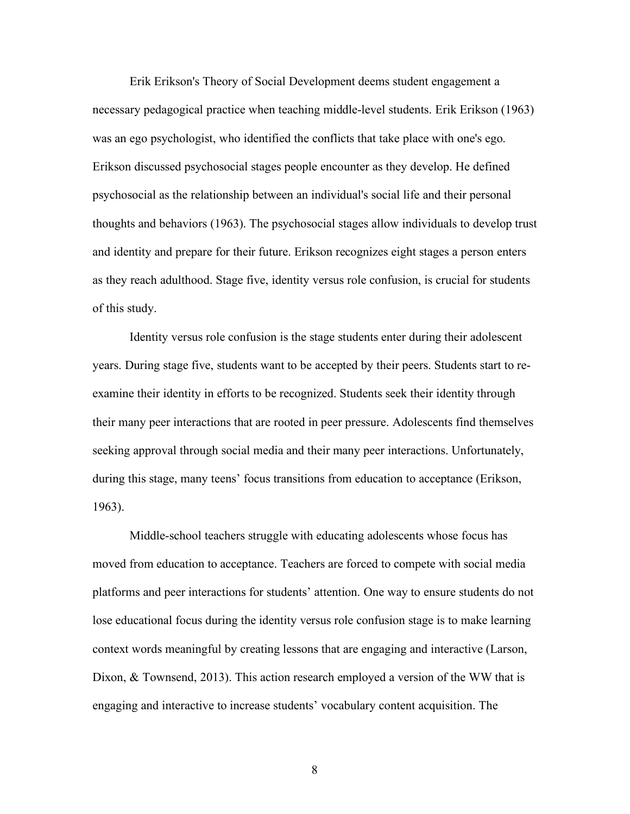Erik Erikson's Theory of Social Development deems student engagement a necessary pedagogical practice when teaching middle-level students. Erik Erikson (1963) was an ego psychologist, who identified the conflicts that take place with one's ego. Erikson discussed psychosocial stages people encounter as they develop. He defined psychosocial as the relationship between an individual's social life and their personal thoughts and behaviors (1963). The psychosocial stages allow individuals to develop trust and identity and prepare for their future. Erikson recognizes eight stages a person enters as they reach adulthood. Stage five, identity versus role confusion, is crucial for students of this study.

Identity versus role confusion is the stage students enter during their adolescent years. During stage five, students want to be accepted by their peers. Students start to reexamine their identity in efforts to be recognized. Students seek their identity through their many peer interactions that are rooted in peer pressure. Adolescents find themselves seeking approval through social media and their many peer interactions. Unfortunately, during this stage, many teens' focus transitions from education to acceptance (Erikson, 1963).

Middle-school teachers struggle with educating adolescents whose focus has moved from education to acceptance. Teachers are forced to compete with social media platforms and peer interactions for students' attention. One way to ensure students do not lose educational focus during the identity versus role confusion stage is to make learning context words meaningful by creating lessons that are engaging and interactive (Larson, Dixon, & Townsend, 2013). This action research employed a version of the WW that is engaging and interactive to increase students' vocabulary content acquisition. The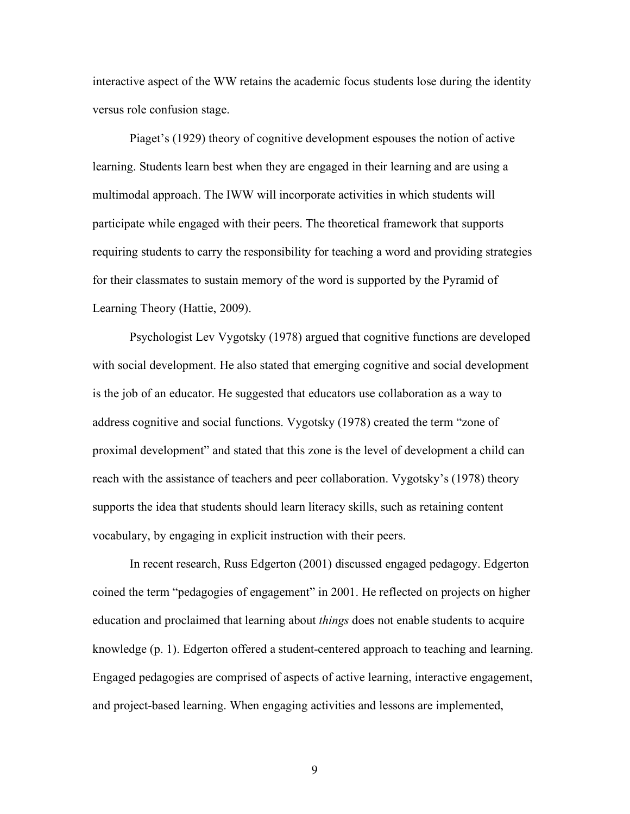interactive aspect of the WW retains the academic focus students lose during the identity versus role confusion stage.

Piaget's (1929) theory of cognitive development espouses the notion of active learning. Students learn best when they are engaged in their learning and are using a multimodal approach. The IWW will incorporate activities in which students will participate while engaged with their peers. The theoretical framework that supports requiring students to carry the responsibility for teaching a word and providing strategies for their classmates to sustain memory of the word is supported by the Pyramid of Learning Theory (Hattie, 2009).

Psychologist Lev Vygotsky (1978) argued that cognitive functions are developed with social development. He also stated that emerging cognitive and social development is the job of an educator. He suggested that educators use collaboration as a way to address cognitive and social functions. Vygotsky (1978) created the term "zone of proximal development" and stated that this zone is the level of development a child can reach with the assistance of teachers and peer collaboration. Vygotsky's (1978) theory supports the idea that students should learn literacy skills, such as retaining content vocabulary, by engaging in explicit instruction with their peers.

In recent research, Russ Edgerton (2001) discussed engaged pedagogy. Edgerton coined the term "pedagogies of engagement" in 2001. He reflected on projects on higher education and proclaimed that learning about *things* does not enable students to acquire knowledge (p. 1). Edgerton offered a student-centered approach to teaching and learning. Engaged pedagogies are comprised of aspects of active learning, interactive engagement, and project-based learning. When engaging activities and lessons are implemented,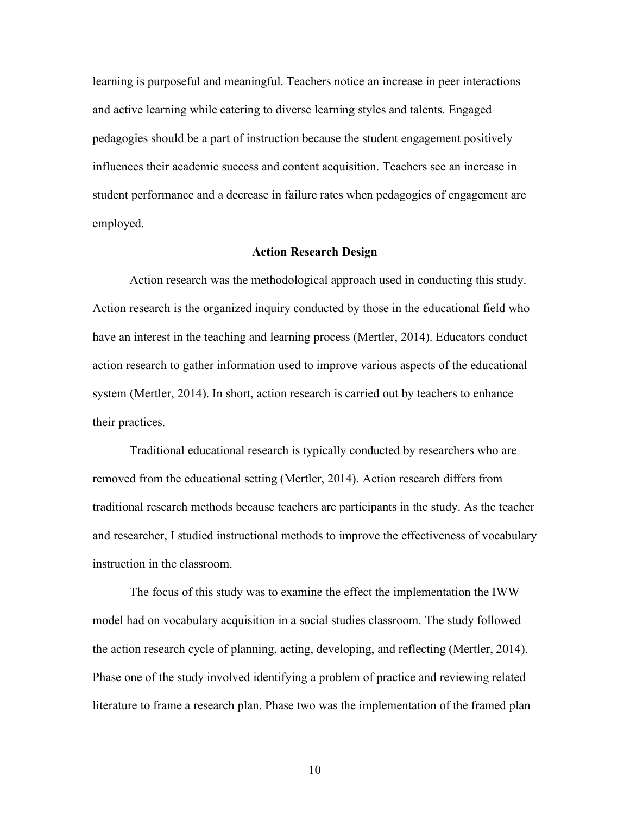learning is purposeful and meaningful. Teachers notice an increase in peer interactions and active learning while catering to diverse learning styles and talents. Engaged pedagogies should be a part of instruction because the student engagement positively influences their academic success and content acquisition. Teachers see an increase in student performance and a decrease in failure rates when pedagogies of engagement are employed.

#### **Action Research Design**

Action research was the methodological approach used in conducting this study. Action research is the organized inquiry conducted by those in the educational field who have an interest in the teaching and learning process (Mertler, 2014). Educators conduct action research to gather information used to improve various aspects of the educational system (Mertler, 2014). In short, action research is carried out by teachers to enhance their practices.

Traditional educational research is typically conducted by researchers who are removed from the educational setting (Mertler, 2014). Action research differs from traditional research methods because teachers are participants in the study. As the teacher and researcher, I studied instructional methods to improve the effectiveness of vocabulary instruction in the classroom.

The focus of this study was to examine the effect the implementation the IWW model had on vocabulary acquisition in a social studies classroom. The study followed the action research cycle of planning, acting, developing, and reflecting (Mertler, 2014). Phase one of the study involved identifying a problem of practice and reviewing related literature to frame a research plan. Phase two was the implementation of the framed plan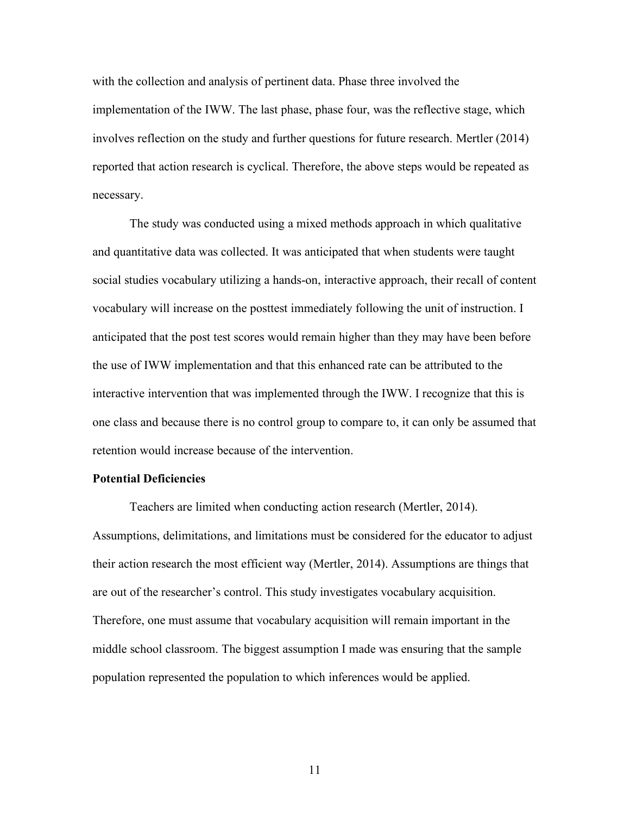with the collection and analysis of pertinent data. Phase three involved the implementation of the IWW. The last phase, phase four, was the reflective stage, which involves reflection on the study and further questions for future research. Mertler (2014) reported that action research is cyclical. Therefore, the above steps would be repeated as necessary.

The study was conducted using a mixed methods approach in which qualitative and quantitative data was collected. It was anticipated that when students were taught social studies vocabulary utilizing a hands-on, interactive approach, their recall of content vocabulary will increase on the posttest immediately following the unit of instruction. I anticipated that the post test scores would remain higher than they may have been before the use of IWW implementation and that this enhanced rate can be attributed to the interactive intervention that was implemented through the IWW. I recognize that this is one class and because there is no control group to compare to, it can only be assumed that retention would increase because of the intervention.

#### **Potential Deficiencies**

Teachers are limited when conducting action research (Mertler, 2014). Assumptions, delimitations, and limitations must be considered for the educator to adjust their action research the most efficient way (Mertler, 2014). Assumptions are things that are out of the researcher's control. This study investigates vocabulary acquisition. Therefore, one must assume that vocabulary acquisition will remain important in the middle school classroom. The biggest assumption I made was ensuring that the sample population represented the population to which inferences would be applied.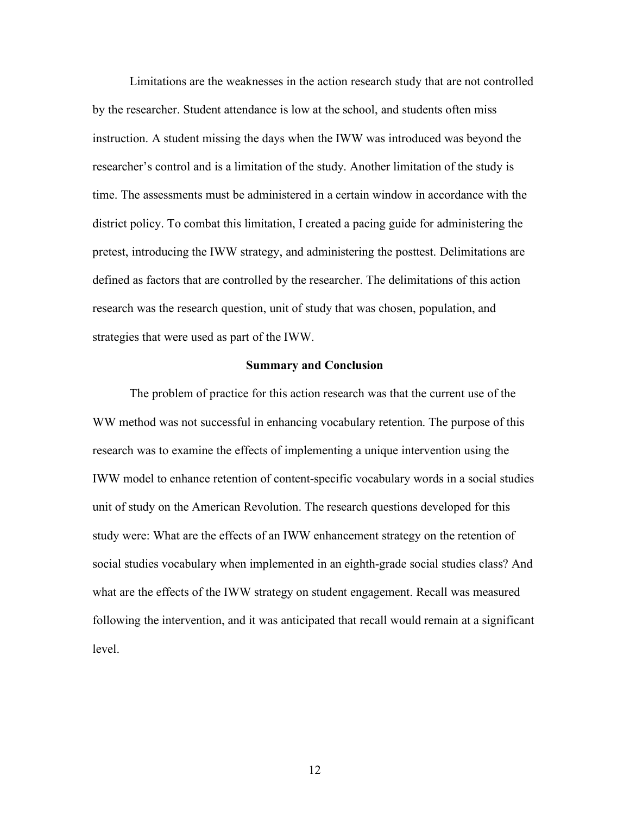Limitations are the weaknesses in the action research study that are not controlled by the researcher. Student attendance is low at the school, and students often miss instruction. A student missing the days when the IWW was introduced was beyond the researcher's control and is a limitation of the study. Another limitation of the study is time. The assessments must be administered in a certain window in accordance with the district policy. To combat this limitation, I created a pacing guide for administering the pretest, introducing the IWW strategy, and administering the posttest. Delimitations are defined as factors that are controlled by the researcher. The delimitations of this action research was the research question, unit of study that was chosen, population, and strategies that were used as part of the IWW.

#### **Summary and Conclusion**

The problem of practice for this action research was that the current use of the WW method was not successful in enhancing vocabulary retention. The purpose of this research was to examine the effects of implementing a unique intervention using the IWW model to enhance retention of content-specific vocabulary words in a social studies unit of study on the American Revolution. The research questions developed for this study were: What are the effects of an IWW enhancement strategy on the retention of social studies vocabulary when implemented in an eighth-grade social studies class? And what are the effects of the IWW strategy on student engagement. Recall was measured following the intervention, and it was anticipated that recall would remain at a significant level.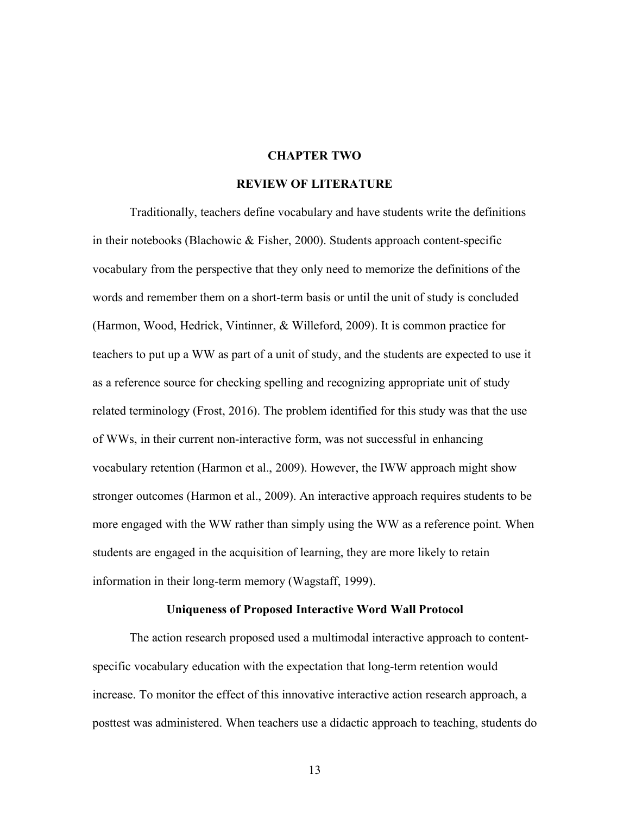## **CHAPTER TWO**

#### **REVIEW OF LITERATURE**

Traditionally, teachers define vocabulary and have students write the definitions in their notebooks (Blachowic & Fisher, 2000). Students approach content-specific vocabulary from the perspective that they only need to memorize the definitions of the words and remember them on a short-term basis or until the unit of study is concluded (Harmon, Wood, Hedrick, Vintinner, & Willeford, 2009). It is common practice for teachers to put up a WW as part of a unit of study, and the students are expected to use it as a reference source for checking spelling and recognizing appropriate unit of study related terminology (Frost, 2016). The problem identified for this study was that the use of WWs, in their current non-interactive form, was not successful in enhancing vocabulary retention (Harmon et al., 2009). However, the IWW approach might show stronger outcomes (Harmon et al., 2009). An interactive approach requires students to be more engaged with the WW rather than simply using the WW as a reference point. When students are engaged in the acquisition of learning, they are more likely to retain information in their long-term memory (Wagstaff, 1999).

# **Uniqueness of Proposed Interactive Word Wall Protocol**

The action research proposed used a multimodal interactive approach to contentspecific vocabulary education with the expectation that long-term retention would increase. To monitor the effect of this innovative interactive action research approach, a posttest was administered. When teachers use a didactic approach to teaching, students do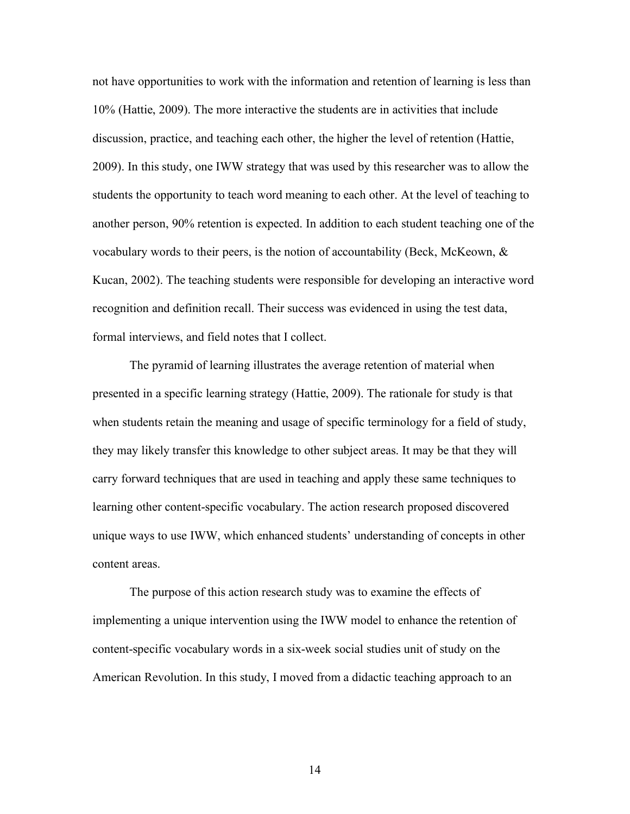not have opportunities to work with the information and retention of learning is less than 10% (Hattie, 2009). The more interactive the students are in activities that include discussion, practice, and teaching each other, the higher the level of retention (Hattie, 2009). In this study, one IWW strategy that was used by this researcher was to allow the students the opportunity to teach word meaning to each other. At the level of teaching to another person, 90% retention is expected. In addition to each student teaching one of the vocabulary words to their peers, is the notion of accountability (Beck, McKeown,  $\&$ Kucan, 2002). The teaching students were responsible for developing an interactive word recognition and definition recall. Their success was evidenced in using the test data, formal interviews, and field notes that I collect.

The pyramid of learning illustrates the average retention of material when presented in a specific learning strategy (Hattie, 2009). The rationale for study is that when students retain the meaning and usage of specific terminology for a field of study, they may likely transfer this knowledge to other subject areas. It may be that they will carry forward techniques that are used in teaching and apply these same techniques to learning other content-specific vocabulary. The action research proposed discovered unique ways to use IWW, which enhanced students' understanding of concepts in other content areas.

The purpose of this action research study was to examine the effects of implementing a unique intervention using the IWW model to enhance the retention of content-specific vocabulary words in a six-week social studies unit of study on the American Revolution. In this study, I moved from a didactic teaching approach to an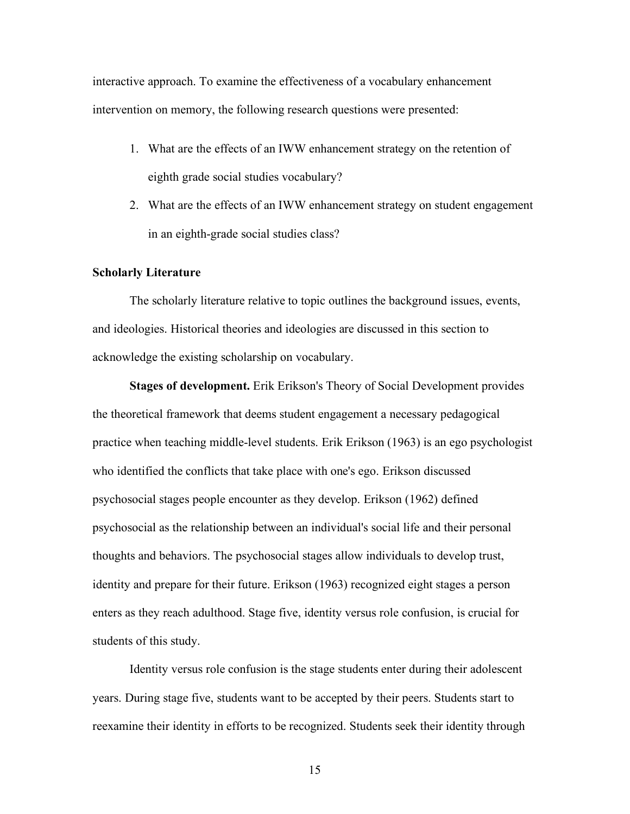interactive approach. To examine the effectiveness of a vocabulary enhancement intervention on memory, the following research questions were presented:

- 1. What are the effects of an IWW enhancement strategy on the retention of eighth grade social studies vocabulary?
- 2. What are the effects of an IWW enhancement strategy on student engagement in an eighth-grade social studies class?

## **Scholarly Literature**

The scholarly literature relative to topic outlines the background issues, events, and ideologies. Historical theories and ideologies are discussed in this section to acknowledge the existing scholarship on vocabulary.

**Stages of development.** Erik Erikson's Theory of Social Development provides the theoretical framework that deems student engagement a necessary pedagogical practice when teaching middle-level students. Erik Erikson (1963) is an ego psychologist who identified the conflicts that take place with one's ego. Erikson discussed psychosocial stages people encounter as they develop. Erikson (1962) defined psychosocial as the relationship between an individual's social life and their personal thoughts and behaviors. The psychosocial stages allow individuals to develop trust, identity and prepare for their future. Erikson (1963) recognized eight stages a person enters as they reach adulthood. Stage five, identity versus role confusion, is crucial for students of this study.

Identity versus role confusion is the stage students enter during their adolescent years. During stage five, students want to be accepted by their peers. Students start to reexamine their identity in efforts to be recognized. Students seek their identity through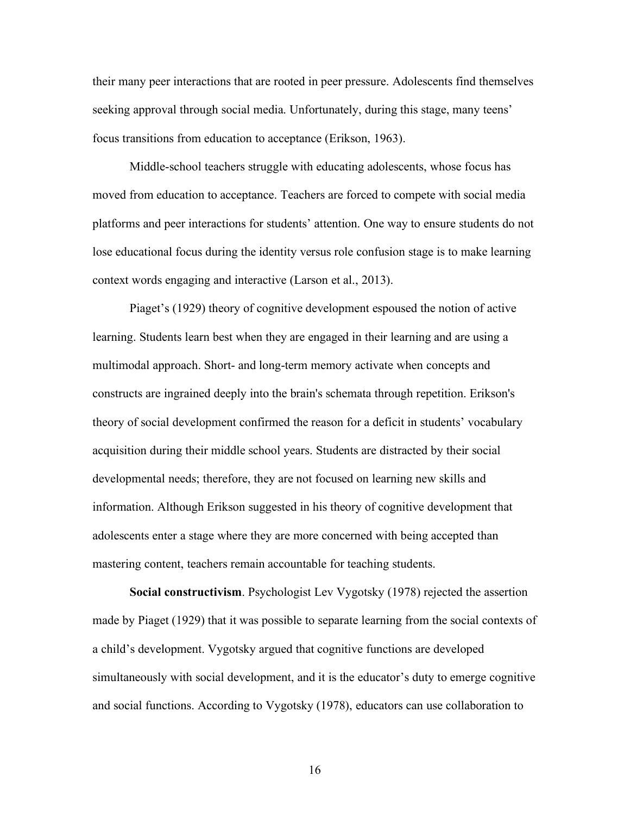their many peer interactions that are rooted in peer pressure. Adolescents find themselves seeking approval through social media. Unfortunately, during this stage, many teens' focus transitions from education to acceptance (Erikson, 1963).

Middle-school teachers struggle with educating adolescents, whose focus has moved from education to acceptance. Teachers are forced to compete with social media platforms and peer interactions for students' attention. One way to ensure students do not lose educational focus during the identity versus role confusion stage is to make learning context words engaging and interactive (Larson et al., 2013).

Piaget's (1929) theory of cognitive development espoused the notion of active learning. Students learn best when they are engaged in their learning and are using a multimodal approach. Short- and long-term memory activate when concepts and constructs are ingrained deeply into the brain's schemata through repetition. Erikson's theory of social development confirmed the reason for a deficit in students' vocabulary acquisition during their middle school years. Students are distracted by their social developmental needs; therefore, they are not focused on learning new skills and information. Although Erikson suggested in his theory of cognitive development that adolescents enter a stage where they are more concerned with being accepted than mastering content, teachers remain accountable for teaching students.

**Social constructivism**. Psychologist Lev Vygotsky (1978) rejected the assertion made by Piaget (1929) that it was possible to separate learning from the social contexts of a child's development. Vygotsky argued that cognitive functions are developed simultaneously with social development, and it is the educator's duty to emerge cognitive and social functions. According to Vygotsky (1978), educators can use collaboration to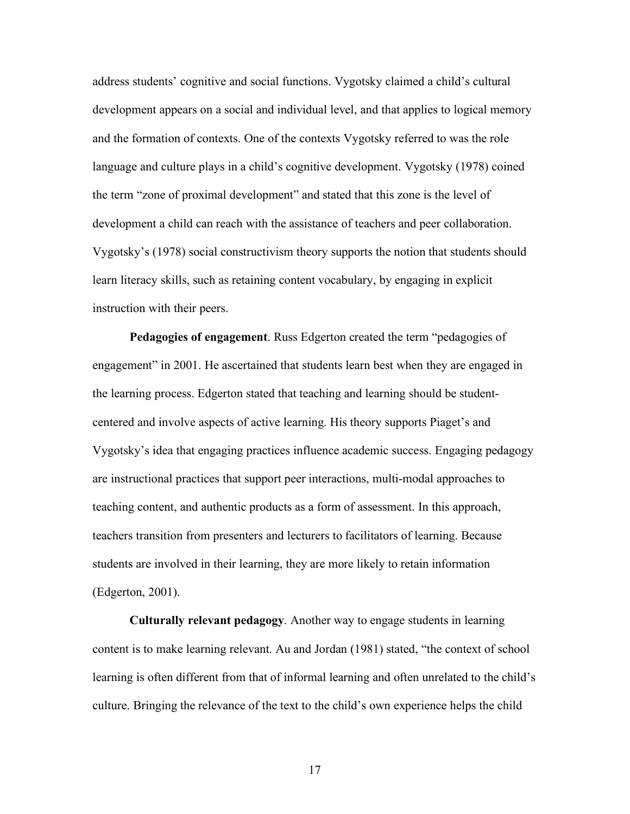address students' cognitive and social functions. Vygotsky claimed a child's cultural development appears on a social and individual level, and that applies to logical memory and the formation of contexts. One of the contexts Vygotsky referred to was the role language and culture plays in a child's cognitive development. Vygotsky (1978) coined the term "zone of proximal development" and stated that this zone is the level of development a child can reach with the assistance of teachers and peer collaboration. Vygotsky's (1978) social constructivism theory supports the notion that students should learn literacy skills, such as retaining content vocabulary, by engaging in explicit instruction with their peers.

**Pedagogies of engagement**. Russ Edgerton created the term "pedagogies of engagement" in 2001. He ascertained that students learn best when they are engaged in the learning process. Edgerton stated that teaching and learning should be studentcentered and involve aspects of active learning. His theory supports Piaget's and Vygotsky's idea that engaging practices influence academic success. Engaging pedagogy are instructional practices that support peer interactions, multi-modal approaches to teaching content, and authentic products as a form of assessment. In this approach, teachers transition from presenters and lecturers to facilitators of learning. Because students are involved in their learning, they are more likely to retain information (Edgerton, 2001).

**Culturally relevant pedagogy**. Another way to engage students in learning content is to make learning relevant. Au and Jordan (1981) stated, "the context of school learning is often different from that of informal learning and often unrelated to the child's culture. Bringing the relevance of the text to the child's own experience helps the child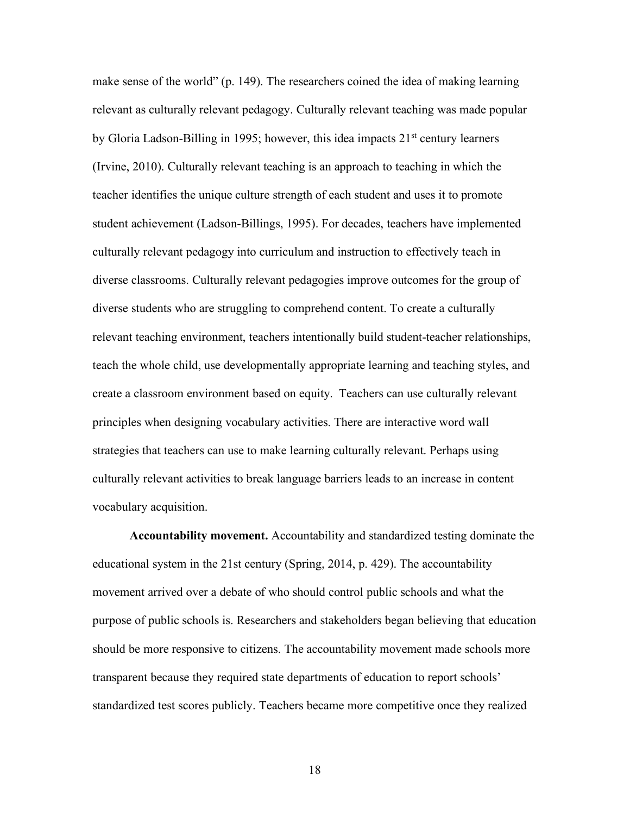make sense of the world" (p. 149). The researchers coined the idea of making learning relevant as culturally relevant pedagogy. Culturally relevant teaching was made popular by Gloria Ladson-Billing in 1995; however, this idea impacts 21<sup>st</sup> century learners (Irvine, 2010). Culturally relevant teaching is an approach to teaching in which the teacher identifies the unique culture strength of each student and uses it to promote student achievement (Ladson-Billings, 1995). For decades, teachers have implemented culturally relevant pedagogy into curriculum and instruction to effectively teach in diverse classrooms. Culturally relevant pedagogies improve outcomes for the group of diverse students who are struggling to comprehend content. To create a culturally relevant teaching environment, teachers intentionally build student-teacher relationships, teach the whole child, use developmentally appropriate learning and teaching styles, and create a classroom environment based on equity. Teachers can use culturally relevant principles when designing vocabulary activities. There are interactive word wall strategies that teachers can use to make learning culturally relevant. Perhaps using culturally relevant activities to break language barriers leads to an increase in content vocabulary acquisition.

**Accountability movement.** Accountability and standardized testing dominate the educational system in the 21st century (Spring, 2014, p. 429). The accountability movement arrived over a debate of who should control public schools and what the purpose of public schools is. Researchers and stakeholders began believing that education should be more responsive to citizens. The accountability movement made schools more transparent because they required state departments of education to report schools' standardized test scores publicly. Teachers became more competitive once they realized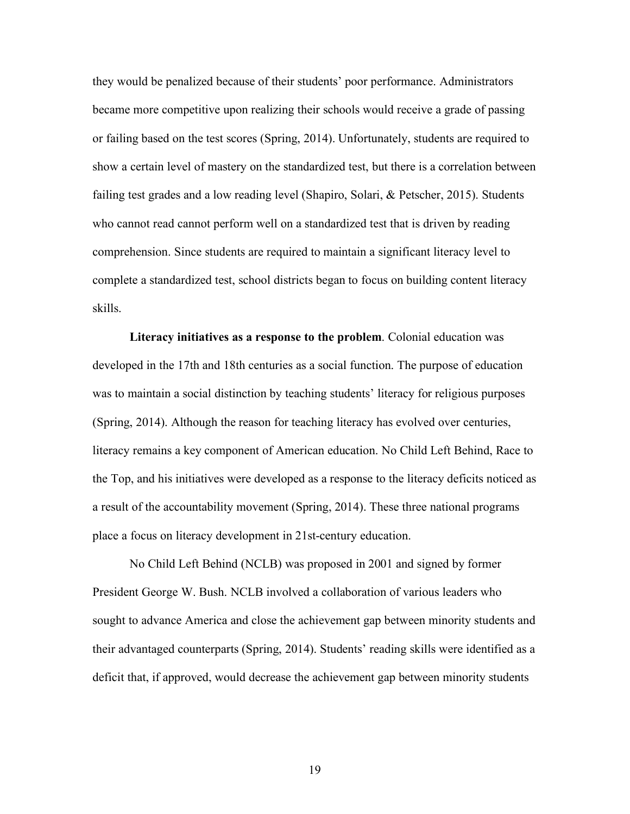they would be penalized because of their students' poor performance. Administrators became more competitive upon realizing their schools would receive a grade of passing or failing based on the test scores (Spring, 2014). Unfortunately, students are required to show a certain level of mastery on the standardized test, but there is a correlation between failing test grades and a low reading level (Shapiro, Solari, & Petscher, 2015). Students who cannot read cannot perform well on a standardized test that is driven by reading comprehension. Since students are required to maintain a significant literacy level to complete a standardized test, school districts began to focus on building content literacy skills.

**Literacy initiatives as a response to the problem**. Colonial education was developed in the 17th and 18th centuries as a social function. The purpose of education was to maintain a social distinction by teaching students' literacy for religious purposes (Spring, 2014). Although the reason for teaching literacy has evolved over centuries, literacy remains a key component of American education. No Child Left Behind, Race to the Top, and his initiatives were developed as a response to the literacy deficits noticed as a result of the accountability movement (Spring, 2014). These three national programs place a focus on literacy development in 21st-century education.

No Child Left Behind (NCLB) was proposed in 2001 and signed by former President George W. Bush. NCLB involved a collaboration of various leaders who sought to advance America and close the achievement gap between minority students and their advantaged counterparts (Spring, 2014). Students' reading skills were identified as a deficit that, if approved, would decrease the achievement gap between minority students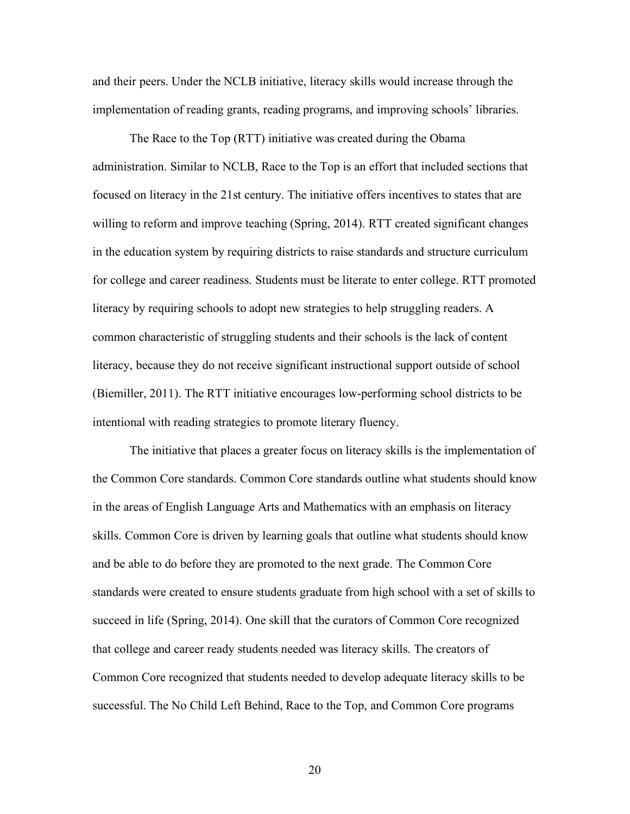and their peers. Under the NCLB initiative, literacy skills would increase through the implementation of reading grants, reading programs, and improving schools' libraries.

The Race to the Top (RTT) initiative was created during the Obama administration. Similar to NCLB, Race to the Top is an effort that included sections that focused on literacy in the 21st century. The initiative offers incentives to states that are willing to reform and improve teaching (Spring, 2014). RTT created significant changes in the education system by requiring districts to raise standards and structure curriculum for college and career readiness. Students must be literate to enter college. RTT promoted literacy by requiring schools to adopt new strategies to help struggling readers. A common characteristic of struggling students and their schools is the lack of content literacy, because they do not receive significant instructional support outside of school (Biemiller, 2011). The RTT initiative encourages low-performing school districts to be intentional with reading strategies to promote literary fluency.

The initiative that places a greater focus on literacy skills is the implementation of the Common Core standards. Common Core standards outline what students should know in the areas of English Language Arts and Mathematics with an emphasis on literacy skills. Common Core is driven by learning goals that outline what students should know and be able to do before they are promoted to the next grade. The Common Core standards were created to ensure students graduate from high school with a set of skills to succeed in life (Spring, 2014). One skill that the curators of Common Core recognized that college and career ready students needed was literacy skills. The creators of Common Core recognized that students needed to develop adequate literacy skills to be successful. The No Child Left Behind, Race to the Top, and Common Core programs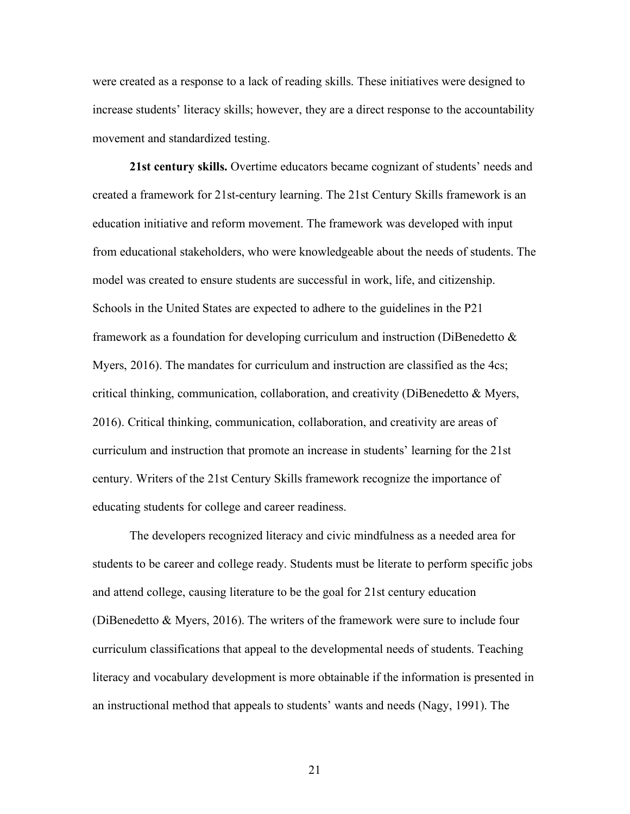were created as a response to a lack of reading skills. These initiatives were designed to increase students' literacy skills; however, they are a direct response to the accountability movement and standardized testing.

**21st century skills.** Overtime educators became cognizant of students' needs and created a framework for 21st-century learning. The 21st Century Skills framework is an education initiative and reform movement. The framework was developed with input from educational stakeholders, who were knowledgeable about the needs of students. The model was created to ensure students are successful in work, life, and citizenship. Schools in the United States are expected to adhere to the guidelines in the P21 framework as a foundation for developing curriculum and instruction (DiBenedetto & Myers, 2016). The mandates for curriculum and instruction are classified as the 4cs; critical thinking, communication, collaboration, and creativity (DiBenedetto  $\&$  Myers, 2016). Critical thinking, communication, collaboration, and creativity are areas of curriculum and instruction that promote an increase in students' learning for the 21st century. Writers of the 21st Century Skills framework recognize the importance of educating students for college and career readiness.

The developers recognized literacy and civic mindfulness as a needed area for students to be career and college ready. Students must be literate to perform specific jobs and attend college, causing literature to be the goal for 21st century education (DiBenedetto & Myers, 2016). The writers of the framework were sure to include four curriculum classifications that appeal to the developmental needs of students. Teaching literacy and vocabulary development is more obtainable if the information is presented in an instructional method that appeals to students' wants and needs (Nagy, 1991). The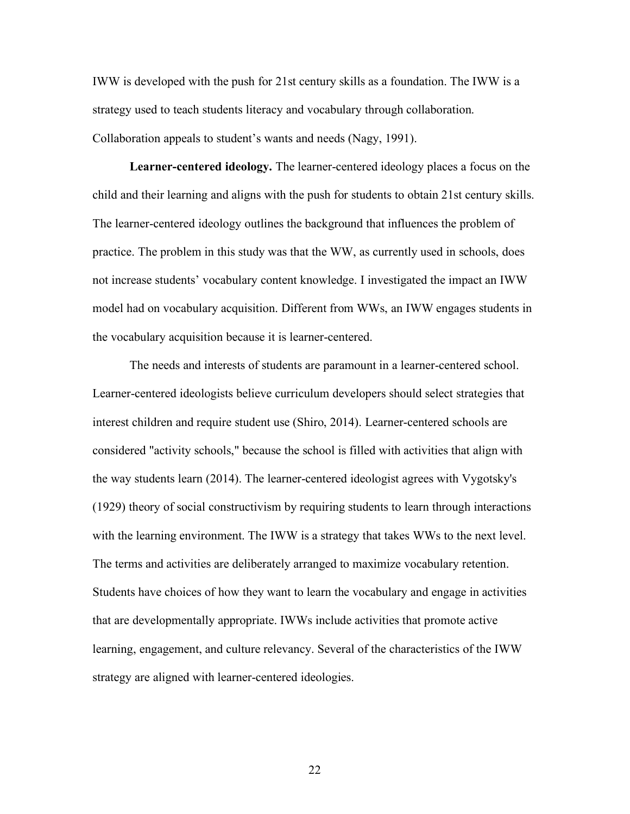IWW is developed with the push for 21st century skills as a foundation. The IWW is a strategy used to teach students literacy and vocabulary through collaboration. Collaboration appeals to student's wants and needs (Nagy, 1991).

**Learner-centered ideology.** The learner-centered ideology places a focus on the child and their learning and aligns with the push for students to obtain 21st century skills. The learner-centered ideology outlines the background that influences the problem of practice. The problem in this study was that the WW, as currently used in schools, does not increase students' vocabulary content knowledge. I investigated the impact an IWW model had on vocabulary acquisition. Different from WWs, an IWW engages students in the vocabulary acquisition because it is learner-centered.

 The needs and interests of students are paramount in a learner-centered school. Learner-centered ideologists believe curriculum developers should select strategies that interest children and require student use (Shiro, 2014). Learner-centered schools are considered "activity schools," because the school is filled with activities that align with the way students learn (2014). The learner-centered ideologist agrees with Vygotsky's (1929) theory of social constructivism by requiring students to learn through interactions with the learning environment. The IWW is a strategy that takes WWs to the next level. The terms and activities are deliberately arranged to maximize vocabulary retention. Students have choices of how they want to learn the vocabulary and engage in activities that are developmentally appropriate. IWWs include activities that promote active learning, engagement, and culture relevancy. Several of the characteristics of the IWW strategy are aligned with learner-centered ideologies.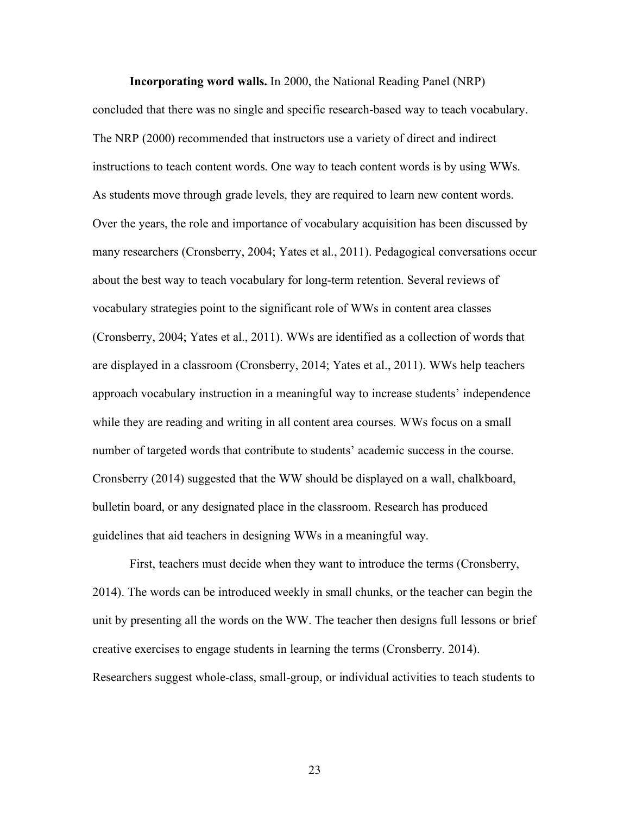**Incorporating word walls.** In 2000, the National Reading Panel (NRP) concluded that there was no single and specific research-based way to teach vocabulary. The NRP (2000) recommended that instructors use a variety of direct and indirect instructions to teach content words. One way to teach content words is by using WWs. As students move through grade levels, they are required to learn new content words. Over the years, the role and importance of vocabulary acquisition has been discussed by many researchers (Cronsberry, 2004; Yates et al., 2011). Pedagogical conversations occur about the best way to teach vocabulary for long-term retention. Several reviews of vocabulary strategies point to the significant role of WWs in content area classes (Cronsberry, 2004; Yates et al., 2011). WWs are identified as a collection of words that are displayed in a classroom (Cronsberry, 2014; Yates et al., 2011). WWs help teachers approach vocabulary instruction in a meaningful way to increase students' independence while they are reading and writing in all content area courses. WWs focus on a small number of targeted words that contribute to students' academic success in the course. Cronsberry (2014) suggested that the WW should be displayed on a wall, chalkboard, bulletin board, or any designated place in the classroom. Research has produced guidelines that aid teachers in designing WWs in a meaningful way.

First, teachers must decide when they want to introduce the terms (Cronsberry, 2014). The words can be introduced weekly in small chunks, or the teacher can begin the unit by presenting all the words on the WW. The teacher then designs full lessons or brief creative exercises to engage students in learning the terms (Cronsberry. 2014). Researchers suggest whole-class, small-group, or individual activities to teach students to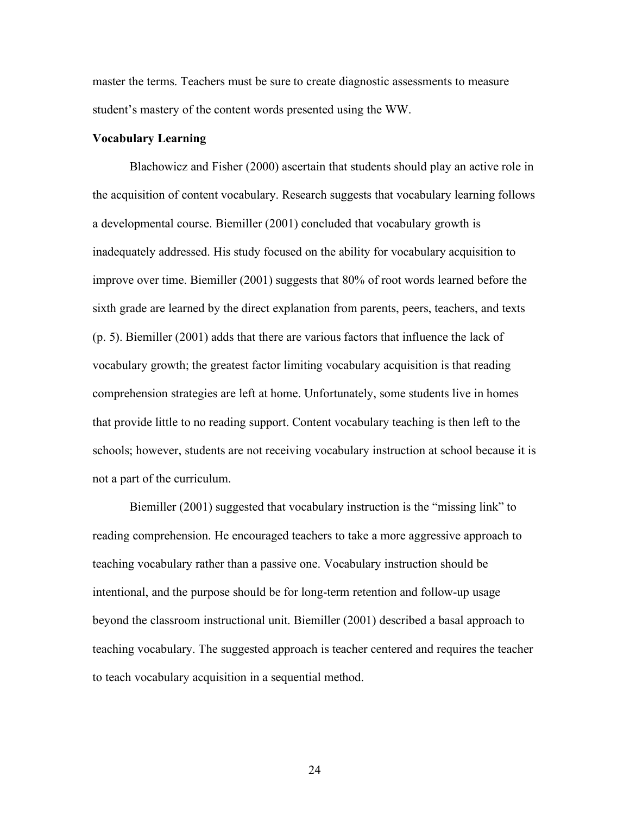master the terms. Teachers must be sure to create diagnostic assessments to measure student's mastery of the content words presented using the WW.

## **Vocabulary Learning**

Blachowicz and Fisher (2000) ascertain that students should play an active role in the acquisition of content vocabulary. Research suggests that vocabulary learning follows a developmental course. Biemiller (2001) concluded that vocabulary growth is inadequately addressed. His study focused on the ability for vocabulary acquisition to improve over time. Biemiller (2001) suggests that 80% of root words learned before the sixth grade are learned by the direct explanation from parents, peers, teachers, and texts (p. 5). Biemiller (2001) adds that there are various factors that influence the lack of vocabulary growth; the greatest factor limiting vocabulary acquisition is that reading comprehension strategies are left at home. Unfortunately, some students live in homes that provide little to no reading support. Content vocabulary teaching is then left to the schools; however, students are not receiving vocabulary instruction at school because it is not a part of the curriculum.

Biemiller (2001) suggested that vocabulary instruction is the "missing link" to reading comprehension. He encouraged teachers to take a more aggressive approach to teaching vocabulary rather than a passive one. Vocabulary instruction should be intentional, and the purpose should be for long-term retention and follow-up usage beyond the classroom instructional unit. Biemiller (2001) described a basal approach to teaching vocabulary. The suggested approach is teacher centered and requires the teacher to teach vocabulary acquisition in a sequential method.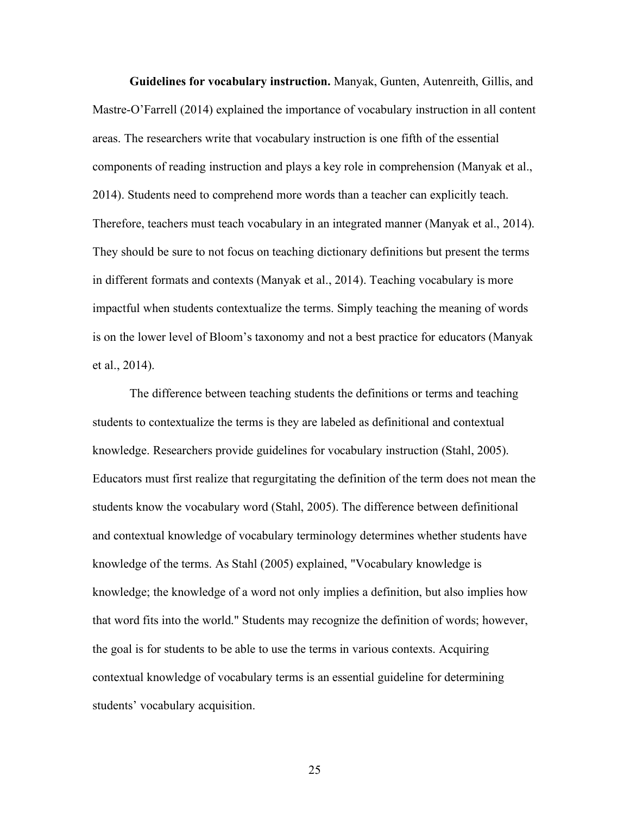**Guidelines for vocabulary instruction.** Manyak, Gunten, Autenreith, Gillis, and Mastre-O'Farrell (2014) explained the importance of vocabulary instruction in all content areas. The researchers write that vocabulary instruction is one fifth of the essential components of reading instruction and plays a key role in comprehension (Manyak et al., 2014). Students need to comprehend more words than a teacher can explicitly teach. Therefore, teachers must teach vocabulary in an integrated manner (Manyak et al., 2014). They should be sure to not focus on teaching dictionary definitions but present the terms in different formats and contexts (Manyak et al., 2014). Teaching vocabulary is more impactful when students contextualize the terms. Simply teaching the meaning of words is on the lower level of Bloom's taxonomy and not a best practice for educators (Manyak et al., 2014).

The difference between teaching students the definitions or terms and teaching students to contextualize the terms is they are labeled as definitional and contextual knowledge. Researchers provide guidelines for vocabulary instruction (Stahl, 2005). Educators must first realize that regurgitating the definition of the term does not mean the students know the vocabulary word (Stahl, 2005). The difference between definitional and contextual knowledge of vocabulary terminology determines whether students have knowledge of the terms. As Stahl (2005) explained, "Vocabulary knowledge is knowledge; the knowledge of a word not only implies a definition, but also implies how that word fits into the world." Students may recognize the definition of words; however, the goal is for students to be able to use the terms in various contexts. Acquiring contextual knowledge of vocabulary terms is an essential guideline for determining students' vocabulary acquisition.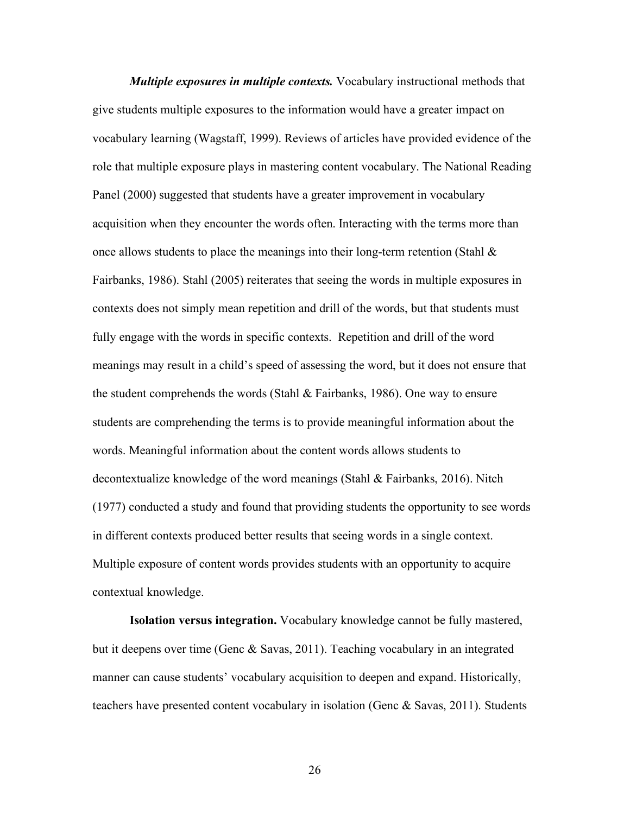*Multiple exposures in multiple contexts.* Vocabulary instructional methods that give students multiple exposures to the information would have a greater impact on vocabulary learning (Wagstaff, 1999). Reviews of articles have provided evidence of the role that multiple exposure plays in mastering content vocabulary. The National Reading Panel (2000) suggested that students have a greater improvement in vocabulary acquisition when they encounter the words often. Interacting with the terms more than once allows students to place the meanings into their long-term retention (Stahl  $\&$ Fairbanks, 1986). Stahl (2005) reiterates that seeing the words in multiple exposures in contexts does not simply mean repetition and drill of the words, but that students must fully engage with the words in specific contexts. Repetition and drill of the word meanings may result in a child's speed of assessing the word, but it does not ensure that the student comprehends the words (Stahl & Fairbanks, 1986). One way to ensure students are comprehending the terms is to provide meaningful information about the words. Meaningful information about the content words allows students to decontextualize knowledge of the word meanings (Stahl & Fairbanks, 2016). Nitch (1977) conducted a study and found that providing students the opportunity to see words in different contexts produced better results that seeing words in a single context. Multiple exposure of content words provides students with an opportunity to acquire contextual knowledge.

**Isolation versus integration.** Vocabulary knowledge cannot be fully mastered, but it deepens over time (Genc & Savas, 2011). Teaching vocabulary in an integrated manner can cause students' vocabulary acquisition to deepen and expand. Historically, teachers have presented content vocabulary in isolation (Genc & Savas, 2011). Students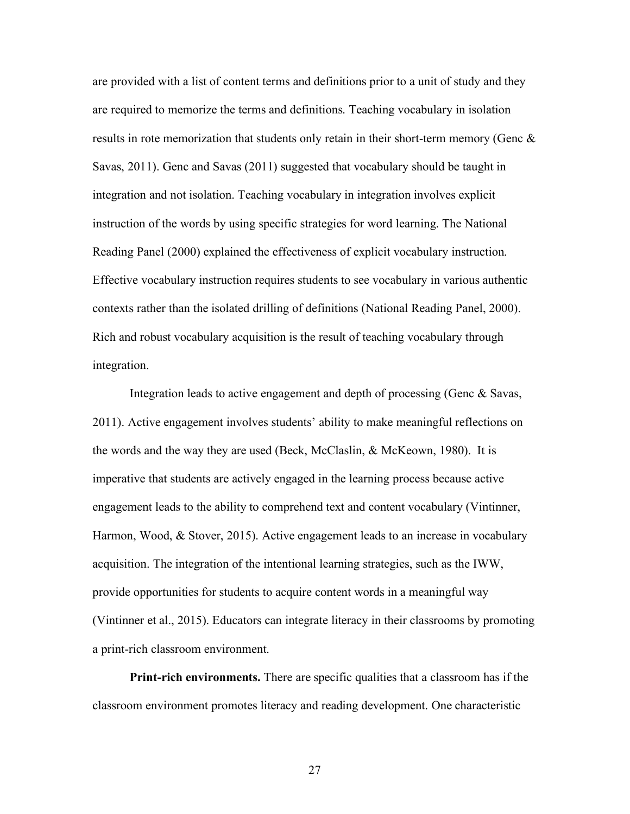are provided with a list of content terms and definitions prior to a unit of study and they are required to memorize the terms and definitions. Teaching vocabulary in isolation results in rote memorization that students only retain in their short-term memory (Genc  $\&$ Savas, 2011). Genc and Savas (2011) suggested that vocabulary should be taught in integration and not isolation. Teaching vocabulary in integration involves explicit instruction of the words by using specific strategies for word learning. The National Reading Panel (2000) explained the effectiveness of explicit vocabulary instruction. Effective vocabulary instruction requires students to see vocabulary in various authentic contexts rather than the isolated drilling of definitions (National Reading Panel, 2000). Rich and robust vocabulary acquisition is the result of teaching vocabulary through integration.

Integration leads to active engagement and depth of processing (Genc & Savas, 2011). Active engagement involves students' ability to make meaningful reflections on the words and the way they are used (Beck, McClaslin, & McKeown, 1980). It is imperative that students are actively engaged in the learning process because active engagement leads to the ability to comprehend text and content vocabulary (Vintinner, Harmon, Wood, & Stover, 2015). Active engagement leads to an increase in vocabulary acquisition. The integration of the intentional learning strategies, such as the IWW, provide opportunities for students to acquire content words in a meaningful way (Vintinner et al., 2015). Educators can integrate literacy in their classrooms by promoting a print-rich classroom environment.

**Print-rich environments.** There are specific qualities that a classroom has if the classroom environment promotes literacy and reading development. One characteristic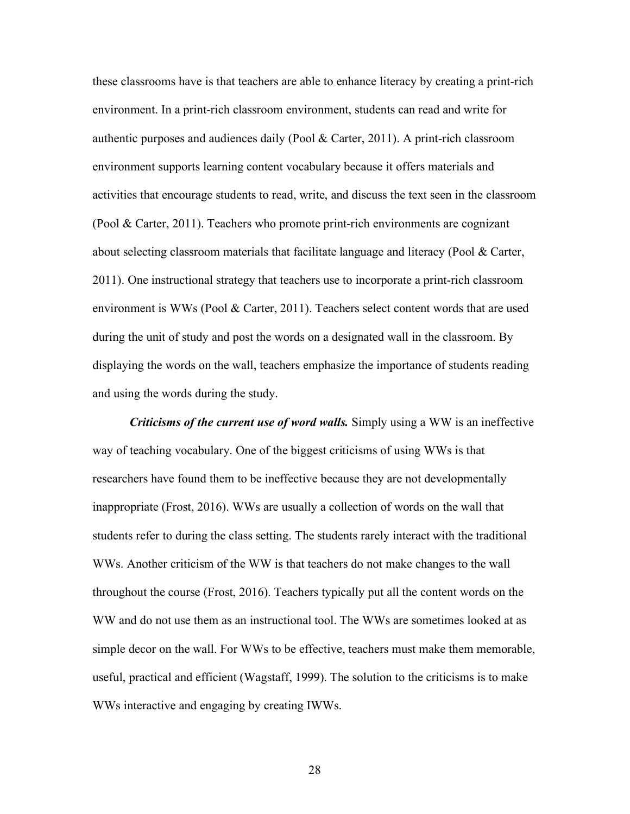these classrooms have is that teachers are able to enhance literacy by creating a print-rich environment. In a print-rich classroom environment, students can read and write for authentic purposes and audiences daily (Pool & Carter, 2011). A print-rich classroom environment supports learning content vocabulary because it offers materials and activities that encourage students to read, write, and discuss the text seen in the classroom (Pool & Carter, 2011). Teachers who promote print-rich environments are cognizant about selecting classroom materials that facilitate language and literacy (Pool & Carter, 2011). One instructional strategy that teachers use to incorporate a print-rich classroom environment is WWs (Pool & Carter, 2011). Teachers select content words that are used during the unit of study and post the words on a designated wall in the classroom. By displaying the words on the wall, teachers emphasize the importance of students reading and using the words during the study.

*Criticisms of the current use of word walls.* Simply using a WW is an ineffective way of teaching vocabulary. One of the biggest criticisms of using WWs is that researchers have found them to be ineffective because they are not developmentally inappropriate (Frost, 2016). WWs are usually a collection of words on the wall that students refer to during the class setting. The students rarely interact with the traditional WWs. Another criticism of the WW is that teachers do not make changes to the wall throughout the course (Frost, 2016). Teachers typically put all the content words on the WW and do not use them as an instructional tool. The WWs are sometimes looked at as simple decor on the wall. For WWs to be effective, teachers must make them memorable, useful, practical and efficient (Wagstaff, 1999). The solution to the criticisms is to make WWs interactive and engaging by creating IWWs.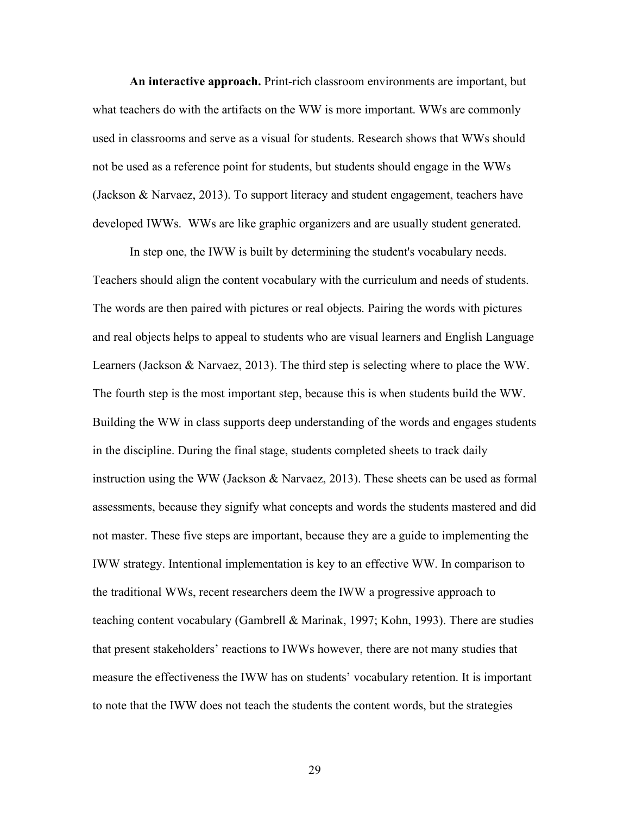**An interactive approach.** Print-rich classroom environments are important, but what teachers do with the artifacts on the WW is more important. WWs are commonly used in classrooms and serve as a visual for students. Research shows that WWs should not be used as a reference point for students, but students should engage in the WWs (Jackson & Narvaez, 2013). To support literacy and student engagement, teachers have developed IWWs. WWs are like graphic organizers and are usually student generated.

In step one, the IWW is built by determining the student's vocabulary needs. Teachers should align the content vocabulary with the curriculum and needs of students. The words are then paired with pictures or real objects. Pairing the words with pictures and real objects helps to appeal to students who are visual learners and English Language Learners (Jackson & Narvaez, 2013). The third step is selecting where to place the WW. The fourth step is the most important step, because this is when students build the WW. Building the WW in class supports deep understanding of the words and engages students in the discipline. During the final stage, students completed sheets to track daily instruction using the WW (Jackson & Narvaez, 2013). These sheets can be used as formal assessments, because they signify what concepts and words the students mastered and did not master. These five steps are important, because they are a guide to implementing the IWW strategy. Intentional implementation is key to an effective WW. In comparison to the traditional WWs, recent researchers deem the IWW a progressive approach to teaching content vocabulary (Gambrell & Marinak, 1997; Kohn, 1993). There are studies that present stakeholders' reactions to IWWs however, there are not many studies that measure the effectiveness the IWW has on students' vocabulary retention. It is important to note that the IWW does not teach the students the content words, but the strategies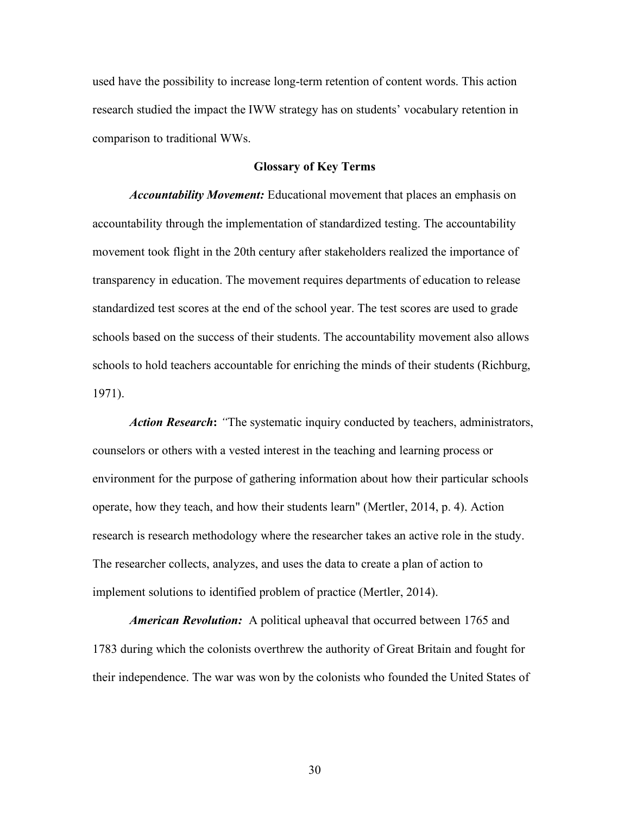used have the possibility to increase long-term retention of content words. This action research studied the impact the IWW strategy has on students' vocabulary retention in comparison to traditional WWs.

## **Glossary of Key Terms**

*Accountability Movement:* Educational movement that places an emphasis on accountability through the implementation of standardized testing. The accountability movement took flight in the 20th century after stakeholders realized the importance of transparency in education. The movement requires departments of education to release standardized test scores at the end of the school year. The test scores are used to grade schools based on the success of their students. The accountability movement also allows schools to hold teachers accountable for enriching the minds of their students (Richburg, 1971).

*Action Research***:** *"*The systematic inquiry conducted by teachers, administrators, counselors or others with a vested interest in the teaching and learning process or environment for the purpose of gathering information about how their particular schools operate, how they teach, and how their students learn" (Mertler, 2014, p. 4). Action research is research methodology where the researcher takes an active role in the study. The researcher collects, analyzes, and uses the data to create a plan of action to implement solutions to identified problem of practice (Mertler, 2014).

*American Revolution:* A political upheaval that occurred between 1765 and 1783 during which the colonists overthrew the authority of Great Britain and fought for their independence. The war was won by the colonists who founded the United States of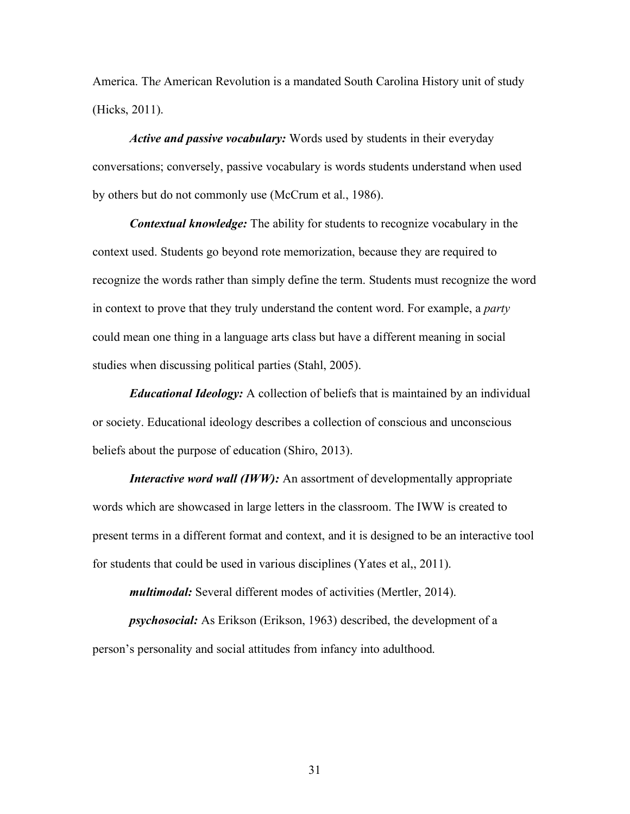America. Th*e* American Revolution is a mandated South Carolina History unit of study (Hicks, 2011).

*Active and passive vocabulary:* Words used by students in their everyday conversations; conversely, passive vocabulary is words students understand when used by others but do not commonly use (McCrum et al., 1986).

*Contextual knowledge:* The ability for students to recognize vocabulary in the context used. Students go beyond rote memorization, because they are required to recognize the words rather than simply define the term. Students must recognize the word in context to prove that they truly understand the content word. For example, a *party* could mean one thing in a language arts class but have a different meaning in social studies when discussing political parties (Stahl, 2005).

*Educational Ideology:* A collection of beliefs that is maintained by an individual or society. Educational ideology describes a collection of conscious and unconscious beliefs about the purpose of education (Shiro, 2013).

*Interactive word wall (IWW):* An assortment of developmentally appropriate words which are showcased in large letters in the classroom. The IWW is created to present terms in a different format and context, and it is designed to be an interactive tool for students that could be used in various disciplines (Yates et al,, 2011).

*multimodal:* Several different modes of activities (Mertler, 2014).

*psychosocial:* As Erikson (Erikson, 1963) described, the development of a person's personality and social attitudes from infancy into adulthood.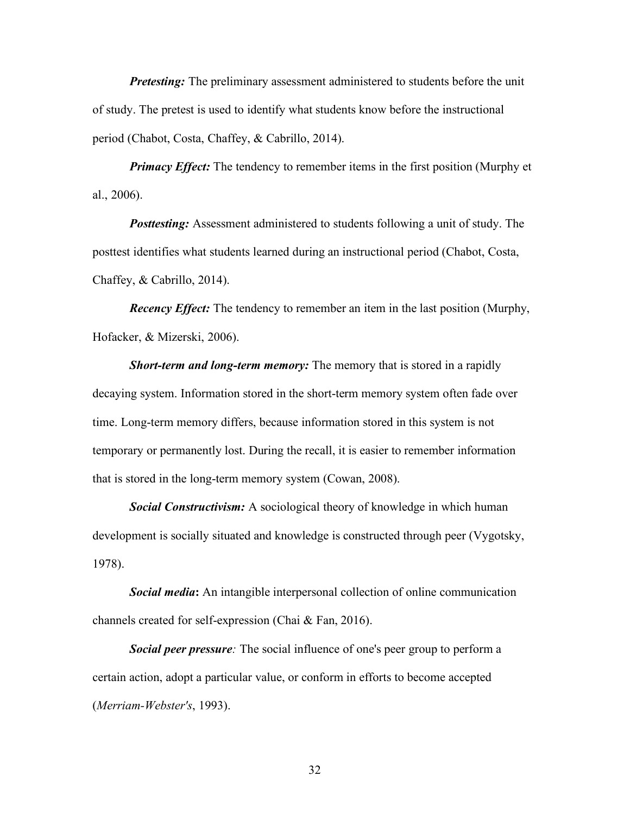**Pretesting:** The preliminary assessment administered to students before the unit of study. The pretest is used to identify what students know before the instructional period (Chabot, Costa, Chaffey, & Cabrillo, 2014).

*Primacy Effect:* The tendency to remember items in the first position (Murphy et al., 2006).

**Posttesting:** Assessment administered to students following a unit of study. The posttest identifies what students learned during an instructional period (Chabot, Costa, Chaffey, & Cabrillo, 2014).

*Recency Effect:* The tendency to remember an item in the last position (Murphy, Hofacker, & Mizerski, 2006).

*Short-term and long-term memory:* The memory that is stored in a rapidly decaying system. Information stored in the short-term memory system often fade over time. Long-term memory differs, because information stored in this system is not temporary or permanently lost. During the recall, it is easier to remember information that is stored in the long-term memory system (Cowan, 2008).

*Social Constructivism:* A sociological theory of knowledge in which human development is socially situated and knowledge is constructed through peer (Vygotsky, 1978).

*Social media***:** An intangible interpersonal collection of online communication channels created for self-expression (Chai & Fan, 2016).

*Social peer pressure:* The social influence of one's peer group to perform a certain action, adopt a particular value, or conform in efforts to become accepted (*Merriam-Webster's*, 1993).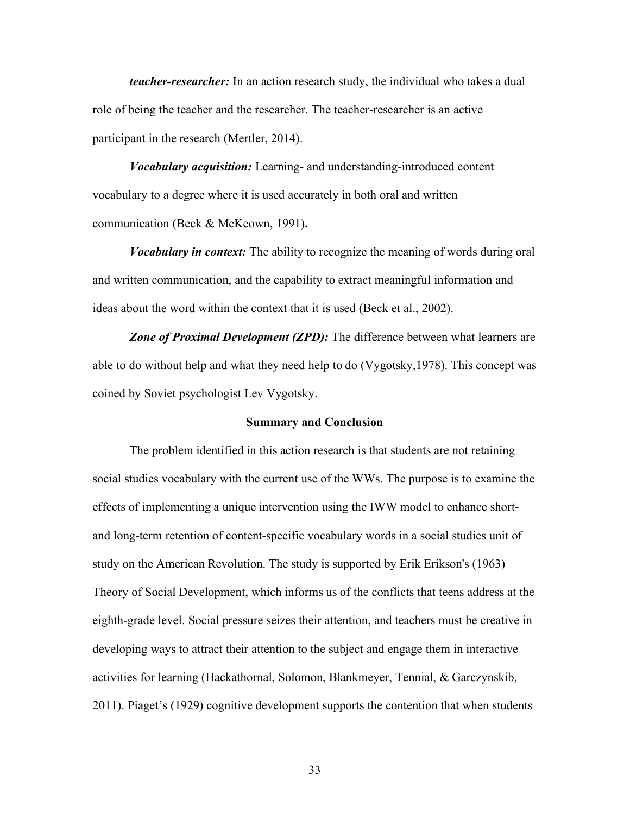*teacher-researcher:* In an action research study, the individual who takes a dual role of being the teacher and the researcher. The teacher-researcher is an active participant in the research (Mertler, 2014).

*Vocabulary acquisition:* Learning- and understanding-introduced content vocabulary to a degree where it is used accurately in both oral and written communication (Beck & McKeown, 1991)**.** 

*Vocabulary in context:* The ability to recognize the meaning of words during oral and written communication, and the capability to extract meaningful information and ideas about the word within the context that it is used (Beck et al., 2002).

*Zone of Proximal Development (ZPD):* The difference between what learners are able to do without help and what they need help to do (Vygotsky,1978). This concept was coined by Soviet psychologist Lev Vygotsky.

## **Summary and Conclusion**

 The problem identified in this action research is that students are not retaining social studies vocabulary with the current use of the WWs. The purpose is to examine the effects of implementing a unique intervention using the IWW model to enhance shortand long-term retention of content-specific vocabulary words in a social studies unit of study on the American Revolution. The study is supported by Erik Erikson's (1963) Theory of Social Development, which informs us of the conflicts that teens address at the eighth-grade level. Social pressure seizes their attention, and teachers must be creative in developing ways to attract their attention to the subject and engage them in interactive activities for learning (Hackathornal, Solomon, Blankmeyer, Tennial, & Garczynskib, 2011). Piaget's (1929) cognitive development supports the contention that when students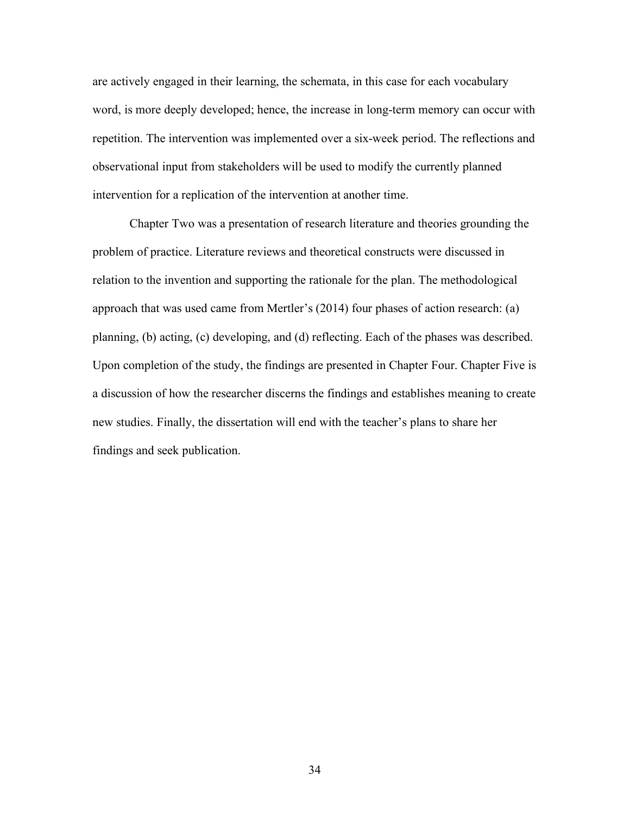are actively engaged in their learning, the schemata, in this case for each vocabulary word, is more deeply developed; hence, the increase in long-term memory can occur with repetition. The intervention was implemented over a six-week period. The reflections and observational input from stakeholders will be used to modify the currently planned intervention for a replication of the intervention at another time.

Chapter Two was a presentation of research literature and theories grounding the problem of practice. Literature reviews and theoretical constructs were discussed in relation to the invention and supporting the rationale for the plan. The methodological approach that was used came from Mertler's (2014) four phases of action research: (a) planning, (b) acting, (c) developing, and (d) reflecting. Each of the phases was described. Upon completion of the study, the findings are presented in Chapter Four. Chapter Five is a discussion of how the researcher discerns the findings and establishes meaning to create new studies. Finally, the dissertation will end with the teacher's plans to share her findings and seek publication.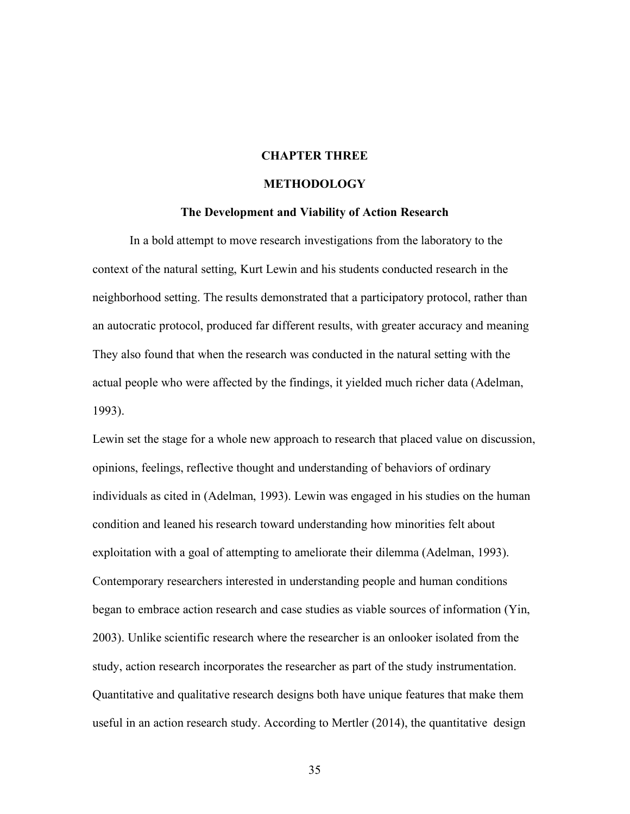## **CHAPTER THREE**

## **METHODOLOGY**

#### **The Development and Viability of Action Research**

In a bold attempt to move research investigations from the laboratory to the context of the natural setting, Kurt Lewin and his students conducted research in the neighborhood setting. The results demonstrated that a participatory protocol, rather than an autocratic protocol, produced far different results, with greater accuracy and meaning They also found that when the research was conducted in the natural setting with the actual people who were affected by the findings, it yielded much richer data (Adelman, 1993).

Lewin set the stage for a whole new approach to research that placed value on discussion, opinions, feelings, reflective thought and understanding of behaviors of ordinary individuals as cited in (Adelman, 1993). Lewin was engaged in his studies on the human condition and leaned his research toward understanding how minorities felt about exploitation with a goal of attempting to ameliorate their dilemma (Adelman, 1993). Contemporary researchers interested in understanding people and human conditions began to embrace action research and case studies as viable sources of information (Yin, 2003). Unlike scientific research where the researcher is an onlooker isolated from the study, action research incorporates the researcher as part of the study instrumentation. Quantitative and qualitative research designs both have unique features that make them useful in an action research study. According to Mertler (2014), the quantitative design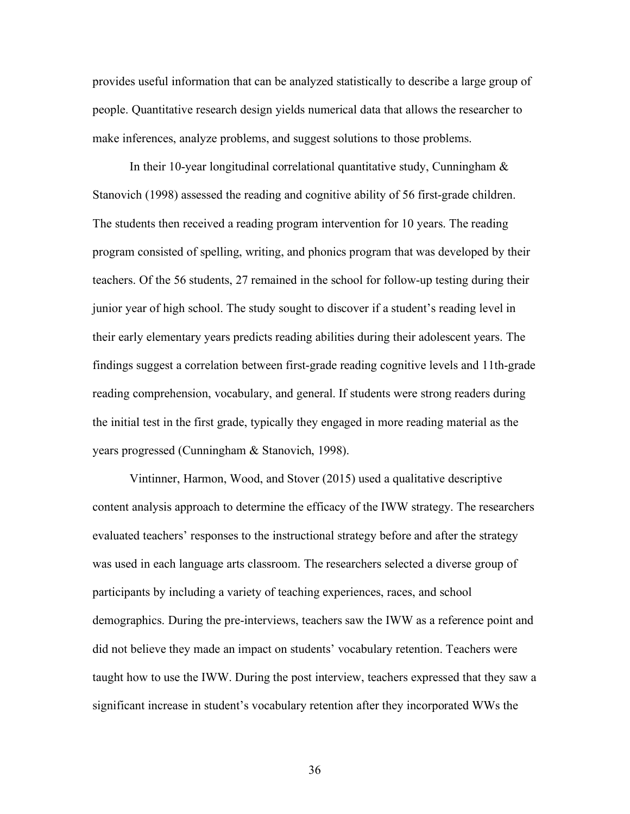provides useful information that can be analyzed statistically to describe a large group of people. Quantitative research design yields numerical data that allows the researcher to make inferences, analyze problems, and suggest solutions to those problems.

In their 10-year longitudinal correlational quantitative study, Cunningham  $\&$ Stanovich (1998) assessed the reading and cognitive ability of 56 first-grade children. The students then received a reading program intervention for 10 years. The reading program consisted of spelling, writing, and phonics program that was developed by their teachers. Of the 56 students, 27 remained in the school for follow-up testing during their junior year of high school. The study sought to discover if a student's reading level in their early elementary years predicts reading abilities during their adolescent years. The findings suggest a correlation between first-grade reading cognitive levels and 11th-grade reading comprehension, vocabulary, and general. If students were strong readers during the initial test in the first grade, typically they engaged in more reading material as the years progressed (Cunningham & Stanovich, 1998).

Vintinner, Harmon, Wood, and Stover (2015) used a qualitative descriptive content analysis approach to determine the efficacy of the IWW strategy. The researchers evaluated teachers' responses to the instructional strategy before and after the strategy was used in each language arts classroom. The researchers selected a diverse group of participants by including a variety of teaching experiences, races, and school demographics. During the pre-interviews, teachers saw the IWW as a reference point and did not believe they made an impact on students' vocabulary retention. Teachers were taught how to use the IWW. During the post interview, teachers expressed that they saw a significant increase in student's vocabulary retention after they incorporated WWs the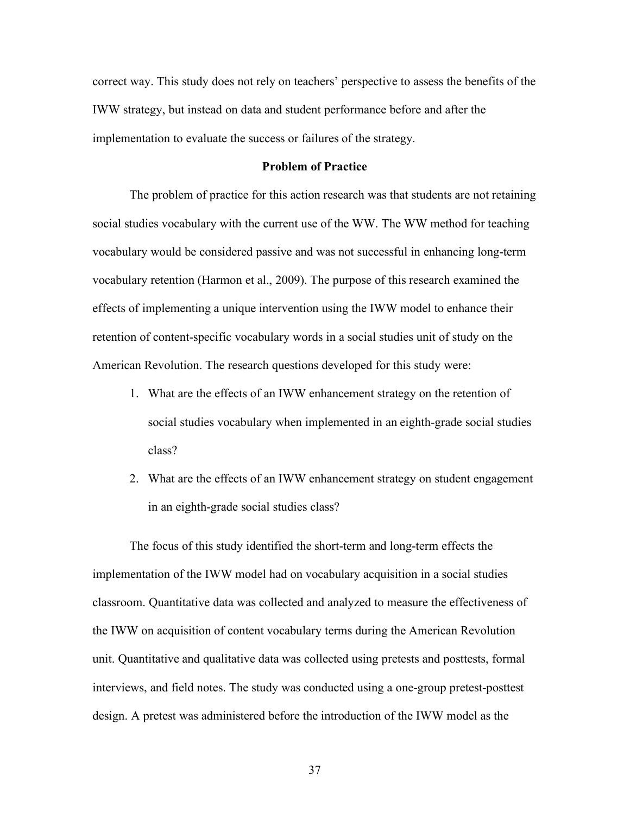correct way. This study does not rely on teachers' perspective to assess the benefits of the IWW strategy, but instead on data and student performance before and after the implementation to evaluate the success or failures of the strategy.

### **Problem of Practice**

The problem of practice for this action research was that students are not retaining social studies vocabulary with the current use of the WW. The WW method for teaching vocabulary would be considered passive and was not successful in enhancing long-term vocabulary retention (Harmon et al., 2009). The purpose of this research examined the effects of implementing a unique intervention using the IWW model to enhance their retention of content-specific vocabulary words in a social studies unit of study on the American Revolution. The research questions developed for this study were:

- 1. What are the effects of an IWW enhancement strategy on the retention of social studies vocabulary when implemented in an eighth-grade social studies class?
- 2. What are the effects of an IWW enhancement strategy on student engagement in an eighth-grade social studies class?

The focus of this study identified the short-term and long-term effects the implementation of the IWW model had on vocabulary acquisition in a social studies classroom. Quantitative data was collected and analyzed to measure the effectiveness of the IWW on acquisition of content vocabulary terms during the American Revolution unit. Quantitative and qualitative data was collected using pretests and posttests, formal interviews, and field notes. The study was conducted using a one-group pretest-posttest design. A pretest was administered before the introduction of the IWW model as the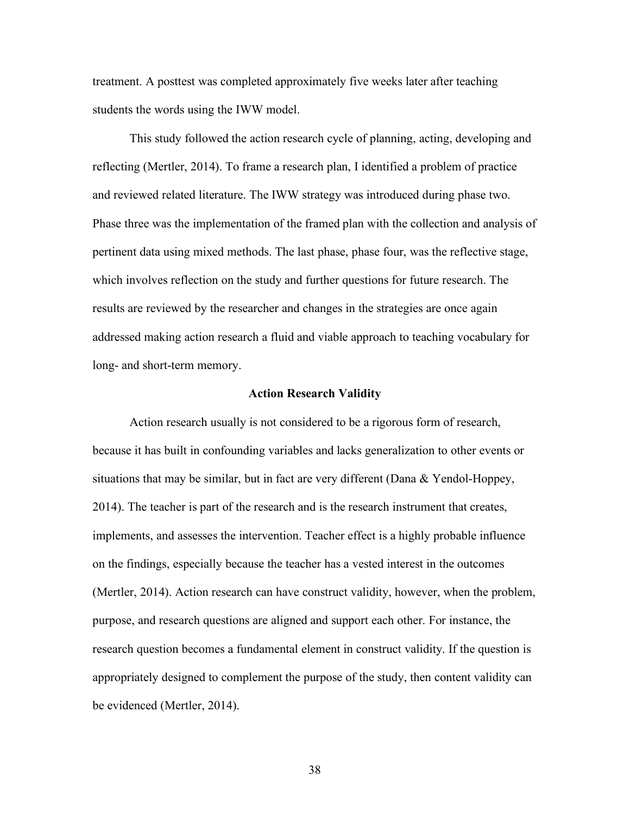treatment. A posttest was completed approximately five weeks later after teaching students the words using the IWW model.

This study followed the action research cycle of planning, acting, developing and reflecting (Mertler, 2014). To frame a research plan, I identified a problem of practice and reviewed related literature. The IWW strategy was introduced during phase two. Phase three was the implementation of the framed plan with the collection and analysis of pertinent data using mixed methods. The last phase, phase four, was the reflective stage, which involves reflection on the study and further questions for future research. The results are reviewed by the researcher and changes in the strategies are once again addressed making action research a fluid and viable approach to teaching vocabulary for long- and short-term memory.

## **Action Research Validity**

Action research usually is not considered to be a rigorous form of research, because it has built in confounding variables and lacks generalization to other events or situations that may be similar, but in fact are very different (Dana  $\&$  Yendol-Hoppey, 2014). The teacher is part of the research and is the research instrument that creates, implements, and assesses the intervention. Teacher effect is a highly probable influence on the findings, especially because the teacher has a vested interest in the outcomes (Mertler, 2014). Action research can have construct validity, however, when the problem, purpose, and research questions are aligned and support each other. For instance, the research question becomes a fundamental element in construct validity. If the question is appropriately designed to complement the purpose of the study, then content validity can be evidenced (Mertler, 2014).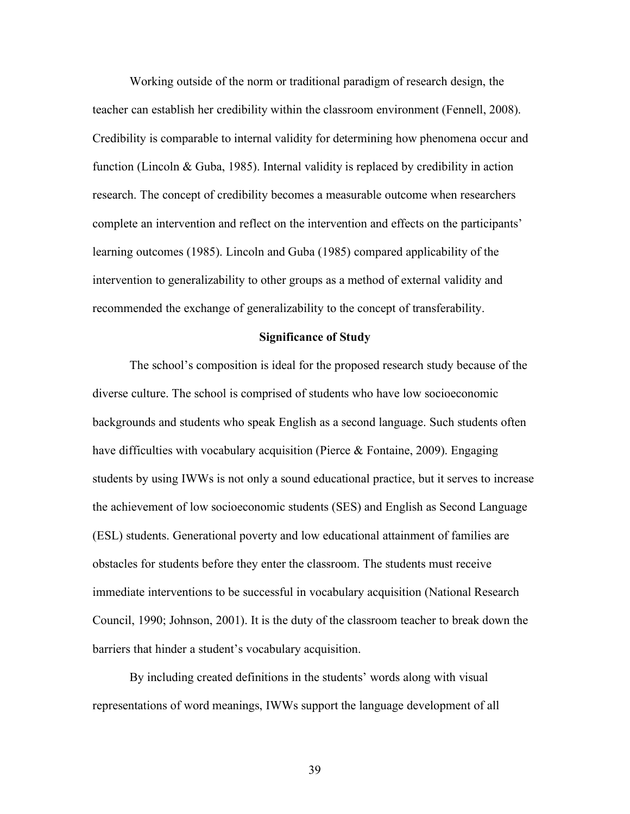Working outside of the norm or traditional paradigm of research design, the teacher can establish her credibility within the classroom environment (Fennell, 2008). Credibility is comparable to internal validity for determining how phenomena occur and function (Lincoln & Guba, 1985). Internal validity is replaced by credibility in action research. The concept of credibility becomes a measurable outcome when researchers complete an intervention and reflect on the intervention and effects on the participants' learning outcomes (1985). Lincoln and Guba (1985) compared applicability of the intervention to generalizability to other groups as a method of external validity and recommended the exchange of generalizability to the concept of transferability.

#### **Significance of Study**

The school's composition is ideal for the proposed research study because of the diverse culture. The school is comprised of students who have low socioeconomic backgrounds and students who speak English as a second language. Such students often have difficulties with vocabulary acquisition (Pierce  $\&$  Fontaine, 2009). Engaging students by using IWWs is not only a sound educational practice, but it serves to increase the achievement of low socioeconomic students (SES) and English as Second Language (ESL) students. Generational poverty and low educational attainment of families are obstacles for students before they enter the classroom. The students must receive immediate interventions to be successful in vocabulary acquisition (National Research Council, 1990; Johnson, 2001). It is the duty of the classroom teacher to break down the barriers that hinder a student's vocabulary acquisition.

By including created definitions in the students' words along with visual representations of word meanings, IWWs support the language development of all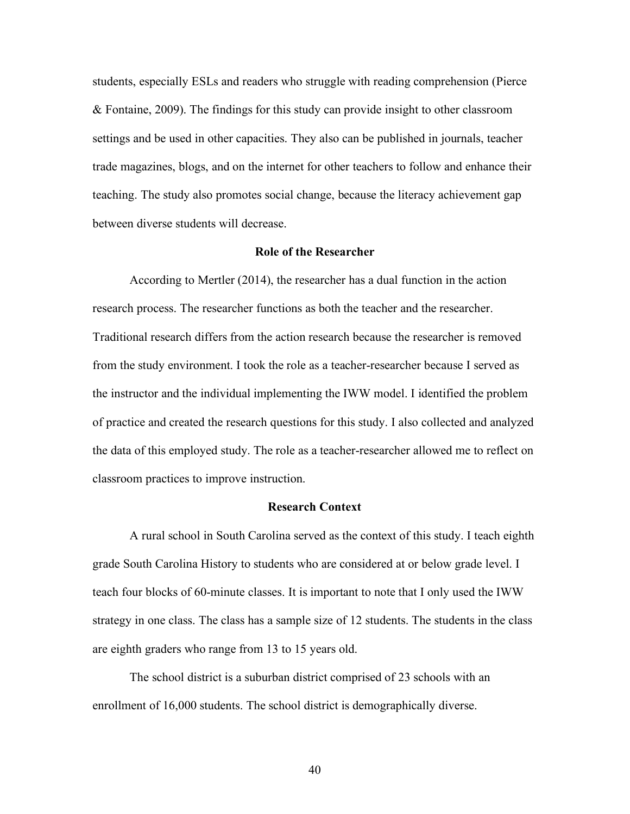students, especially ESLs and readers who struggle with reading comprehension (Pierce & Fontaine, 2009). The findings for this study can provide insight to other classroom settings and be used in other capacities. They also can be published in journals, teacher trade magazines, blogs, and on the internet for other teachers to follow and enhance their teaching. The study also promotes social change, because the literacy achievement gap between diverse students will decrease.

### **Role of the Researcher**

According to Mertler (2014), the researcher has a dual function in the action research process. The researcher functions as both the teacher and the researcher. Traditional research differs from the action research because the researcher is removed from the study environment. I took the role as a teacher-researcher because I served as the instructor and the individual implementing the IWW model. I identified the problem of practice and created the research questions for this study. I also collected and analyzed the data of this employed study. The role as a teacher-researcher allowed me to reflect on classroom practices to improve instruction.

## **Research Context**

A rural school in South Carolina served as the context of this study. I teach eighth grade South Carolina History to students who are considered at or below grade level. I teach four blocks of 60-minute classes. It is important to note that I only used the IWW strategy in one class. The class has a sample size of 12 students. The students in the class are eighth graders who range from 13 to 15 years old.

The school district is a suburban district comprised of 23 schools with an enrollment of 16,000 students. The school district is demographically diverse.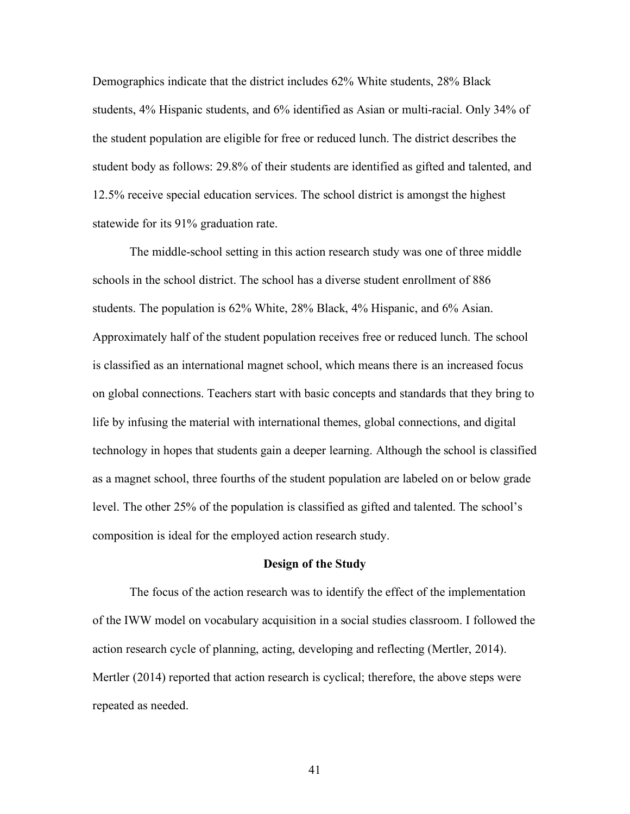Demographics indicate that the district includes 62% White students, 28% Black students, 4% Hispanic students, and 6% identified as Asian or multi-racial. Only 34% of the student population are eligible for free or reduced lunch. The district describes the student body as follows: 29.8% of their students are identified as gifted and talented, and 12.5% receive special education services. The school district is amongst the highest statewide for its 91% graduation rate.

 The middle-school setting in this action research study was one of three middle schools in the school district. The school has a diverse student enrollment of 886 students. The population is 62% White, 28% Black, 4% Hispanic, and 6% Asian. Approximately half of the student population receives free or reduced lunch. The school is classified as an international magnet school, which means there is an increased focus on global connections. Teachers start with basic concepts and standards that they bring to life by infusing the material with international themes, global connections, and digital technology in hopes that students gain a deeper learning. Although the school is classified as a magnet school, three fourths of the student population are labeled on or below grade level. The other 25% of the population is classified as gifted and talented. The school's composition is ideal for the employed action research study.

## **Design of the Study**

The focus of the action research was to identify the effect of the implementation of the IWW model on vocabulary acquisition in a social studies classroom. I followed the action research cycle of planning, acting, developing and reflecting (Mertler, 2014). Mertler (2014) reported that action research is cyclical; therefore, the above steps were repeated as needed.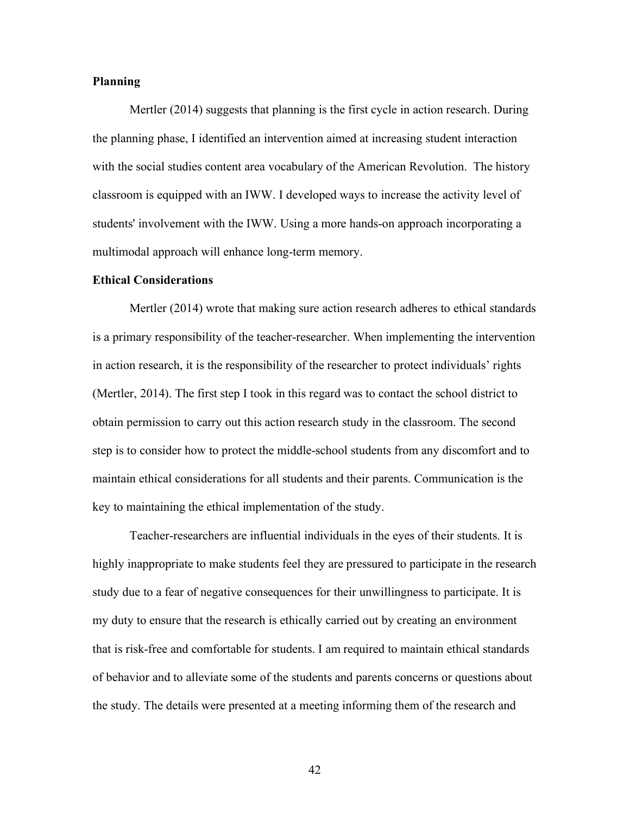## **Planning**

Mertler (2014) suggests that planning is the first cycle in action research. During the planning phase, I identified an intervention aimed at increasing student interaction with the social studies content area vocabulary of the American Revolution. The history classroom is equipped with an IWW. I developed ways to increase the activity level of students' involvement with the IWW. Using a more hands-on approach incorporating a multimodal approach will enhance long-term memory.

#### **Ethical Considerations**

Mertler (2014) wrote that making sure action research adheres to ethical standards is a primary responsibility of the teacher-researcher. When implementing the intervention in action research, it is the responsibility of the researcher to protect individuals' rights (Mertler, 2014). The first step I took in this regard was to contact the school district to obtain permission to carry out this action research study in the classroom. The second step is to consider how to protect the middle-school students from any discomfort and to maintain ethical considerations for all students and their parents. Communication is the key to maintaining the ethical implementation of the study.

Teacher-researchers are influential individuals in the eyes of their students. It is highly inappropriate to make students feel they are pressured to participate in the research study due to a fear of negative consequences for their unwillingness to participate. It is my duty to ensure that the research is ethically carried out by creating an environment that is risk-free and comfortable for students. I am required to maintain ethical standards of behavior and to alleviate some of the students and parents concerns or questions about the study. The details were presented at a meeting informing them of the research and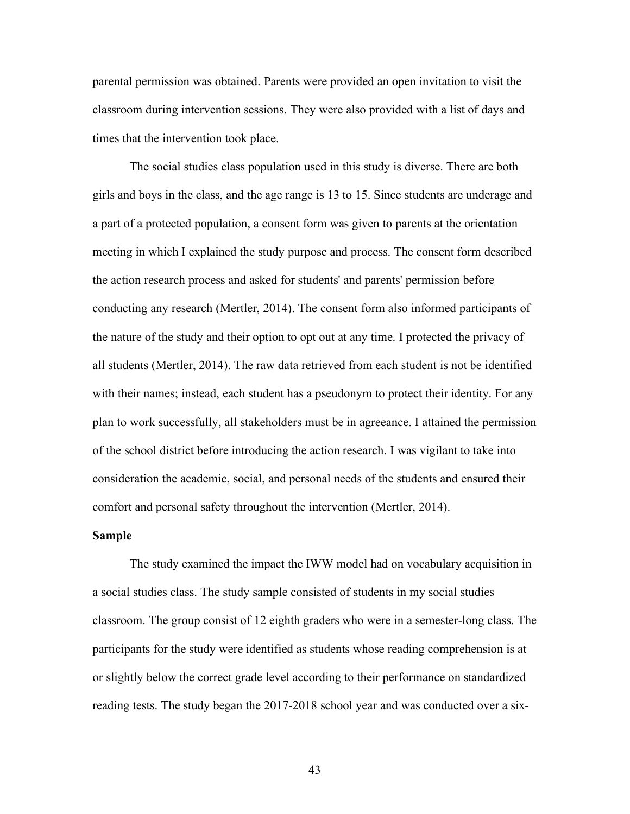parental permission was obtained. Parents were provided an open invitation to visit the classroom during intervention sessions. They were also provided with a list of days and times that the intervention took place.

The social studies class population used in this study is diverse. There are both girls and boys in the class, and the age range is 13 to 15. Since students are underage and a part of a protected population, a consent form was given to parents at the orientation meeting in which I explained the study purpose and process. The consent form described the action research process and asked for students' and parents' permission before conducting any research (Mertler, 2014). The consent form also informed participants of the nature of the study and their option to opt out at any time. I protected the privacy of all students (Mertler, 2014). The raw data retrieved from each student is not be identified with their names; instead, each student has a pseudonym to protect their identity. For any plan to work successfully, all stakeholders must be in agreeance. I attained the permission of the school district before introducing the action research. I was vigilant to take into consideration the academic, social, and personal needs of the students and ensured their comfort and personal safety throughout the intervention (Mertler, 2014).

#### **Sample**

The study examined the impact the IWW model had on vocabulary acquisition in a social studies class. The study sample consisted of students in my social studies classroom. The group consist of 12 eighth graders who were in a semester-long class. The participants for the study were identified as students whose reading comprehension is at or slightly below the correct grade level according to their performance on standardized reading tests. The study began the 2017-2018 school year and was conducted over a six-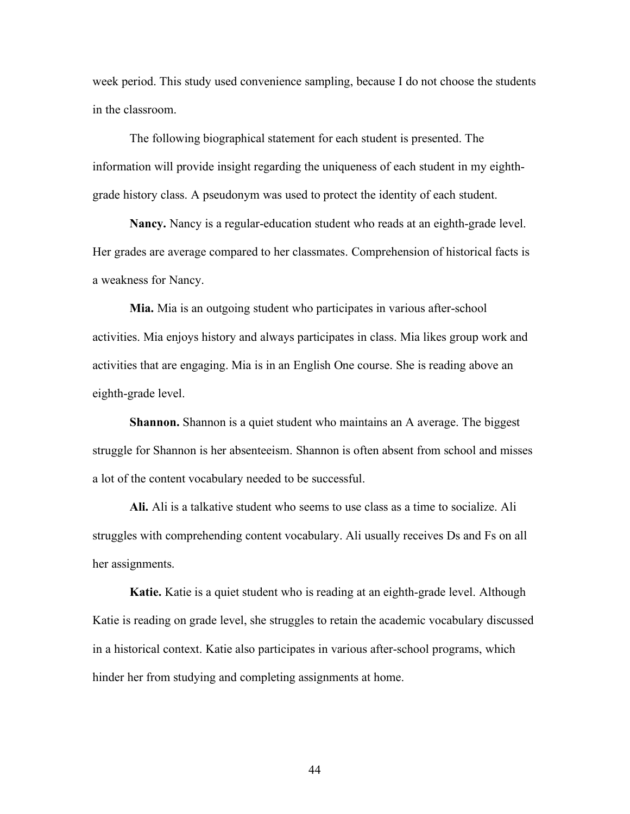week period. This study used convenience sampling, because I do not choose the students in the classroom.

The following biographical statement for each student is presented. The information will provide insight regarding the uniqueness of each student in my eighthgrade history class. A pseudonym was used to protect the identity of each student.

**Nancy.** Nancy is a regular-education student who reads at an eighth-grade level. Her grades are average compared to her classmates. Comprehension of historical facts is a weakness for Nancy.

**Mia.** Mia is an outgoing student who participates in various after-school activities. Mia enjoys history and always participates in class. Mia likes group work and activities that are engaging. Mia is in an English One course. She is reading above an eighth-grade level.

**Shannon.** Shannon is a quiet student who maintains an A average. The biggest struggle for Shannon is her absenteeism. Shannon is often absent from school and misses a lot of the content vocabulary needed to be successful.

**Ali.** Ali is a talkative student who seems to use class as a time to socialize. Ali struggles with comprehending content vocabulary. Ali usually receives Ds and Fs on all her assignments.

**Katie.** Katie is a quiet student who is reading at an eighth-grade level. Although Katie is reading on grade level, she struggles to retain the academic vocabulary discussed in a historical context. Katie also participates in various after-school programs, which hinder her from studying and completing assignments at home.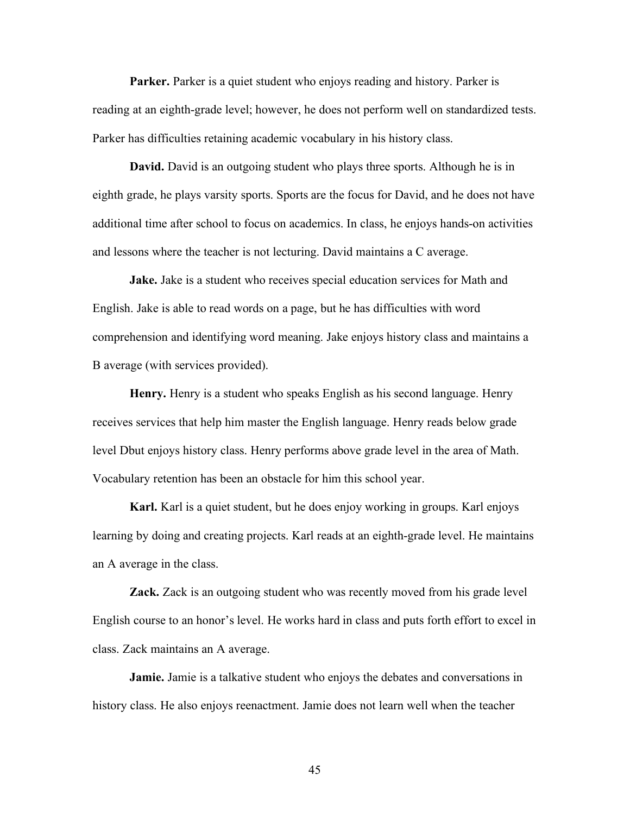**Parker.** Parker is a quiet student who enjoys reading and history. Parker is reading at an eighth-grade level; however, he does not perform well on standardized tests. Parker has difficulties retaining academic vocabulary in his history class.

**David.** David is an outgoing student who plays three sports. Although he is in eighth grade, he plays varsity sports. Sports are the focus for David, and he does not have additional time after school to focus on academics. In class, he enjoys hands-on activities and lessons where the teacher is not lecturing. David maintains a C average.

**Jake.** Jake is a student who receives special education services for Math and English. Jake is able to read words on a page, but he has difficulties with word comprehension and identifying word meaning. Jake enjoys history class and maintains a B average (with services provided).

**Henry.** Henry is a student who speaks English as his second language. Henry receives services that help him master the English language. Henry reads below grade level Dbut enjoys history class. Henry performs above grade level in the area of Math. Vocabulary retention has been an obstacle for him this school year.

**Karl.** Karl is a quiet student, but he does enjoy working in groups. Karl enjoys learning by doing and creating projects. Karl reads at an eighth-grade level. He maintains an A average in the class.

**Zack.** Zack is an outgoing student who was recently moved from his grade level English course to an honor's level. He works hard in class and puts forth effort to excel in class. Zack maintains an A average.

**Jamie.** Jamie is a talkative student who enjoys the debates and conversations in history class. He also enjoys reenactment. Jamie does not learn well when the teacher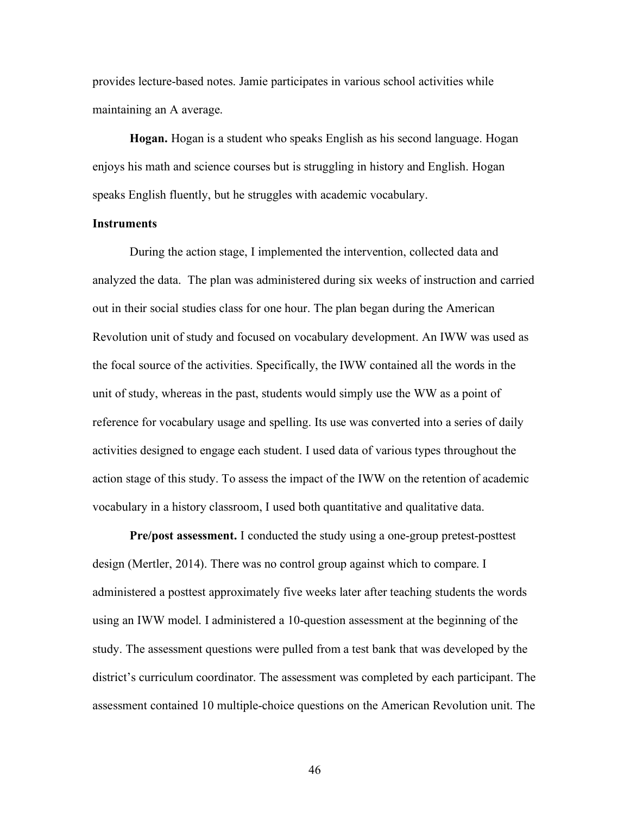provides lecture-based notes. Jamie participates in various school activities while maintaining an A average.

**Hogan.** Hogan is a student who speaks English as his second language. Hogan enjoys his math and science courses but is struggling in history and English. Hogan speaks English fluently, but he struggles with academic vocabulary.

## **Instruments**

During the action stage, I implemented the intervention, collected data and analyzed the data. The plan was administered during six weeks of instruction and carried out in their social studies class for one hour. The plan began during the American Revolution unit of study and focused on vocabulary development. An IWW was used as the focal source of the activities. Specifically, the IWW contained all the words in the unit of study, whereas in the past, students would simply use the WW as a point of reference for vocabulary usage and spelling. Its use was converted into a series of daily activities designed to engage each student. I used data of various types throughout the action stage of this study. To assess the impact of the IWW on the retention of academic vocabulary in a history classroom, I used both quantitative and qualitative data.

**Pre/post assessment.** I conducted the study using a one-group pretest-posttest design (Mertler, 2014). There was no control group against which to compare. I administered a posttest approximately five weeks later after teaching students the words using an IWW model. I administered a 10-question assessment at the beginning of the study. The assessment questions were pulled from a test bank that was developed by the district's curriculum coordinator. The assessment was completed by each participant. The assessment contained 10 multiple-choice questions on the American Revolution unit. The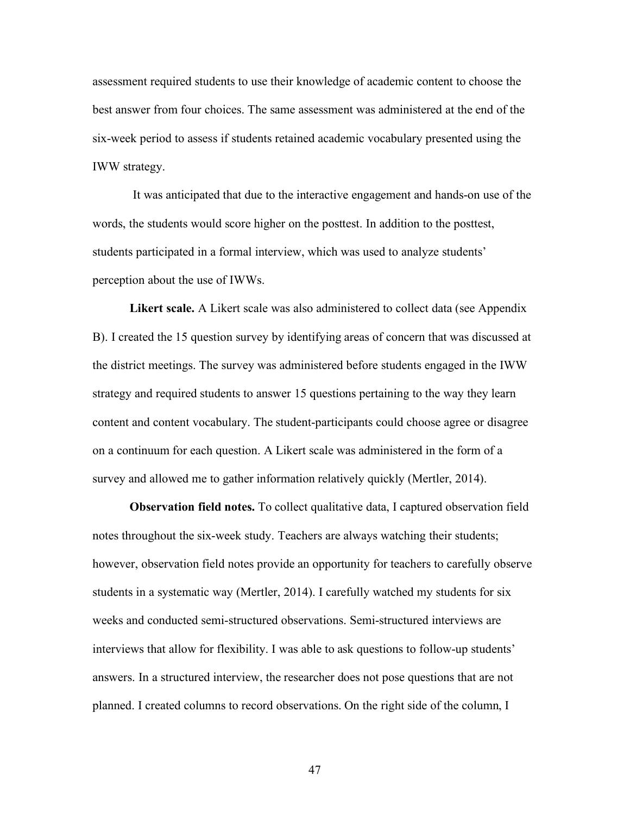assessment required students to use their knowledge of academic content to choose the best answer from four choices. The same assessment was administered at the end of the six-week period to assess if students retained academic vocabulary presented using the IWW strategy.

It was anticipated that due to the interactive engagement and hands-on use of the words, the students would score higher on the posttest. In addition to the posttest, students participated in a formal interview, which was used to analyze students' perception about the use of IWWs.

**Likert scale.** A Likert scale was also administered to collect data (see Appendix B). I created the 15 question survey by identifying areas of concern that was discussed at the district meetings. The survey was administered before students engaged in the IWW strategy and required students to answer 15 questions pertaining to the way they learn content and content vocabulary. The student-participants could choose agree or disagree on a continuum for each question. A Likert scale was administered in the form of a survey and allowed me to gather information relatively quickly (Mertler, 2014).

**Observation field notes.** To collect qualitative data, I captured observation field notes throughout the six-week study. Teachers are always watching their students; however, observation field notes provide an opportunity for teachers to carefully observe students in a systematic way (Mertler, 2014). I carefully watched my students for six weeks and conducted semi-structured observations. Semi-structured interviews are interviews that allow for flexibility. I was able to ask questions to follow-up students' answers. In a structured interview, the researcher does not pose questions that are not planned. I created columns to record observations. On the right side of the column, I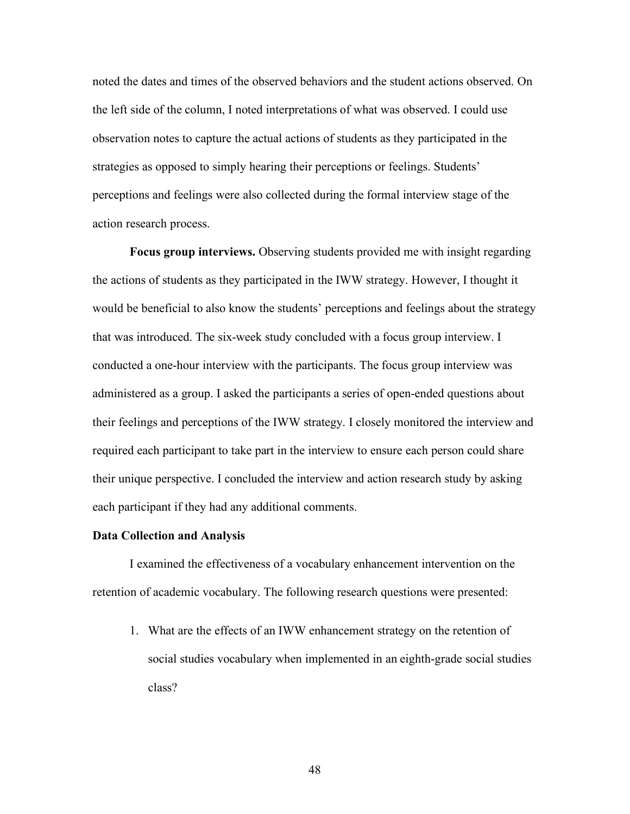noted the dates and times of the observed behaviors and the student actions observed. On the left side of the column, I noted interpretations of what was observed. I could use observation notes to capture the actual actions of students as they participated in the strategies as opposed to simply hearing their perceptions or feelings. Students' perceptions and feelings were also collected during the formal interview stage of the action research process.

**Focus group interviews.** Observing students provided me with insight regarding the actions of students as they participated in the IWW strategy. However, I thought it would be beneficial to also know the students' perceptions and feelings about the strategy that was introduced. The six-week study concluded with a focus group interview. I conducted a one-hour interview with the participants. The focus group interview was administered as a group. I asked the participants a series of open-ended questions about their feelings and perceptions of the IWW strategy. I closely monitored the interview and required each participant to take part in the interview to ensure each person could share their unique perspective. I concluded the interview and action research study by asking each participant if they had any additional comments.

## **Data Collection and Analysis**

I examined the effectiveness of a vocabulary enhancement intervention on the retention of academic vocabulary. The following research questions were presented:

1. What are the effects of an IWW enhancement strategy on the retention of social studies vocabulary when implemented in an eighth-grade social studies class?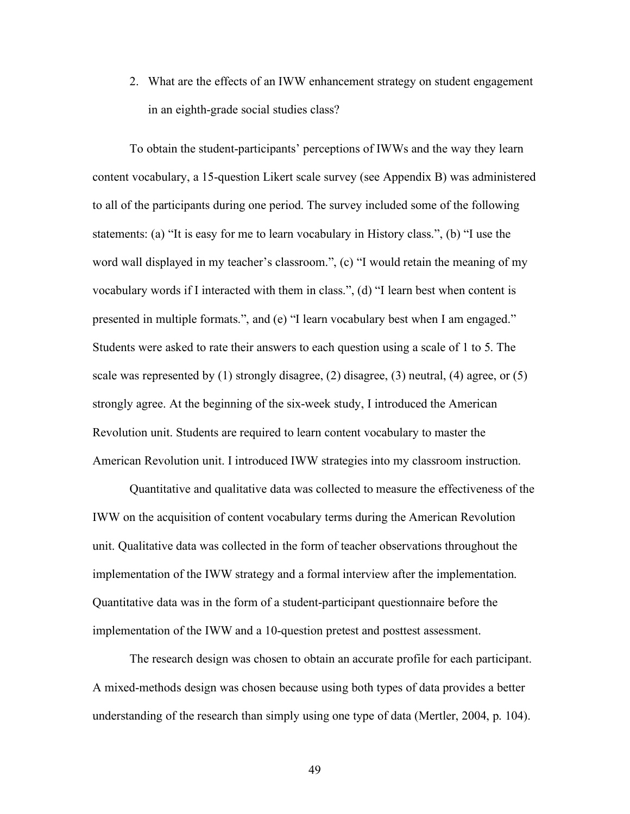2. What are the effects of an IWW enhancement strategy on student engagement in an eighth-grade social studies class?

To obtain the student-participants' perceptions of IWWs and the way they learn content vocabulary, a 15-question Likert scale survey (see Appendix B) was administered to all of the participants during one period. The survey included some of the following statements: (a) "It is easy for me to learn vocabulary in History class.", (b) "I use the word wall displayed in my teacher's classroom.", (c) "I would retain the meaning of my vocabulary words if I interacted with them in class.", (d) "I learn best when content is presented in multiple formats.", and (e) "I learn vocabulary best when I am engaged." Students were asked to rate their answers to each question using a scale of 1 to 5. The scale was represented by (1) strongly disagree, (2) disagree, (3) neutral, (4) agree, or (5) strongly agree. At the beginning of the six-week study, I introduced the American Revolution unit. Students are required to learn content vocabulary to master the American Revolution unit. I introduced IWW strategies into my classroom instruction.

Quantitative and qualitative data was collected to measure the effectiveness of the IWW on the acquisition of content vocabulary terms during the American Revolution unit. Qualitative data was collected in the form of teacher observations throughout the implementation of the IWW strategy and a formal interview after the implementation. Quantitative data was in the form of a student-participant questionnaire before the implementation of the IWW and a 10-question pretest and posttest assessment.

The research design was chosen to obtain an accurate profile for each participant. A mixed-methods design was chosen because using both types of data provides a better understanding of the research than simply using one type of data (Mertler, 2004, p. 104).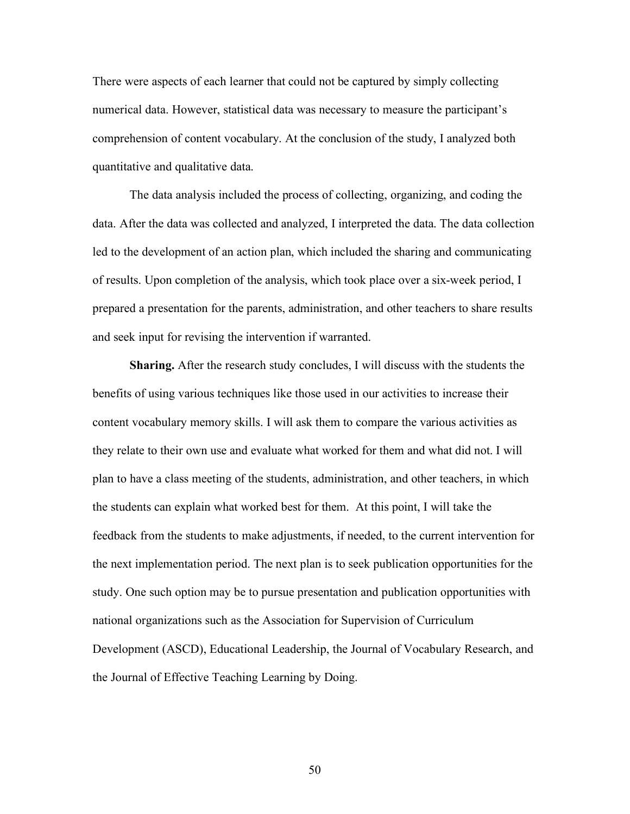There were aspects of each learner that could not be captured by simply collecting numerical data. However, statistical data was necessary to measure the participant's comprehension of content vocabulary. At the conclusion of the study, I analyzed both quantitative and qualitative data.

The data analysis included the process of collecting, organizing, and coding the data. After the data was collected and analyzed, I interpreted the data. The data collection led to the development of an action plan, which included the sharing and communicating of results. Upon completion of the analysis, which took place over a six-week period, I prepared a presentation for the parents, administration, and other teachers to share results and seek input for revising the intervention if warranted.

**Sharing.** After the research study concludes, I will discuss with the students the benefits of using various techniques like those used in our activities to increase their content vocabulary memory skills. I will ask them to compare the various activities as they relate to their own use and evaluate what worked for them and what did not. I will plan to have a class meeting of the students, administration, and other teachers, in which the students can explain what worked best for them. At this point, I will take the feedback from the students to make adjustments, if needed, to the current intervention for the next implementation period. The next plan is to seek publication opportunities for the study. One such option may be to pursue presentation and publication opportunities with national organizations such as the Association for Supervision of Curriculum Development (ASCD), Educational Leadership, the Journal of Vocabulary Research, and the Journal of Effective Teaching Learning by Doing.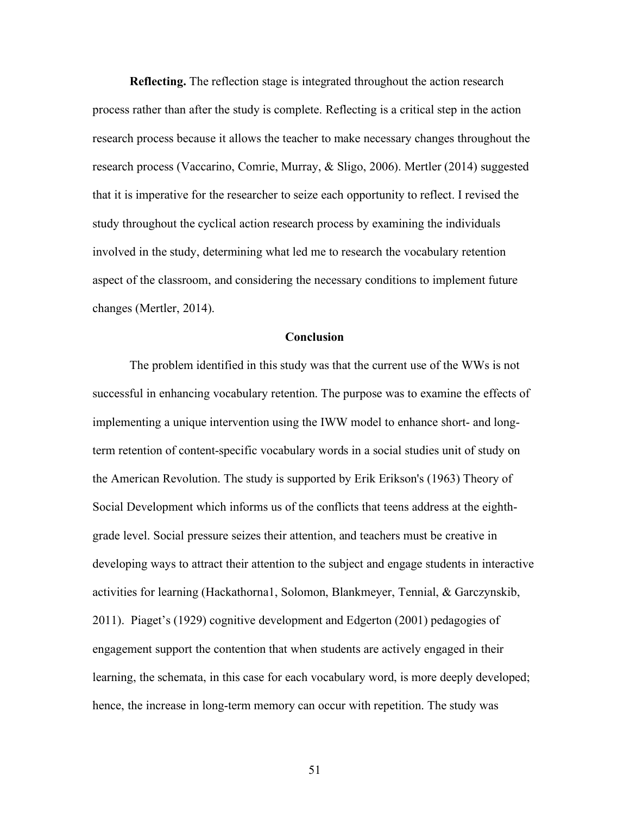**Reflecting.** The reflection stage is integrated throughout the action research process rather than after the study is complete. Reflecting is a critical step in the action research process because it allows the teacher to make necessary changes throughout the research process (Vaccarino, Comrie, Murray, & Sligo, 2006). Mertler (2014) suggested that it is imperative for the researcher to seize each opportunity to reflect. I revised the study throughout the cyclical action research process by examining the individuals involved in the study, determining what led me to research the vocabulary retention aspect of the classroom, and considering the necessary conditions to implement future changes (Mertler, 2014).

#### **Conclusion**

The problem identified in this study was that the current use of the WWs is not successful in enhancing vocabulary retention. The purpose was to examine the effects of implementing a unique intervention using the IWW model to enhance short- and longterm retention of content-specific vocabulary words in a social studies unit of study on the American Revolution. The study is supported by Erik Erikson's (1963) Theory of Social Development which informs us of the conflicts that teens address at the eighthgrade level. Social pressure seizes their attention, and teachers must be creative in developing ways to attract their attention to the subject and engage students in interactive activities for learning (Hackathorna1, Solomon, Blankmeyer, Tennial, & Garczynskib, 2011). Piaget's (1929) cognitive development and Edgerton (2001) pedagogies of engagement support the contention that when students are actively engaged in their learning, the schemata, in this case for each vocabulary word, is more deeply developed; hence, the increase in long-term memory can occur with repetition. The study was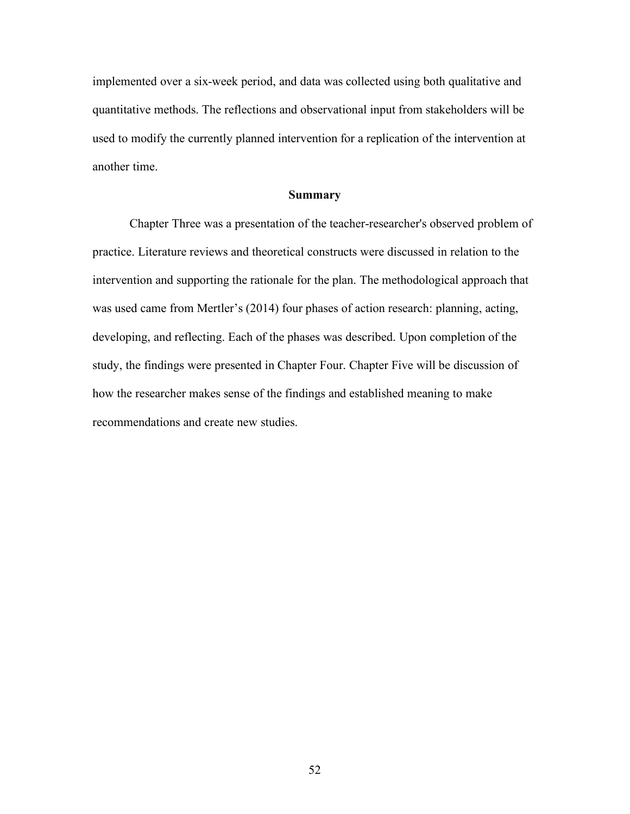implemented over a six-week period, and data was collected using both qualitative and quantitative methods. The reflections and observational input from stakeholders will be used to modify the currently planned intervention for a replication of the intervention at another time.

#### **Summary**

Chapter Three was a presentation of the teacher-researcher's observed problem of practice. Literature reviews and theoretical constructs were discussed in relation to the intervention and supporting the rationale for the plan. The methodological approach that was used came from Mertler's (2014) four phases of action research: planning, acting, developing, and reflecting. Each of the phases was described. Upon completion of the study, the findings were presented in Chapter Four. Chapter Five will be discussion of how the researcher makes sense of the findings and established meaning to make recommendations and create new studies.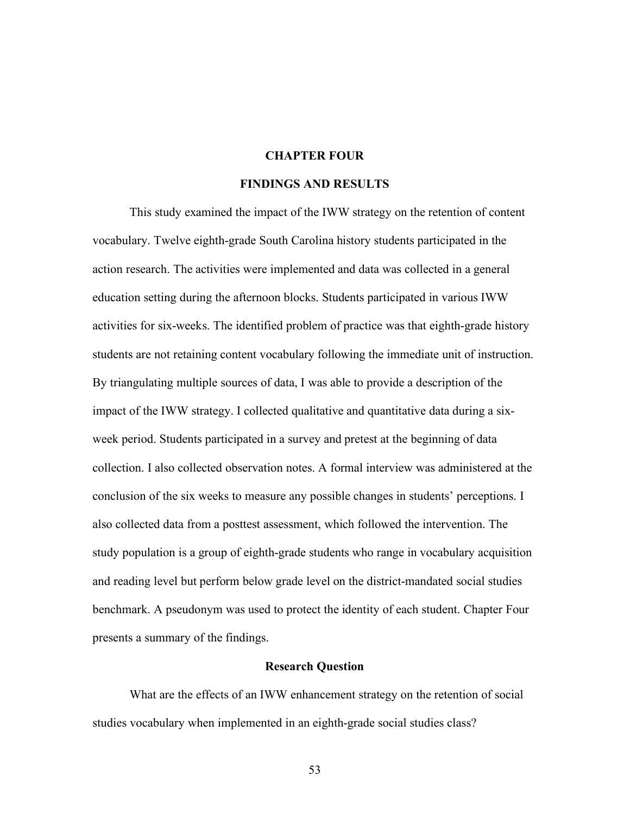# **CHAPTER FOUR**

## **FINDINGS AND RESULTS**

This study examined the impact of the IWW strategy on the retention of content vocabulary. Twelve eighth-grade South Carolina history students participated in the action research. The activities were implemented and data was collected in a general education setting during the afternoon blocks. Students participated in various IWW activities for six-weeks. The identified problem of practice was that eighth-grade history students are not retaining content vocabulary following the immediate unit of instruction. By triangulating multiple sources of data, I was able to provide a description of the impact of the IWW strategy. I collected qualitative and quantitative data during a sixweek period. Students participated in a survey and pretest at the beginning of data collection. I also collected observation notes. A formal interview was administered at the conclusion of the six weeks to measure any possible changes in students' perceptions. I also collected data from a posttest assessment, which followed the intervention. The study population is a group of eighth-grade students who range in vocabulary acquisition and reading level but perform below grade level on the district-mandated social studies benchmark. A pseudonym was used to protect the identity of each student. Chapter Four presents a summary of the findings.

#### **Research Question**

What are the effects of an IWW enhancement strategy on the retention of social studies vocabulary when implemented in an eighth-grade social studies class?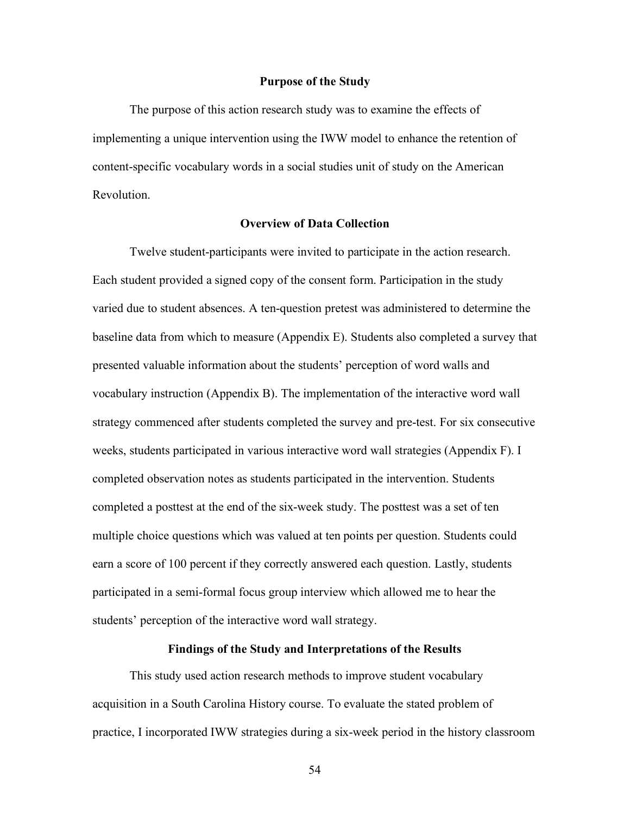#### **Purpose of the Study**

The purpose of this action research study was to examine the effects of implementing a unique intervention using the IWW model to enhance the retention of content-specific vocabulary words in a social studies unit of study on the American Revolution.

## **Overview of Data Collection**

Twelve student-participants were invited to participate in the action research. Each student provided a signed copy of the consent form. Participation in the study varied due to student absences. A ten-question pretest was administered to determine the baseline data from which to measure (Appendix E). Students also completed a survey that presented valuable information about the students' perception of word walls and vocabulary instruction (Appendix B). The implementation of the interactive word wall strategy commenced after students completed the survey and pre-test. For six consecutive weeks, students participated in various interactive word wall strategies (Appendix F). I completed observation notes as students participated in the intervention. Students completed a posttest at the end of the six-week study. The posttest was a set of ten multiple choice questions which was valued at ten points per question. Students could earn a score of 100 percent if they correctly answered each question. Lastly, students participated in a semi-formal focus group interview which allowed me to hear the students' perception of the interactive word wall strategy.

#### **Findings of the Study and Interpretations of the Results**

This study used action research methods to improve student vocabulary acquisition in a South Carolina History course. To evaluate the stated problem of practice, I incorporated IWW strategies during a six-week period in the history classroom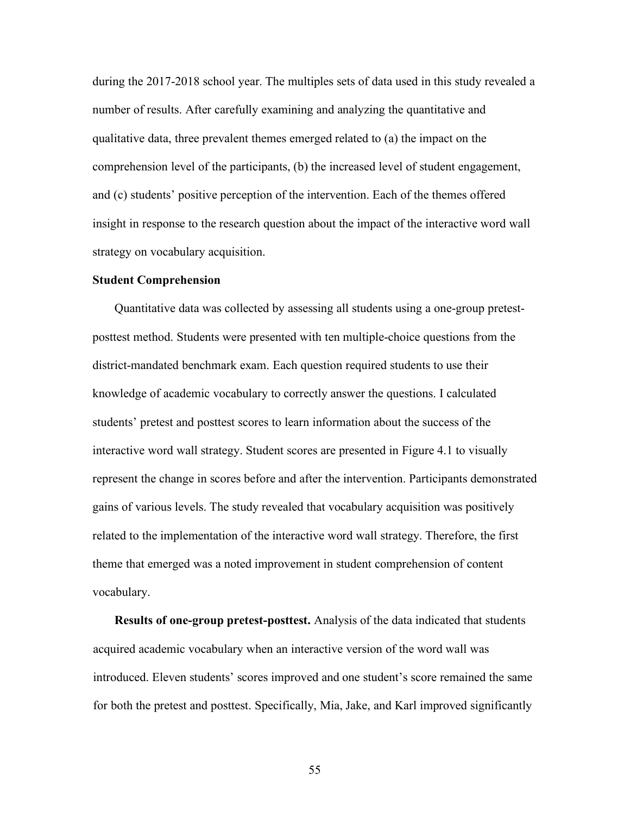during the 2017-2018 school year. The multiples sets of data used in this study revealed a number of results. After carefully examining and analyzing the quantitative and qualitative data, three prevalent themes emerged related to (a) the impact on the comprehension level of the participants, (b) the increased level of student engagement, and (c) students' positive perception of the intervention. Each of the themes offered insight in response to the research question about the impact of the interactive word wall strategy on vocabulary acquisition.

#### **Student Comprehension**

Quantitative data was collected by assessing all students using a one-group pretestposttest method. Students were presented with ten multiple-choice questions from the district-mandated benchmark exam. Each question required students to use their knowledge of academic vocabulary to correctly answer the questions. I calculated students' pretest and posttest scores to learn information about the success of the interactive word wall strategy. Student scores are presented in Figure 4.1 to visually represent the change in scores before and after the intervention. Participants demonstrated gains of various levels. The study revealed that vocabulary acquisition was positively related to the implementation of the interactive word wall strategy. Therefore, the first theme that emerged was a noted improvement in student comprehension of content vocabulary.

**Results of one-group pretest-posttest.** Analysis of the data indicated that students acquired academic vocabulary when an interactive version of the word wall was introduced. Eleven students' scores improved and one student's score remained the same for both the pretest and posttest. Specifically, Mia, Jake, and Karl improved significantly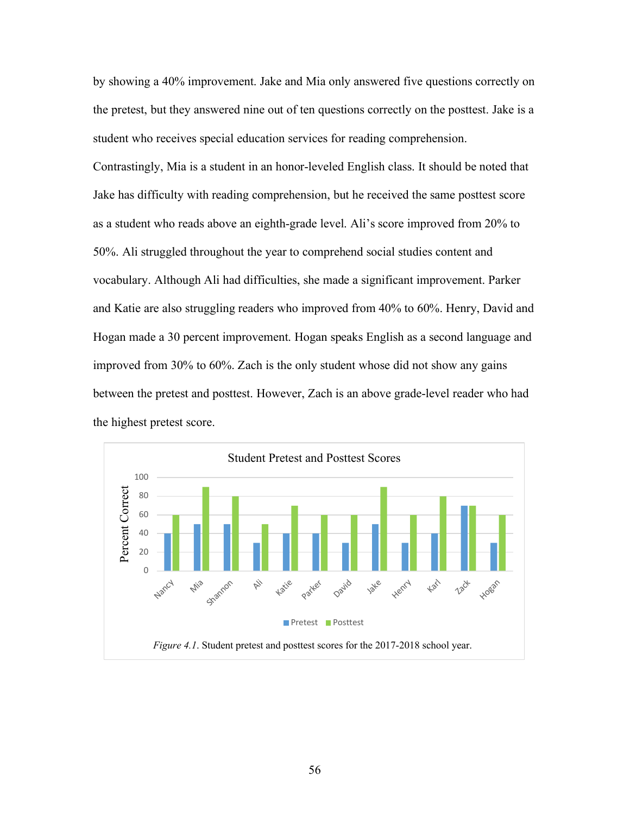by showing a 40% improvement. Jake and Mia only answered five questions correctly on the pretest, but they answered nine out of ten questions correctly on the posttest. Jake is a student who receives special education services for reading comprehension.

Contrastingly, Mia is a student in an honor-leveled English class. It should be noted that Jake has difficulty with reading comprehension, but he received the same posttest score as a student who reads above an eighth-grade level. Ali's score improved from 20% to 50%. Ali struggled throughout the year to comprehend social studies content and vocabulary. Although Ali had difficulties, she made a significant improvement. Parker and Katie are also struggling readers who improved from 40% to 60%. Henry, David and Hogan made a 30 percent improvement. Hogan speaks English as a second language and improved from 30% to 60%. Zach is the only student whose did not show any gains between the pretest and posttest. However, Zach is an above grade-level reader who had the highest pretest score.

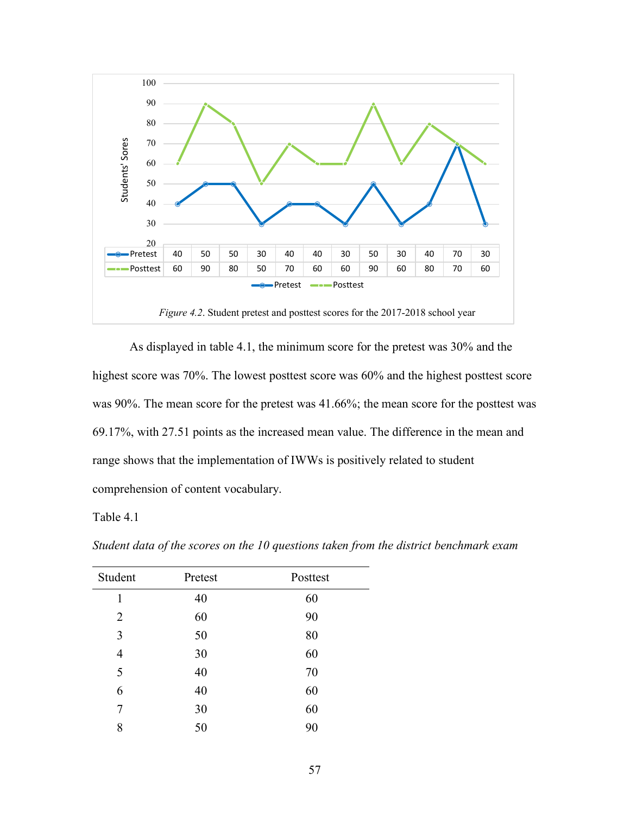

As displayed in table 4.1, the minimum score for the pretest was 30% and the highest score was 70%. The lowest posttest score was 60% and the highest posttest score was 90%. The mean score for the pretest was 41.66%; the mean score for the posttest was 69.17%, with 27.51 points as the increased mean value. The difference in the mean and range shows that the implementation of IWWs is positively related to student comprehension of content vocabulary.

## Table 4.1

| Student        | Pretest | Posttest |
|----------------|---------|----------|
| 1              | 40      | 60       |
| 2              | 60      | 90       |
| 3              | 50      | 80       |
| $\overline{4}$ | 30      | 60       |
| 5              | 40      | 70       |
| 6              | 40      | 60       |
| 7              | 30      | 60       |
| 8              | 50      | 90       |

*Student data of the scores on the 10 questions taken from the district benchmark exam*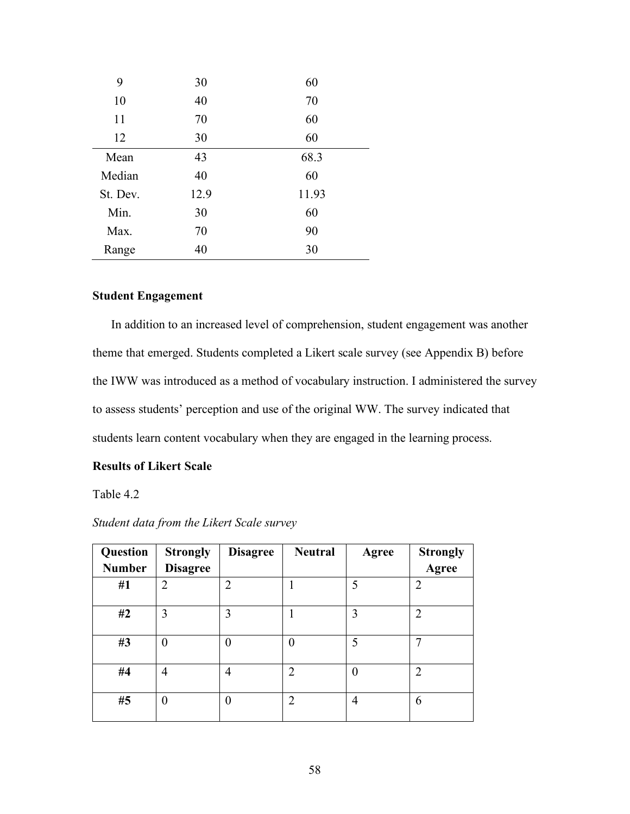| 9        | 30   | 60    |
|----------|------|-------|
| 10       | 40   | 70    |
| 11       | 70   | 60    |
| 12       | 30   | 60    |
| Mean     | 43   | 68.3  |
| Median   | 40   | 60    |
| St. Dev. | 12.9 | 11.93 |
| Min.     | 30   | 60    |
| Max.     | 70   | 90    |
| Range    | 40   | 30    |

# **Student Engagement**

In addition to an increased level of comprehension, student engagement was another theme that emerged. Students completed a Likert scale survey (see Appendix B) before the IWW was introduced as a method of vocabulary instruction. I administered the survey to assess students' perception and use of the original WW. The survey indicated that students learn content vocabulary when they are engaged in the learning process.

# **Results of Likert Scale**

Table 4.2

| Question      | <b>Strongly</b> | <b>Disagree</b> | <b>Neutral</b> | Agree    | <b>Strongly</b> |
|---------------|-----------------|-----------------|----------------|----------|-----------------|
| <b>Number</b> | <b>Disagree</b> |                 |                |          | Agree           |
| #1            | 2               | 2               |                | 5        | $\overline{2}$  |
| #2            | 3               | 3               |                | 3        | $\overline{2}$  |
| #3            | 0               | $\mathbf{0}$    | 0              | 5        | 7               |
| #4            | $\overline{4}$  | 4               | $\overline{2}$ | $\theta$ | $\overline{2}$  |
| #5            | $\theta$        | $\theta$        | $\overline{2}$ | 4        | 6               |

*Student data from the Likert Scale survey*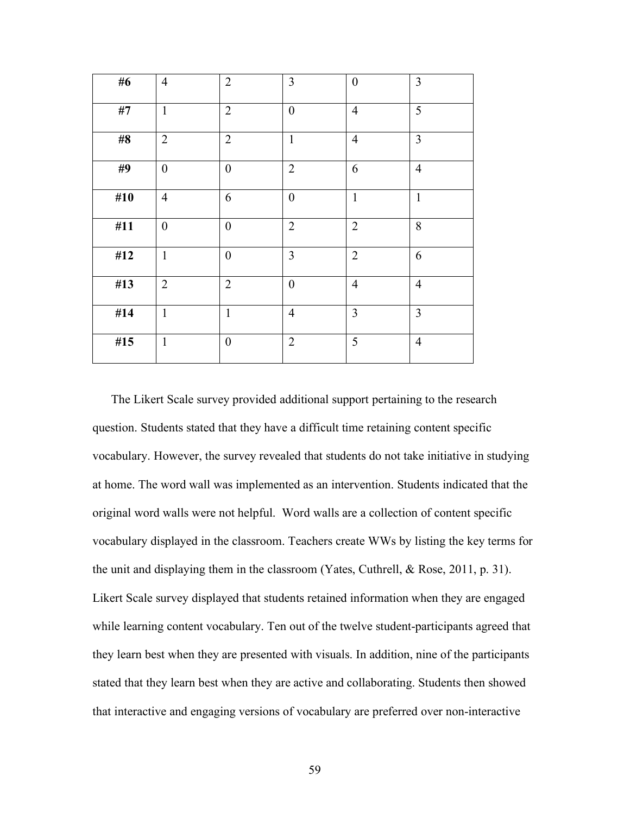| #6    | $\overline{4}$   | $\overline{2}$ | $\overline{3}$   | $\boldsymbol{0}$ | $\mathfrak{Z}$ |
|-------|------------------|----------------|------------------|------------------|----------------|
| $\#7$ | $\mathbf{1}$     | $\overline{2}$ | $\boldsymbol{0}$ | $\overline{4}$   | 5              |
| $\#8$ | $\overline{2}$   | $\overline{2}$ | $\mathbf{1}$     | $\overline{4}$   | $\overline{3}$ |
| #9    | $\mathbf{0}$     | $\overline{0}$ | $\overline{2}$   | 6                | $\overline{4}$ |
| #10   | $\overline{4}$   | 6              | $\boldsymbol{0}$ | $\mathbf{1}$     | $\mathbf{1}$   |
| #11   | $\boldsymbol{0}$ | $\overline{0}$ | $\overline{2}$   | $\overline{2}$   | 8              |
| #12   | $\mathbf{1}$     | $\overline{0}$ | $\overline{3}$   | $\overline{2}$   | 6              |
| #13   | $\overline{2}$   | $\overline{2}$ | $\overline{0}$   | $\overline{4}$   | $\overline{4}$ |
| #14   | $\mathbf{1}$     | $\mathbf{1}$   | $\overline{4}$   | 3                | $\overline{3}$ |
| #15   | $\mathbf{1}$     | $\mathbf{0}$   | $\overline{2}$   | 5                | $\overline{4}$ |

The Likert Scale survey provided additional support pertaining to the research question. Students stated that they have a difficult time retaining content specific vocabulary. However, the survey revealed that students do not take initiative in studying at home. The word wall was implemented as an intervention. Students indicated that the original word walls were not helpful. Word walls are a collection of content specific vocabulary displayed in the classroom. Teachers create WWs by listing the key terms for the unit and displaying them in the classroom (Yates, Cuthrell, & Rose, 2011, p. 31). Likert Scale survey displayed that students retained information when they are engaged while learning content vocabulary. Ten out of the twelve student-participants agreed that they learn best when they are presented with visuals. In addition, nine of the participants stated that they learn best when they are active and collaborating. Students then showed that interactive and engaging versions of vocabulary are preferred over non-interactive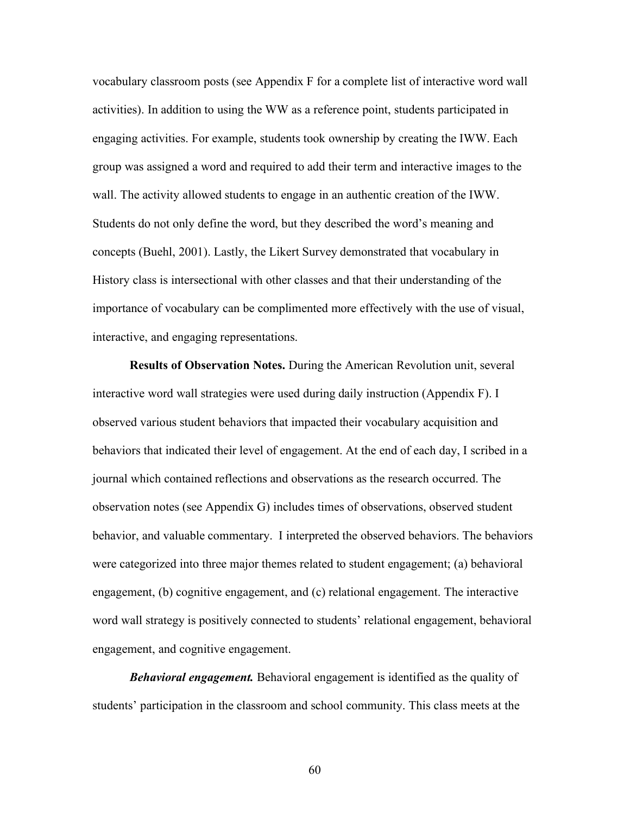vocabulary classroom posts (see Appendix F for a complete list of interactive word wall activities). In addition to using the WW as a reference point, students participated in engaging activities. For example, students took ownership by creating the IWW. Each group was assigned a word and required to add their term and interactive images to the wall. The activity allowed students to engage in an authentic creation of the IWW. Students do not only define the word, but they described the word's meaning and concepts (Buehl, 2001). Lastly, the Likert Survey demonstrated that vocabulary in History class is intersectional with other classes and that their understanding of the importance of vocabulary can be complimented more effectively with the use of visual, interactive, and engaging representations.

**Results of Observation Notes.** During the American Revolution unit, several interactive word wall strategies were used during daily instruction (Appendix F). I observed various student behaviors that impacted their vocabulary acquisition and behaviors that indicated their level of engagement. At the end of each day, I scribed in a journal which contained reflections and observations as the research occurred. The observation notes (see Appendix G) includes times of observations, observed student behavior, and valuable commentary. I interpreted the observed behaviors. The behaviors were categorized into three major themes related to student engagement; (a) behavioral engagement, (b) cognitive engagement, and (c) relational engagement. The interactive word wall strategy is positively connected to students' relational engagement, behavioral engagement, and cognitive engagement.

*Behavioral engagement.* Behavioral engagement is identified as the quality of students' participation in the classroom and school community. This class meets at the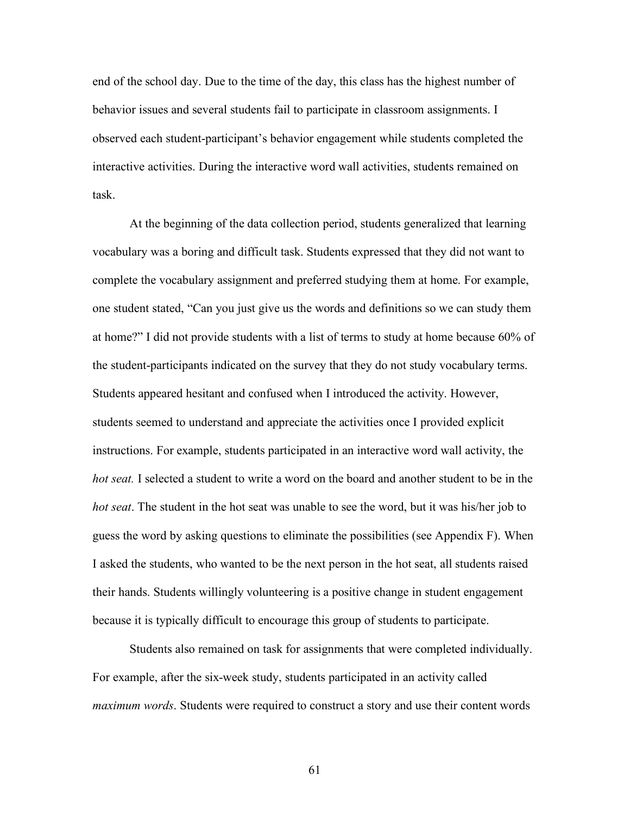end of the school day. Due to the time of the day, this class has the highest number of behavior issues and several students fail to participate in classroom assignments. I observed each student-participant's behavior engagement while students completed the interactive activities. During the interactive word wall activities, students remained on task.

At the beginning of the data collection period, students generalized that learning vocabulary was a boring and difficult task. Students expressed that they did not want to complete the vocabulary assignment and preferred studying them at home. For example, one student stated, "Can you just give us the words and definitions so we can study them at home?" I did not provide students with a list of terms to study at home because 60% of the student-participants indicated on the survey that they do not study vocabulary terms. Students appeared hesitant and confused when I introduced the activity. However, students seemed to understand and appreciate the activities once I provided explicit instructions. For example, students participated in an interactive word wall activity, the *hot seat.* I selected a student to write a word on the board and another student to be in the *hot seat*. The student in the hot seat was unable to see the word, but it was his/her job to guess the word by asking questions to eliminate the possibilities (see Appendix F). When I asked the students, who wanted to be the next person in the hot seat, all students raised their hands. Students willingly volunteering is a positive change in student engagement because it is typically difficult to encourage this group of students to participate.

Students also remained on task for assignments that were completed individually. For example, after the six-week study, students participated in an activity called *maximum words*. Students were required to construct a story and use their content words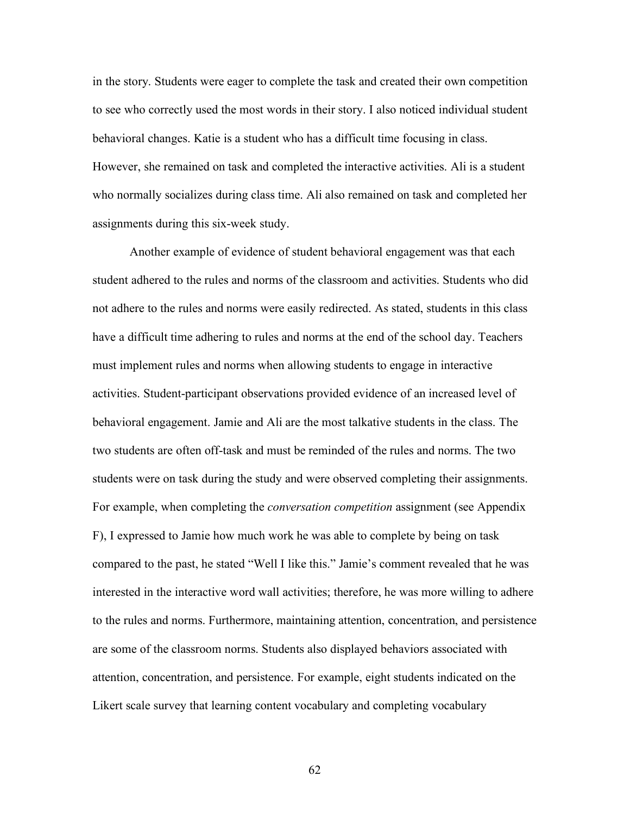in the story. Students were eager to complete the task and created their own competition to see who correctly used the most words in their story. I also noticed individual student behavioral changes. Katie is a student who has a difficult time focusing in class. However, she remained on task and completed the interactive activities. Ali is a student who normally socializes during class time. Ali also remained on task and completed her assignments during this six-week study.

Another example of evidence of student behavioral engagement was that each student adhered to the rules and norms of the classroom and activities. Students who did not adhere to the rules and norms were easily redirected. As stated, students in this class have a difficult time adhering to rules and norms at the end of the school day. Teachers must implement rules and norms when allowing students to engage in interactive activities. Student-participant observations provided evidence of an increased level of behavioral engagement. Jamie and Ali are the most talkative students in the class. The two students are often off-task and must be reminded of the rules and norms. The two students were on task during the study and were observed completing their assignments. For example, when completing the *conversation competition* assignment (see Appendix F), I expressed to Jamie how much work he was able to complete by being on task compared to the past, he stated "Well I like this." Jamie's comment revealed that he was interested in the interactive word wall activities; therefore, he was more willing to adhere to the rules and norms. Furthermore, maintaining attention, concentration, and persistence are some of the classroom norms. Students also displayed behaviors associated with attention, concentration, and persistence. For example, eight students indicated on the Likert scale survey that learning content vocabulary and completing vocabulary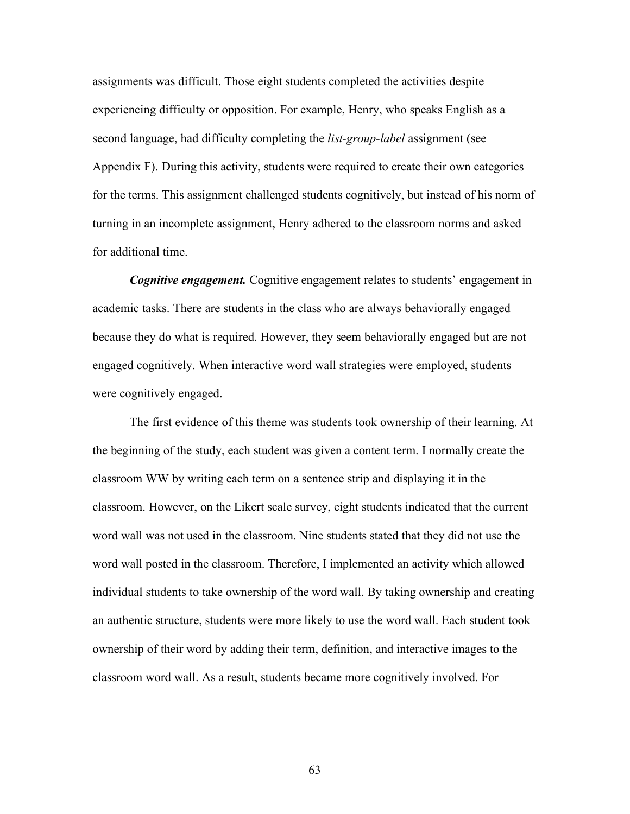assignments was difficult. Those eight students completed the activities despite experiencing difficulty or opposition. For example, Henry, who speaks English as a second language, had difficulty completing the *list-group-label* assignment (see Appendix F). During this activity, students were required to create their own categories for the terms. This assignment challenged students cognitively, but instead of his norm of turning in an incomplete assignment, Henry adhered to the classroom norms and asked for additional time.

*Cognitive engagement.* Cognitive engagement relates to students' engagement in academic tasks. There are students in the class who are always behaviorally engaged because they do what is required. However, they seem behaviorally engaged but are not engaged cognitively. When interactive word wall strategies were employed, students were cognitively engaged.

The first evidence of this theme was students took ownership of their learning. At the beginning of the study, each student was given a content term. I normally create the classroom WW by writing each term on a sentence strip and displaying it in the classroom. However, on the Likert scale survey, eight students indicated that the current word wall was not used in the classroom. Nine students stated that they did not use the word wall posted in the classroom. Therefore, I implemented an activity which allowed individual students to take ownership of the word wall. By taking ownership and creating an authentic structure, students were more likely to use the word wall. Each student took ownership of their word by adding their term, definition, and interactive images to the classroom word wall. As a result, students became more cognitively involved. For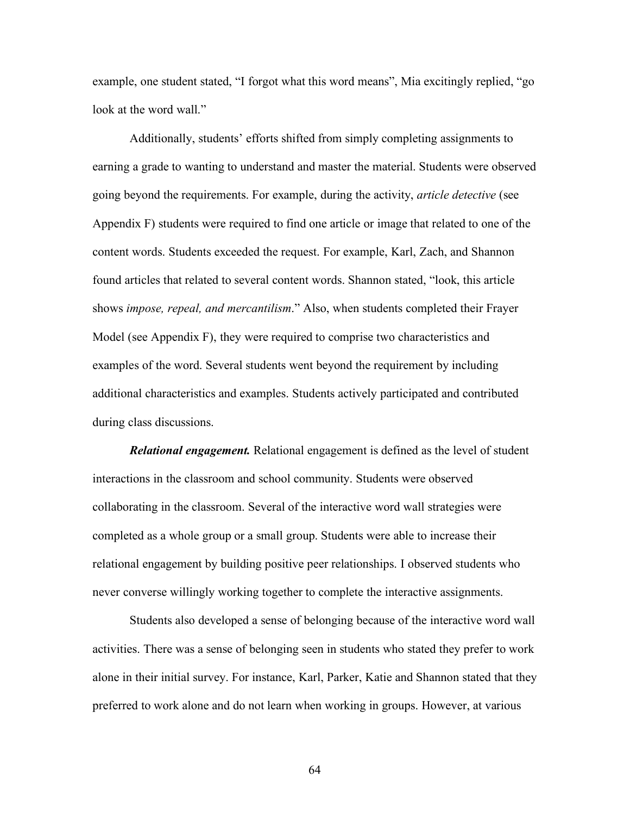example, one student stated, "I forgot what this word means", Mia excitingly replied, "go look at the word wall."

Additionally, students' efforts shifted from simply completing assignments to earning a grade to wanting to understand and master the material. Students were observed going beyond the requirements. For example, during the activity, *article detective* (see Appendix F) students were required to find one article or image that related to one of the content words. Students exceeded the request. For example, Karl, Zach, and Shannon found articles that related to several content words. Shannon stated, "look, this article shows *impose, repeal, and mercantilism*." Also, when students completed their Frayer Model (see Appendix F), they were required to comprise two characteristics and examples of the word. Several students went beyond the requirement by including additional characteristics and examples. Students actively participated and contributed during class discussions.

*Relational engagement.* Relational engagement is defined as the level of student interactions in the classroom and school community. Students were observed collaborating in the classroom. Several of the interactive word wall strategies were completed as a whole group or a small group. Students were able to increase their relational engagement by building positive peer relationships. I observed students who never converse willingly working together to complete the interactive assignments.

Students also developed a sense of belonging because of the interactive word wall activities. There was a sense of belonging seen in students who stated they prefer to work alone in their initial survey. For instance, Karl, Parker, Katie and Shannon stated that they preferred to work alone and do not learn when working in groups. However, at various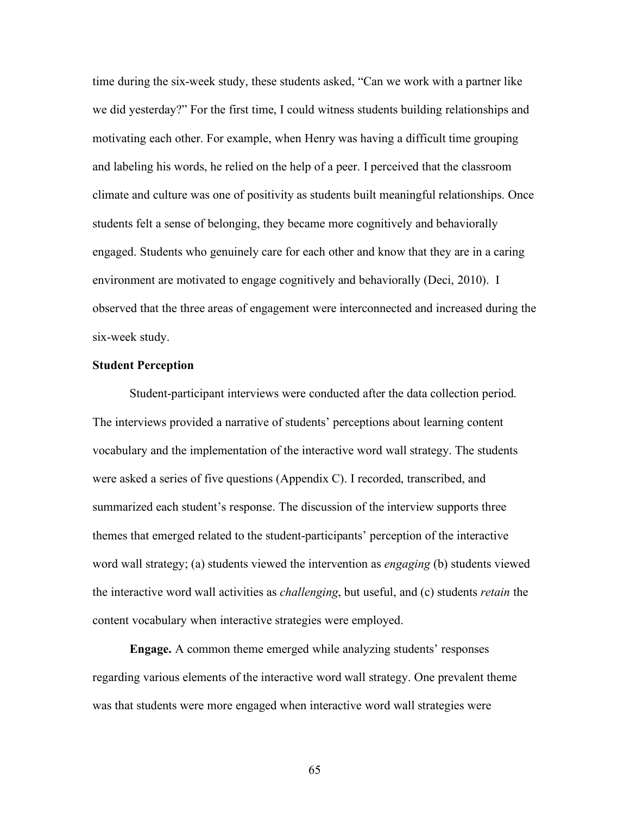time during the six-week study, these students asked, "Can we work with a partner like we did yesterday?" For the first time, I could witness students building relationships and motivating each other. For example, when Henry was having a difficult time grouping and labeling his words, he relied on the help of a peer. I perceived that the classroom climate and culture was one of positivity as students built meaningful relationships. Once students felt a sense of belonging, they became more cognitively and behaviorally engaged. Students who genuinely care for each other and know that they are in a caring environment are motivated to engage cognitively and behaviorally (Deci, 2010). I observed that the three areas of engagement were interconnected and increased during the six-week study.

#### **Student Perception**

Student-participant interviews were conducted after the data collection period. The interviews provided a narrative of students' perceptions about learning content vocabulary and the implementation of the interactive word wall strategy. The students were asked a series of five questions (Appendix C). I recorded, transcribed, and summarized each student's response. The discussion of the interview supports three themes that emerged related to the student-participants' perception of the interactive word wall strategy; (a) students viewed the intervention as *engaging* (b) students viewed the interactive word wall activities as *challenging*, but useful, and (c) students *retain* the content vocabulary when interactive strategies were employed.

**Engage.** A common theme emerged while analyzing students' responses regarding various elements of the interactive word wall strategy. One prevalent theme was that students were more engaged when interactive word wall strategies were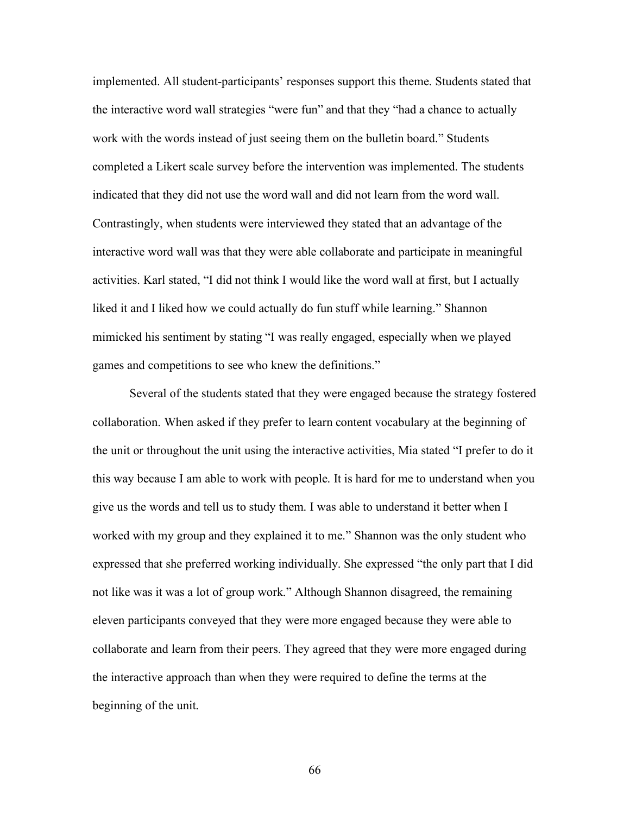implemented. All student-participants' responses support this theme. Students stated that the interactive word wall strategies "were fun" and that they "had a chance to actually work with the words instead of just seeing them on the bulletin board." Students completed a Likert scale survey before the intervention was implemented. The students indicated that they did not use the word wall and did not learn from the word wall. Contrastingly, when students were interviewed they stated that an advantage of the interactive word wall was that they were able collaborate and participate in meaningful activities. Karl stated, "I did not think I would like the word wall at first, but I actually liked it and I liked how we could actually do fun stuff while learning." Shannon mimicked his sentiment by stating "I was really engaged, especially when we played games and competitions to see who knew the definitions."

Several of the students stated that they were engaged because the strategy fostered collaboration. When asked if they prefer to learn content vocabulary at the beginning of the unit or throughout the unit using the interactive activities, Mia stated "I prefer to do it this way because I am able to work with people. It is hard for me to understand when you give us the words and tell us to study them. I was able to understand it better when I worked with my group and they explained it to me." Shannon was the only student who expressed that she preferred working individually. She expressed "the only part that I did not like was it was a lot of group work." Although Shannon disagreed, the remaining eleven participants conveyed that they were more engaged because they were able to collaborate and learn from their peers. They agreed that they were more engaged during the interactive approach than when they were required to define the terms at the beginning of the unit.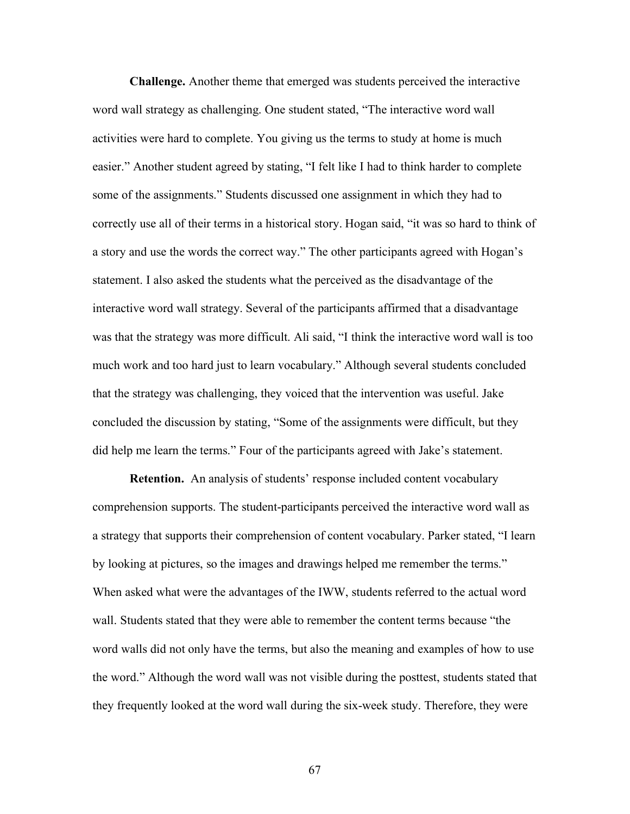**Challenge.** Another theme that emerged was students perceived the interactive word wall strategy as challenging. One student stated, "The interactive word wall activities were hard to complete. You giving us the terms to study at home is much easier." Another student agreed by stating, "I felt like I had to think harder to complete some of the assignments." Students discussed one assignment in which they had to correctly use all of their terms in a historical story. Hogan said, "it was so hard to think of a story and use the words the correct way." The other participants agreed with Hogan's statement. I also asked the students what the perceived as the disadvantage of the interactive word wall strategy. Several of the participants affirmed that a disadvantage was that the strategy was more difficult. Ali said, "I think the interactive word wall is too much work and too hard just to learn vocabulary." Although several students concluded that the strategy was challenging, they voiced that the intervention was useful. Jake concluded the discussion by stating, "Some of the assignments were difficult, but they did help me learn the terms." Four of the participants agreed with Jake's statement.

**Retention.** An analysis of students' response included content vocabulary comprehension supports. The student-participants perceived the interactive word wall as a strategy that supports their comprehension of content vocabulary. Parker stated, "I learn by looking at pictures, so the images and drawings helped me remember the terms." When asked what were the advantages of the IWW, students referred to the actual word wall. Students stated that they were able to remember the content terms because "the word walls did not only have the terms, but also the meaning and examples of how to use the word." Although the word wall was not visible during the posttest, students stated that they frequently looked at the word wall during the six-week study. Therefore, they were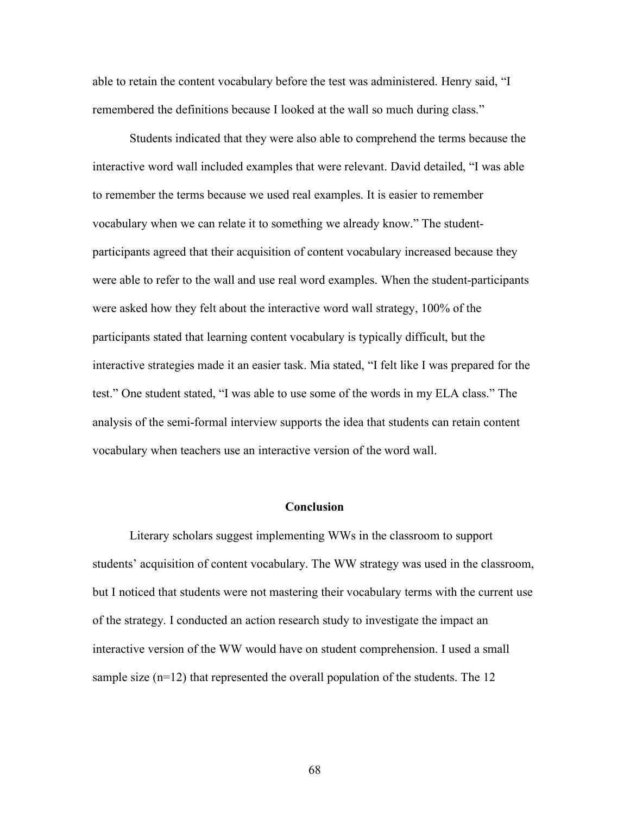able to retain the content vocabulary before the test was administered. Henry said, "I remembered the definitions because I looked at the wall so much during class."

Students indicated that they were also able to comprehend the terms because the interactive word wall included examples that were relevant. David detailed, "I was able to remember the terms because we used real examples. It is easier to remember vocabulary when we can relate it to something we already know." The studentparticipants agreed that their acquisition of content vocabulary increased because they were able to refer to the wall and use real word examples. When the student-participants were asked how they felt about the interactive word wall strategy, 100% of the participants stated that learning content vocabulary is typically difficult, but the interactive strategies made it an easier task. Mia stated, "I felt like I was prepared for the test." One student stated, "I was able to use some of the words in my ELA class." The analysis of the semi-formal interview supports the idea that students can retain content vocabulary when teachers use an interactive version of the word wall.

#### **Conclusion**

Literary scholars suggest implementing WWs in the classroom to support students' acquisition of content vocabulary. The WW strategy was used in the classroom, but I noticed that students were not mastering their vocabulary terms with the current use of the strategy. I conducted an action research study to investigate the impact an interactive version of the WW would have on student comprehension. I used a small sample size (n=12) that represented the overall population of the students. The 12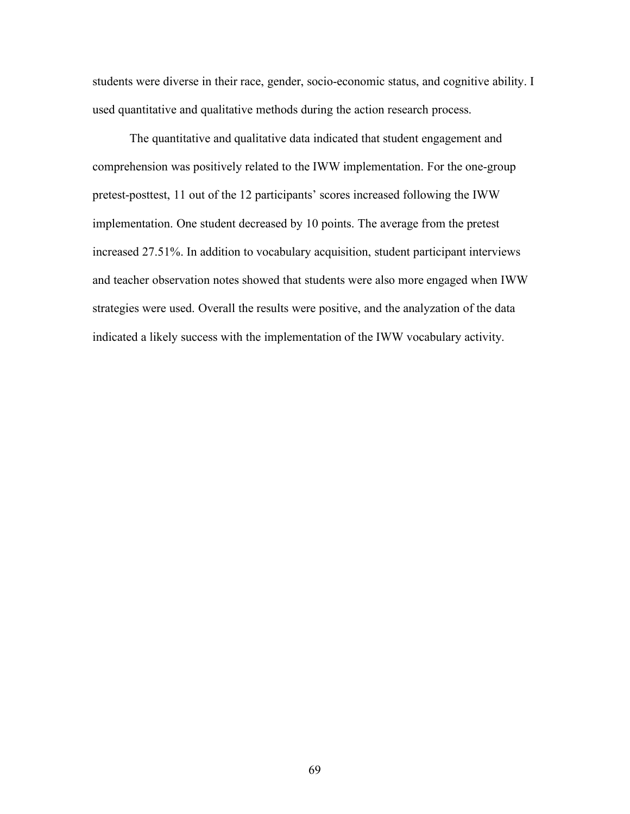students were diverse in their race, gender, socio-economic status, and cognitive ability. I used quantitative and qualitative methods during the action research process.

The quantitative and qualitative data indicated that student engagement and comprehension was positively related to the IWW implementation. For the one-group pretest-posttest, 11 out of the 12 participants' scores increased following the IWW implementation. One student decreased by 10 points. The average from the pretest increased 27.51%. In addition to vocabulary acquisition, student participant interviews and teacher observation notes showed that students were also more engaged when IWW strategies were used. Overall the results were positive, and the analyzation of the data indicated a likely success with the implementation of the IWW vocabulary activity.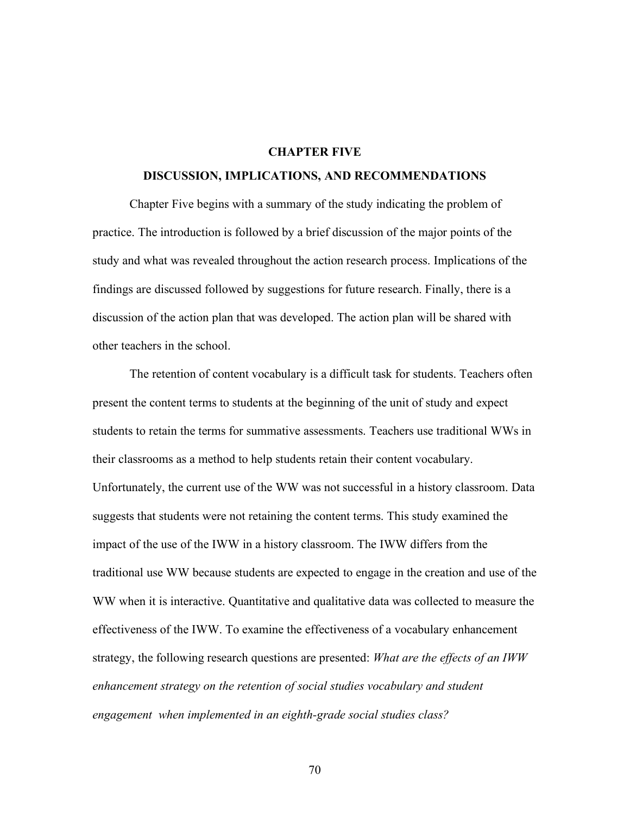### **CHAPTER FIVE**

#### **DISCUSSION, IMPLICATIONS, AND RECOMMENDATIONS**

Chapter Five begins with a summary of the study indicating the problem of practice. The introduction is followed by a brief discussion of the major points of the study and what was revealed throughout the action research process. Implications of the findings are discussed followed by suggestions for future research. Finally, there is a discussion of the action plan that was developed. The action plan will be shared with other teachers in the school.

The retention of content vocabulary is a difficult task for students. Teachers often present the content terms to students at the beginning of the unit of study and expect students to retain the terms for summative assessments. Teachers use traditional WWs in their classrooms as a method to help students retain their content vocabulary. Unfortunately, the current use of the WW was not successful in a history classroom. Data suggests that students were not retaining the content terms. This study examined the impact of the use of the IWW in a history classroom. The IWW differs from the traditional use WW because students are expected to engage in the creation and use of the WW when it is interactive. Quantitative and qualitative data was collected to measure the effectiveness of the IWW. To examine the effectiveness of a vocabulary enhancement strategy, the following research questions are presented: *What are the effects of an IWW enhancement strategy on the retention of social studies vocabulary and student engagement when implemented in an eighth-grade social studies class?*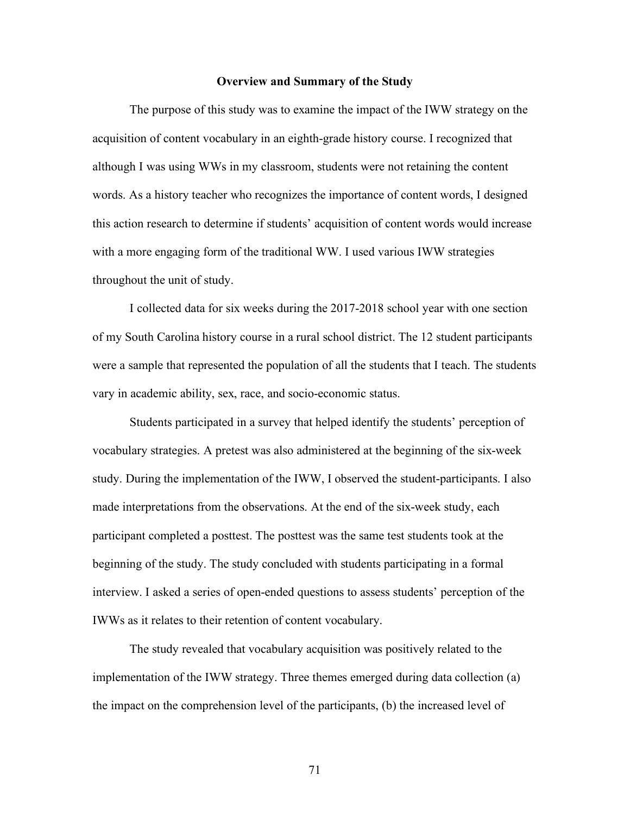#### **Overview and Summary of the Study**

The purpose of this study was to examine the impact of the IWW strategy on the acquisition of content vocabulary in an eighth-grade history course. I recognized that although I was using WWs in my classroom, students were not retaining the content words. As a history teacher who recognizes the importance of content words, I designed this action research to determine if students' acquisition of content words would increase with a more engaging form of the traditional WW. I used various IWW strategies throughout the unit of study.

I collected data for six weeks during the 2017-2018 school year with one section of my South Carolina history course in a rural school district. The 12 student participants were a sample that represented the population of all the students that I teach. The students vary in academic ability, sex, race, and socio-economic status.

Students participated in a survey that helped identify the students' perception of vocabulary strategies. A pretest was also administered at the beginning of the six-week study. During the implementation of the IWW, I observed the student-participants. I also made interpretations from the observations. At the end of the six-week study, each participant completed a posttest. The posttest was the same test students took at the beginning of the study. The study concluded with students participating in a formal interview. I asked a series of open-ended questions to assess students' perception of the IWWs as it relates to their retention of content vocabulary.

The study revealed that vocabulary acquisition was positively related to the implementation of the IWW strategy. Three themes emerged during data collection (a) the impact on the comprehension level of the participants, (b) the increased level of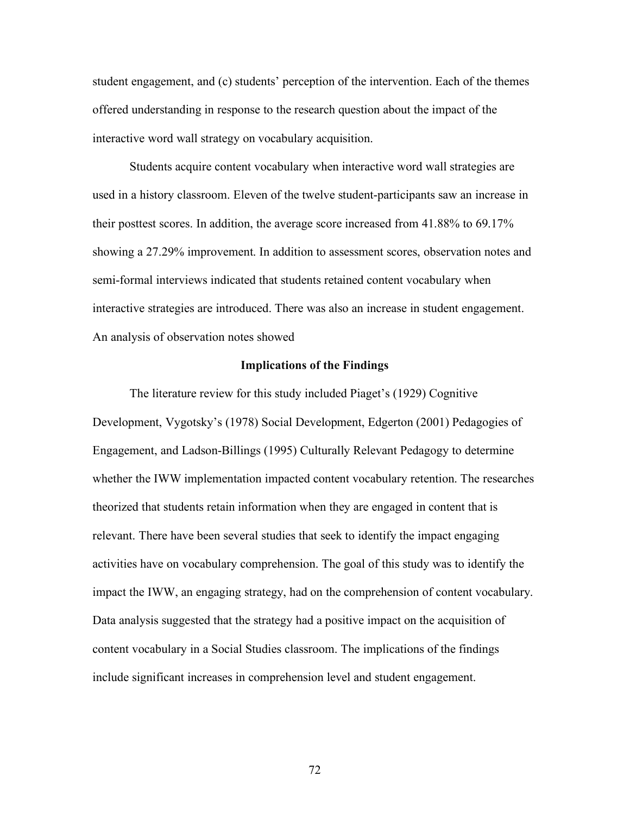student engagement, and (c) students' perception of the intervention. Each of the themes offered understanding in response to the research question about the impact of the interactive word wall strategy on vocabulary acquisition.

Students acquire content vocabulary when interactive word wall strategies are used in a history classroom. Eleven of the twelve student-participants saw an increase in their posttest scores. In addition, the average score increased from 41.88% to 69.17% showing a 27.29% improvement. In addition to assessment scores, observation notes and semi-formal interviews indicated that students retained content vocabulary when interactive strategies are introduced. There was also an increase in student engagement. An analysis of observation notes showed

#### **Implications of the Findings**

The literature review for this study included Piaget's (1929) Cognitive Development, Vygotsky's (1978) Social Development, Edgerton (2001) Pedagogies of Engagement, and Ladson-Billings (1995) Culturally Relevant Pedagogy to determine whether the IWW implementation impacted content vocabulary retention. The researches theorized that students retain information when they are engaged in content that is relevant. There have been several studies that seek to identify the impact engaging activities have on vocabulary comprehension. The goal of this study was to identify the impact the IWW, an engaging strategy, had on the comprehension of content vocabulary. Data analysis suggested that the strategy had a positive impact on the acquisition of content vocabulary in a Social Studies classroom. The implications of the findings include significant increases in comprehension level and student engagement.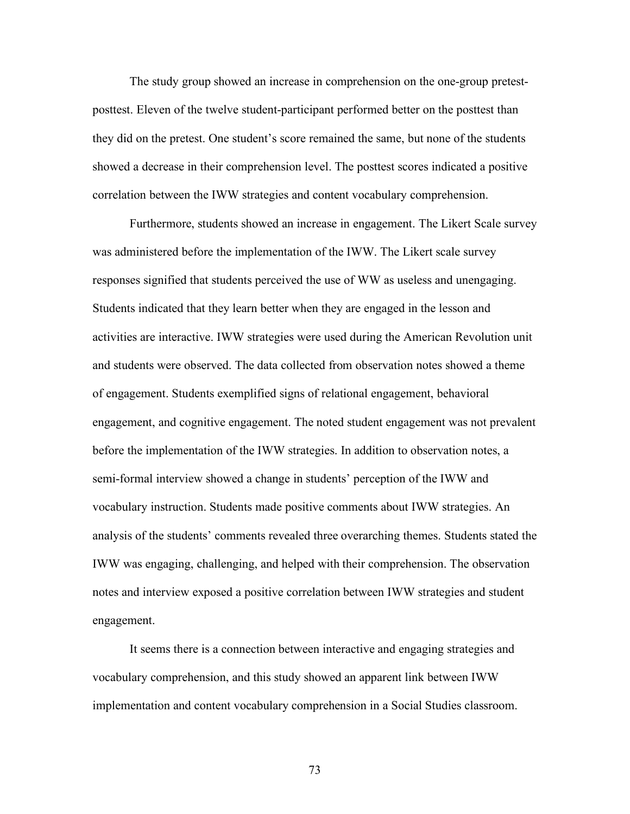The study group showed an increase in comprehension on the one-group pretestposttest. Eleven of the twelve student-participant performed better on the posttest than they did on the pretest. One student's score remained the same, but none of the students showed a decrease in their comprehension level. The posttest scores indicated a positive correlation between the IWW strategies and content vocabulary comprehension.

Furthermore, students showed an increase in engagement. The Likert Scale survey was administered before the implementation of the IWW. The Likert scale survey responses signified that students perceived the use of WW as useless and unengaging. Students indicated that they learn better when they are engaged in the lesson and activities are interactive. IWW strategies were used during the American Revolution unit and students were observed. The data collected from observation notes showed a theme of engagement. Students exemplified signs of relational engagement, behavioral engagement, and cognitive engagement. The noted student engagement was not prevalent before the implementation of the IWW strategies. In addition to observation notes, a semi-formal interview showed a change in students' perception of the IWW and vocabulary instruction. Students made positive comments about IWW strategies. An analysis of the students' comments revealed three overarching themes. Students stated the IWW was engaging, challenging, and helped with their comprehension. The observation notes and interview exposed a positive correlation between IWW strategies and student engagement.

It seems there is a connection between interactive and engaging strategies and vocabulary comprehension, and this study showed an apparent link between IWW implementation and content vocabulary comprehension in a Social Studies classroom.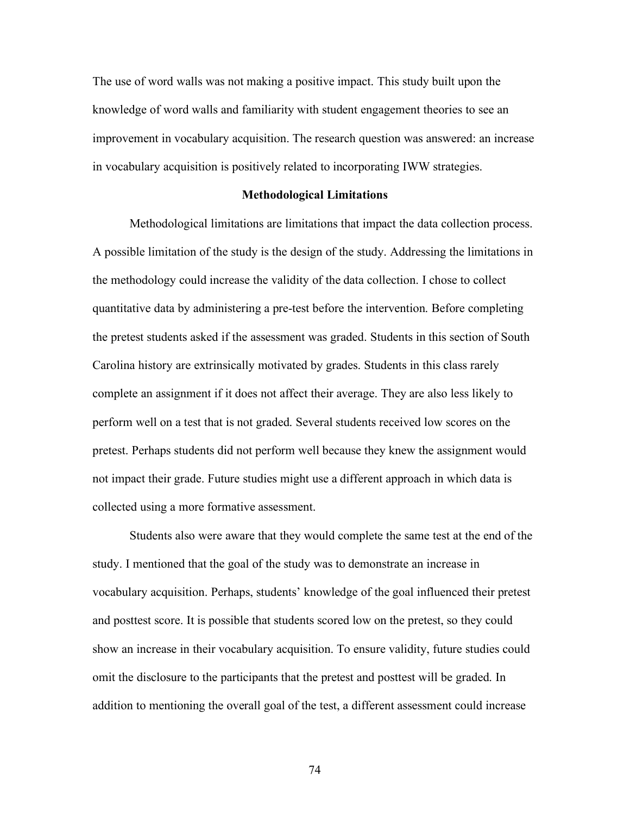The use of word walls was not making a positive impact. This study built upon the knowledge of word walls and familiarity with student engagement theories to see an improvement in vocabulary acquisition. The research question was answered: an increase in vocabulary acquisition is positively related to incorporating IWW strategies.

#### **Methodological Limitations**

Methodological limitations are limitations that impact the data collection process. A possible limitation of the study is the design of the study. Addressing the limitations in the methodology could increase the validity of the data collection. I chose to collect quantitative data by administering a pre-test before the intervention. Before completing the pretest students asked if the assessment was graded. Students in this section of South Carolina history are extrinsically motivated by grades. Students in this class rarely complete an assignment if it does not affect their average. They are also less likely to perform well on a test that is not graded. Several students received low scores on the pretest. Perhaps students did not perform well because they knew the assignment would not impact their grade. Future studies might use a different approach in which data is collected using a more formative assessment.

Students also were aware that they would complete the same test at the end of the study. I mentioned that the goal of the study was to demonstrate an increase in vocabulary acquisition. Perhaps, students' knowledge of the goal influenced their pretest and posttest score. It is possible that students scored low on the pretest, so they could show an increase in their vocabulary acquisition. To ensure validity, future studies could omit the disclosure to the participants that the pretest and posttest will be graded. In addition to mentioning the overall goal of the test, a different assessment could increase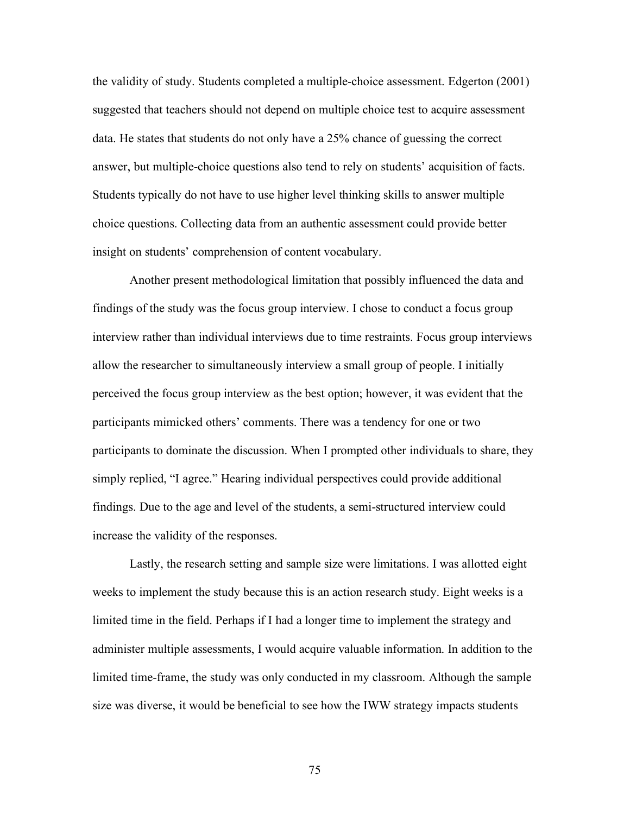the validity of study. Students completed a multiple-choice assessment. Edgerton (2001) suggested that teachers should not depend on multiple choice test to acquire assessment data. He states that students do not only have a 25% chance of guessing the correct answer, but multiple-choice questions also tend to rely on students' acquisition of facts. Students typically do not have to use higher level thinking skills to answer multiple choice questions. Collecting data from an authentic assessment could provide better insight on students' comprehension of content vocabulary.

Another present methodological limitation that possibly influenced the data and findings of the study was the focus group interview. I chose to conduct a focus group interview rather than individual interviews due to time restraints. Focus group interviews allow the researcher to simultaneously interview a small group of people. I initially perceived the focus group interview as the best option; however, it was evident that the participants mimicked others' comments. There was a tendency for one or two participants to dominate the discussion. When I prompted other individuals to share, they simply replied, "I agree." Hearing individual perspectives could provide additional findings. Due to the age and level of the students, a semi-structured interview could increase the validity of the responses.

Lastly, the research setting and sample size were limitations. I was allotted eight weeks to implement the study because this is an action research study. Eight weeks is a limited time in the field. Perhaps if I had a longer time to implement the strategy and administer multiple assessments, I would acquire valuable information. In addition to the limited time-frame, the study was only conducted in my classroom. Although the sample size was diverse, it would be beneficial to see how the IWW strategy impacts students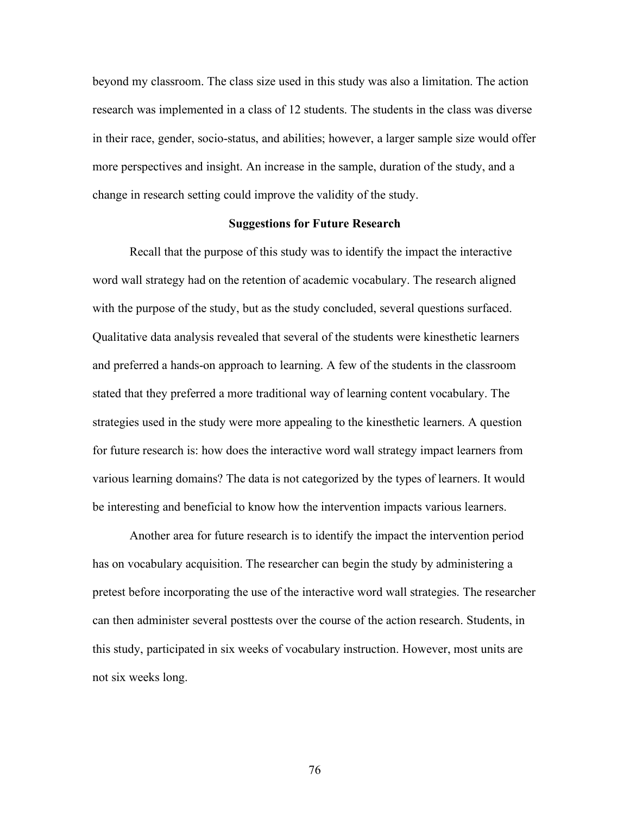beyond my classroom. The class size used in this study was also a limitation. The action research was implemented in a class of 12 students. The students in the class was diverse in their race, gender, socio-status, and abilities; however, a larger sample size would offer more perspectives and insight. An increase in the sample, duration of the study, and a change in research setting could improve the validity of the study.

#### **Suggestions for Future Research**

Recall that the purpose of this study was to identify the impact the interactive word wall strategy had on the retention of academic vocabulary. The research aligned with the purpose of the study, but as the study concluded, several questions surfaced. Qualitative data analysis revealed that several of the students were kinesthetic learners and preferred a hands-on approach to learning. A few of the students in the classroom stated that they preferred a more traditional way of learning content vocabulary. The strategies used in the study were more appealing to the kinesthetic learners. A question for future research is: how does the interactive word wall strategy impact learners from various learning domains? The data is not categorized by the types of learners. It would be interesting and beneficial to know how the intervention impacts various learners.

Another area for future research is to identify the impact the intervention period has on vocabulary acquisition. The researcher can begin the study by administering a pretest before incorporating the use of the interactive word wall strategies. The researcher can then administer several posttests over the course of the action research. Students, in this study, participated in six weeks of vocabulary instruction. However, most units are not six weeks long.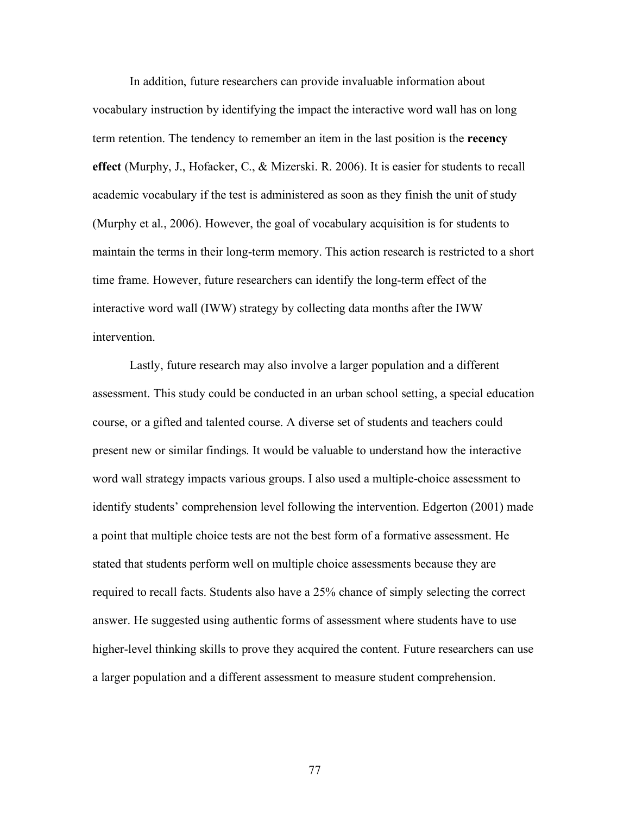In addition, future researchers can provide invaluable information about vocabulary instruction by identifying the impact the interactive word wall has on long term retention. The tendency to remember an item in the last position is the **recency effect** (Murphy, J., Hofacker, C., & Mizerski. R. 2006). It is easier for students to recall academic vocabulary if the test is administered as soon as they finish the unit of study (Murphy et al., 2006). However, the goal of vocabulary acquisition is for students to maintain the terms in their long-term memory. This action research is restricted to a short time frame. However, future researchers can identify the long-term effect of the interactive word wall (IWW) strategy by collecting data months after the IWW intervention.

Lastly, future research may also involve a larger population and a different assessment. This study could be conducted in an urban school setting, a special education course, or a gifted and talented course. A diverse set of students and teachers could present new or similar findings. It would be valuable to understand how the interactive word wall strategy impacts various groups. I also used a multiple-choice assessment to identify students' comprehension level following the intervention. Edgerton (2001) made a point that multiple choice tests are not the best form of a formative assessment. He stated that students perform well on multiple choice assessments because they are required to recall facts. Students also have a 25% chance of simply selecting the correct answer. He suggested using authentic forms of assessment where students have to use higher-level thinking skills to prove they acquired the content. Future researchers can use a larger population and a different assessment to measure student comprehension.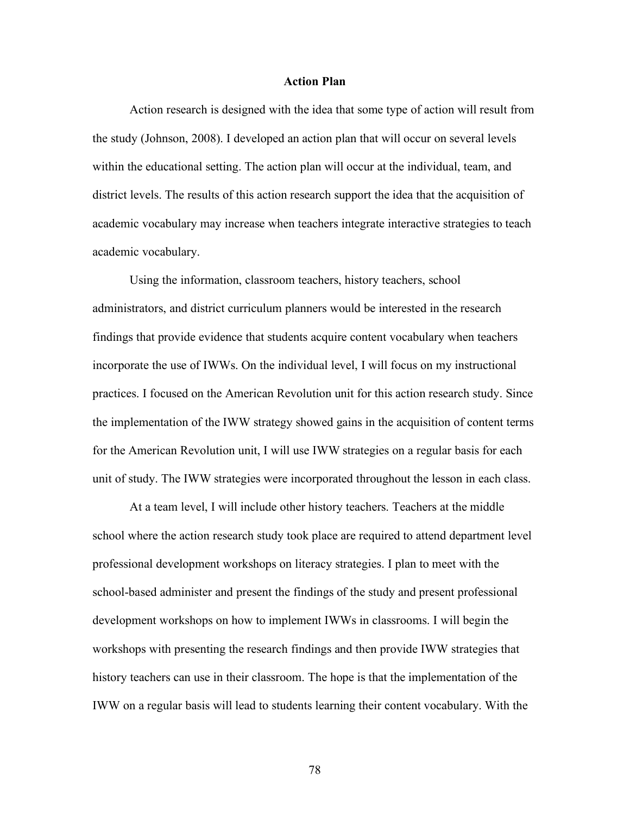#### **Action Plan**

Action research is designed with the idea that some type of action will result from the study (Johnson, 2008). I developed an action plan that will occur on several levels within the educational setting. The action plan will occur at the individual, team, and district levels. The results of this action research support the idea that the acquisition of academic vocabulary may increase when teachers integrate interactive strategies to teach academic vocabulary.

Using the information, classroom teachers, history teachers, school administrators, and district curriculum planners would be interested in the research findings that provide evidence that students acquire content vocabulary when teachers incorporate the use of IWWs. On the individual level, I will focus on my instructional practices. I focused on the American Revolution unit for this action research study. Since the implementation of the IWW strategy showed gains in the acquisition of content terms for the American Revolution unit, I will use IWW strategies on a regular basis for each unit of study. The IWW strategies were incorporated throughout the lesson in each class.

At a team level, I will include other history teachers. Teachers at the middle school where the action research study took place are required to attend department level professional development workshops on literacy strategies. I plan to meet with the school-based administer and present the findings of the study and present professional development workshops on how to implement IWWs in classrooms. I will begin the workshops with presenting the research findings and then provide IWW strategies that history teachers can use in their classroom. The hope is that the implementation of the IWW on a regular basis will lead to students learning their content vocabulary. With the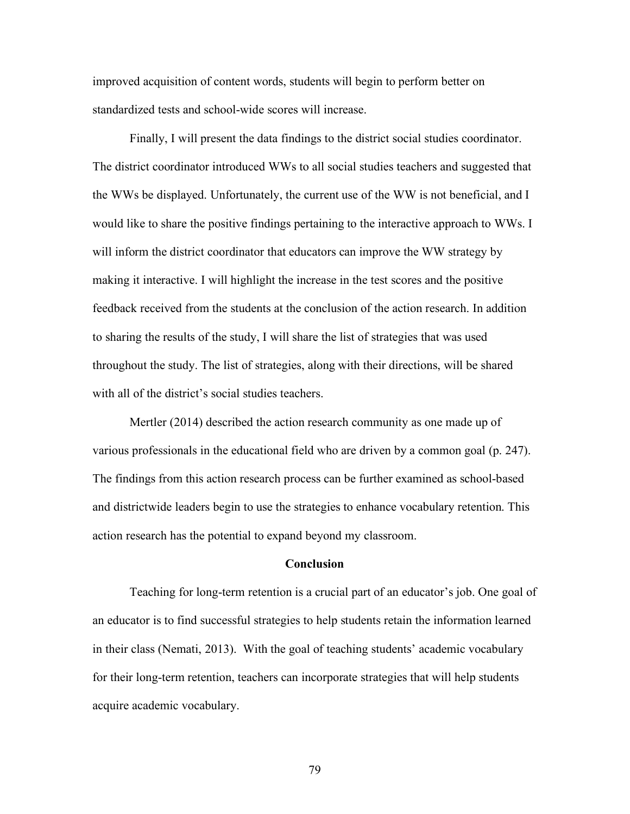improved acquisition of content words, students will begin to perform better on standardized tests and school-wide scores will increase.

Finally, I will present the data findings to the district social studies coordinator. The district coordinator introduced WWs to all social studies teachers and suggested that the WWs be displayed. Unfortunately, the current use of the WW is not beneficial, and I would like to share the positive findings pertaining to the interactive approach to WWs. I will inform the district coordinator that educators can improve the WW strategy by making it interactive. I will highlight the increase in the test scores and the positive feedback received from the students at the conclusion of the action research. In addition to sharing the results of the study, I will share the list of strategies that was used throughout the study. The list of strategies, along with their directions, will be shared with all of the district's social studies teachers.

Mertler (2014) described the action research community as one made up of various professionals in the educational field who are driven by a common goal (p. 247). The findings from this action research process can be further examined as school-based and districtwide leaders begin to use the strategies to enhance vocabulary retention. This action research has the potential to expand beyond my classroom.

#### **Conclusion**

Teaching for long-term retention is a crucial part of an educator's job. One goal of an educator is to find successful strategies to help students retain the information learned in their class (Nemati, 2013). With the goal of teaching students' academic vocabulary for their long-term retention, teachers can incorporate strategies that will help students acquire academic vocabulary.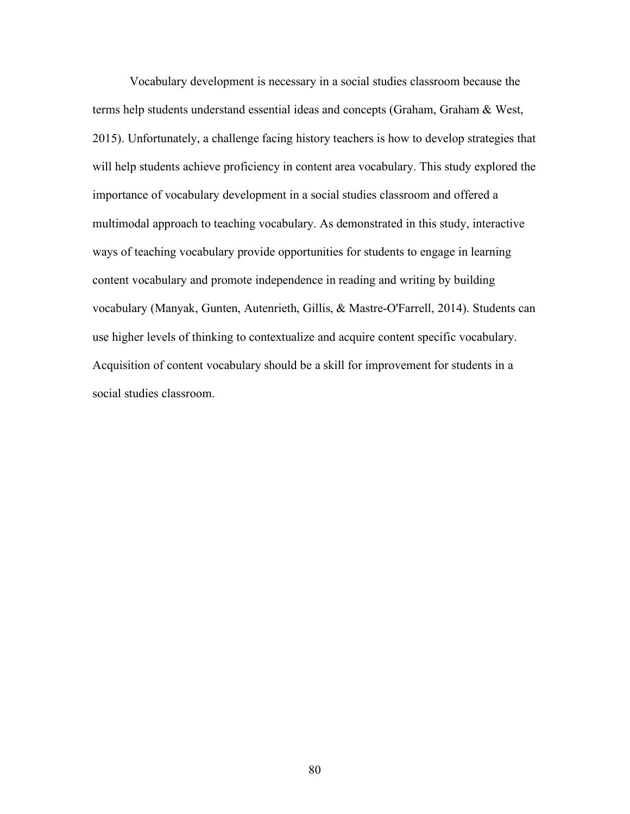Vocabulary development is necessary in a social studies classroom because the terms help students understand essential ideas and concepts (Graham, Graham & West, 2015). Unfortunately, a challenge facing history teachers is how to develop strategies that will help students achieve proficiency in content area vocabulary. This study explored the importance of vocabulary development in a social studies classroom and offered a multimodal approach to teaching vocabulary. As demonstrated in this study, interactive ways of teaching vocabulary provide opportunities for students to engage in learning content vocabulary and promote independence in reading and writing by building vocabulary (Manyak, Gunten, Autenrieth, Gillis, & Mastre-O'Farrell, 2014). Students can use higher levels of thinking to contextualize and acquire content specific vocabulary. Acquisition of content vocabulary should be a skill for improvement for students in a social studies classroom.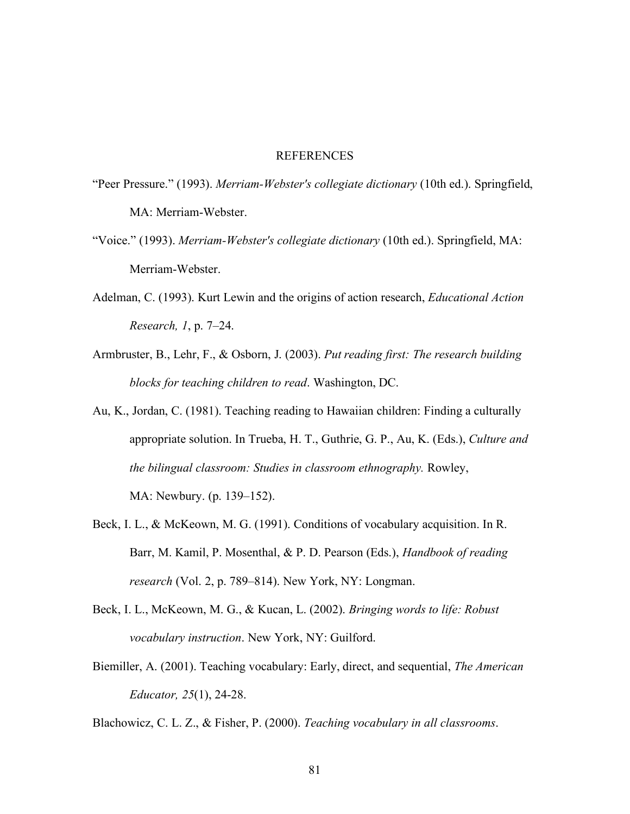#### REFERENCES

- "Peer Pressure." (1993). *Merriam-Webster's collegiate dictionary* (10th ed.). Springfield, MA: Merriam-Webster.
- "Voice." (1993). *Merriam-Webster's collegiate dictionary* (10th ed.). Springfield, MA: Merriam-Webster.
- Adelman, C. (1993). Kurt Lewin and the origins of action research, *Educational Action Research, 1*, p. 7–24.
- Armbruster, B., Lehr, F., & Osborn, J. (2003). *Put reading first: The research building blocks for teaching children to read*. Washington, DC.
- Au, K., Jordan, C. (1981). Teaching reading to Hawaiian children: Finding a culturally appropriate solution. In Trueba, H. T., Guthrie, G. P., Au, K. (Eds.), *Culture and the bilingual classroom: Studies in classroom ethnography.* Rowley, MA: Newbury. (p. 139–152).
- Beck, I. L., & McKeown, M. G. (1991). Conditions of vocabulary acquisition. In R. Barr, M. Kamil, P. Mosenthal, & P. D. Pearson (Eds.), *Handbook of reading research* (Vol. 2, p. 789–814). New York, NY: Longman.
- Beck, I. L., McKeown, M. G., & Kucan, L. (2002). *Bringing words to life: Robust vocabulary instruction*. New York, NY: Guilford.
- Biemiller, A. (2001). Teaching vocabulary: Early, direct, and sequential, *The American Educator, 25*(1), 24-28.

Blachowicz, C. L. Z., & Fisher, P. (2000). *Teaching vocabulary in all classrooms*.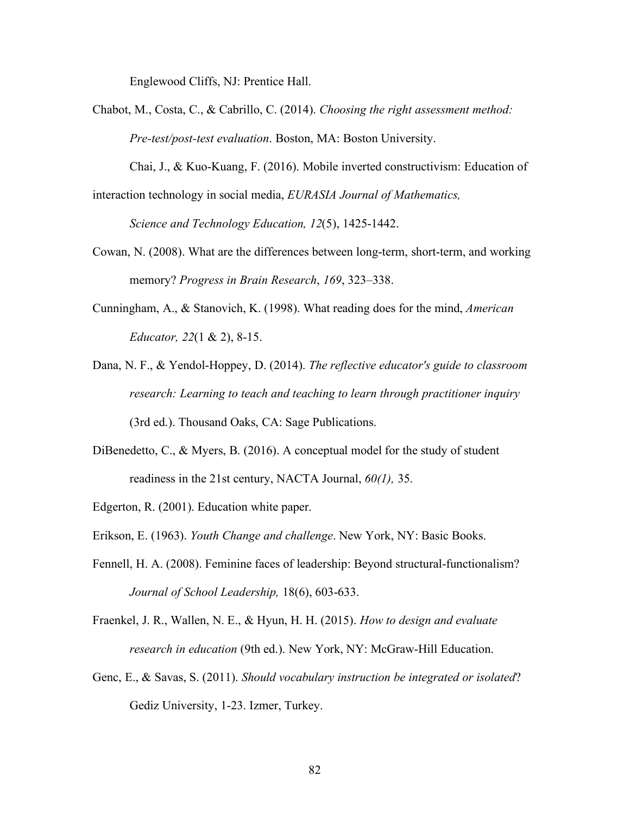Englewood Cliffs, NJ: Prentice Hall.

Chabot, M., Costa, C., & Cabrillo, C. (2014). *Choosing the right assessment method: Pre-test/post-test evaluation*. Boston, MA: Boston University.

Chai, J., & Kuo-Kuang, F. (2016). Mobile inverted constructivism: Education of interaction technology in social media, *EURASIA Journal of Mathematics,*

*Science and Technology Education, 12*(5), 1425-1442.

- Cowan, N. (2008). What are the differences between long-term, short-term, and working memory? *Progress in Brain Research*, *169*, 323–338.
- Cunningham, A., & Stanovich, K. (1998). What reading does for the mind, *American Educator, 22*(1 & 2), 8-15.
- Dana, N. F., & Yendol-Hoppey, D. (2014). *The reflective educator's guide to classroom research: Learning to teach and teaching to learn through practitioner inquiry* (3rd ed.). Thousand Oaks, CA: Sage Publications.
- DiBenedetto, C., & Myers, B. (2016). A conceptual model for the study of student readiness in the 21st century, NACTA Journal, *60(1),* 35.
- Edgerton, R. (2001). Education white paper.
- Erikson, E. (1963). *Youth Change and challenge*. New York, NY: Basic Books.
- Fennell, H. A. (2008). Feminine faces of leadership: Beyond structural-functionalism? *Journal of School Leadership,* 18(6), 603-633.
- Fraenkel, J. R., Wallen, N. E., & Hyun, H. H. (2015). *How to design and evaluate research in education* (9th ed.). New York, NY: McGraw-Hill Education.
- Genc, E., & Savas, S. (2011). *Should vocabulary instruction be integrated or isolated*? Gediz University, 1-23. Izmer, Turkey.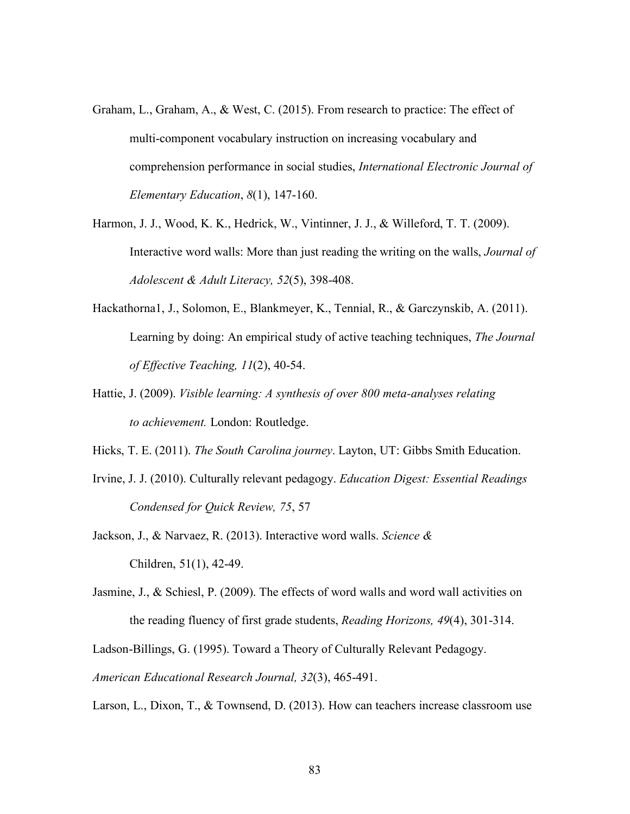- Graham, L., Graham, A., & West, C. (2015). From research to practice: The effect of multi-component vocabulary instruction on increasing vocabulary and comprehension performance in social studies, *International Electronic Journal of Elementary Education*, *8*(1), 147-160.
- Harmon, J. J., Wood, K. K., Hedrick, W., Vintinner, J. J., & Willeford, T. T. (2009). Interactive word walls: More than just reading the writing on the walls, *Journal of Adolescent & Adult Literacy, 52*(5), 398-408.
- Hackathorna1, J., Solomon, E., Blankmeyer, K., Tennial, R., & Garczynskib, A. (2011). Learning by doing: An empirical study of active teaching techniques, *The Journal of Effective Teaching, 11*(2), 40-54.
- Hattie, J. (2009). *Visible learning: A synthesis of over 800 meta-analyses relating to achievement.* London: Routledge.
- Hicks, T. E. (2011). *The South Carolina journey*. Layton, UT: Gibbs Smith Education.
- Irvine, J. J. (2010). Culturally relevant pedagogy. *Education Digest: Essential Readings Condensed for Quick Review, 75*, 57
- Jackson, J., & Narvaez, R. (2013). Interactive word walls. *Science &* Children, 51(1), 42-49.
- Jasmine, J., & Schiesl, P. (2009). The effects of word walls and word wall activities on the reading fluency of first grade students, *Reading Horizons, 49*(4), 301-314.
- Ladson-Billings, G. (1995). Toward a Theory of Culturally Relevant Pedagogy.
- *American Educational Research Journal, 32*(3), 465-491.
- Larson, L., Dixon, T., & Townsend, D. (2013). How can teachers increase classroom use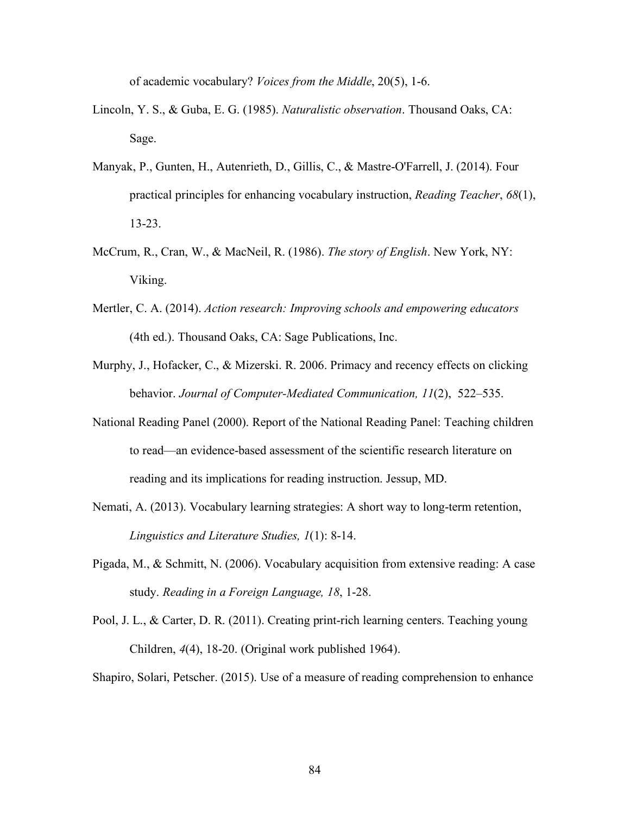of academic vocabulary? *Voices from the Middle*, 20(5), 1-6.

- Lincoln, Y. S., & Guba, E. G. (1985). *Naturalistic observation*. Thousand Oaks, CA: Sage.
- Manyak, P., Gunten, H., Autenrieth, D., Gillis, C., & Mastre-O'Farrell, J. (2014). Four practical principles for enhancing vocabulary instruction, *Reading Teacher*, *68*(1), 13-23.
- McCrum, R., Cran, W., & MacNeil, R. (1986). *The story of English*. New York, NY: Viking.
- Mertler, C. A. (2014). *Action research: Improving schools and empowering educators* (4th ed.). Thousand Oaks, CA: Sage Publications, Inc.
- Murphy, J., Hofacker, C., & Mizerski. R. 2006. Primacy and recency effects on clicking behavior. *Journal of Computer-Mediated Communication, 11*(2), 522–535.
- National Reading Panel (2000). Report of the National Reading Panel: Teaching children to read—an evidence-based assessment of the scientific research literature on reading and its implications for reading instruction. Jessup, MD.
- Nemati, A. (2013). Vocabulary learning strategies: A short way to long-term retention, *Linguistics and Literature Studies, 1*(1): 8-14.
- Pigada, M., & Schmitt, N. (2006). Vocabulary acquisition from extensive reading: A case study. *Reading in a Foreign Language, 18*, 1-28.
- Pool, J. L., & Carter, D. R. (2011). Creating print-rich learning centers. Teaching young Children, *4*(4), 18-20. (Original work published 1964).

Shapiro, Solari, Petscher. (2015). Use of a measure of reading comprehension to enhance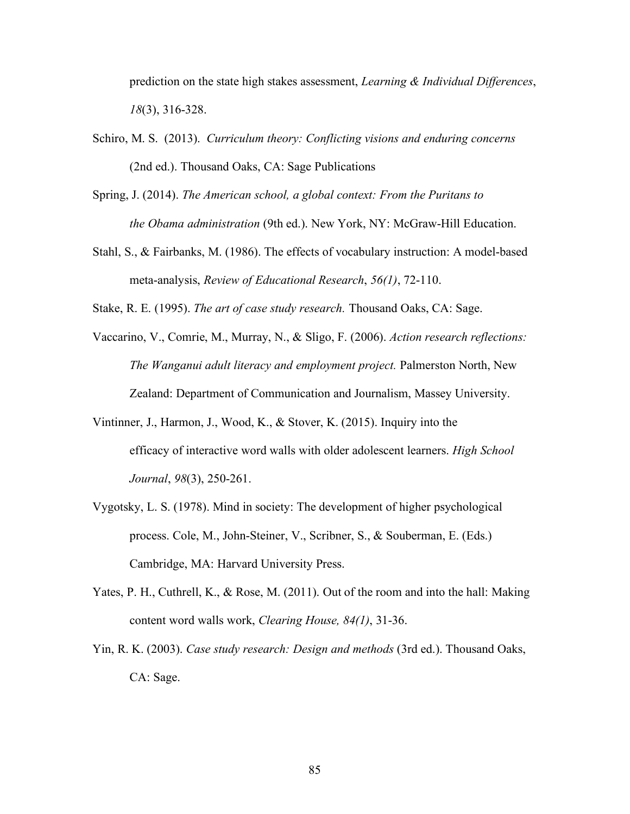prediction on the state high stakes assessment, *Learning & Individual Differences*, *18*(3), 316-328.

- Schiro, M. S. (2013). *Curriculum theory: Conflicting visions and enduring concerns* (2nd ed.). Thousand Oaks, CA: Sage Publications
- Spring, J. (2014). *The American school, a global context: From the Puritans to the Obama administration* (9th ed.). New York, NY: McGraw-Hill Education.
- Stahl, S., & Fairbanks, M. (1986). The effects of vocabulary instruction: A model-based meta-analysis, *Review of Educational Research*, *56(1)*, 72-110.

Stake, R. E. (1995). *The art of case study research.* Thousand Oaks, CA: Sage.

- Vaccarino, V., Comrie, M., Murray, N., & Sligo, F. (2006). *Action research reflections: The Wanganui adult literacy and employment project.* Palmerston North, New Zealand: Department of Communication and Journalism, Massey University.
- Vintinner, J., Harmon, J., Wood, K., & Stover, K. (2015). Inquiry into the efficacy of interactive word walls with older adolescent learners. *High School Journal*, *98*(3), 250-261.
- Vygotsky, L. S. (1978). Mind in society: The development of higher psychological process. Cole, M., John-Steiner, V., Scribner, S., & Souberman, E. (Eds.) Cambridge, MA: Harvard University Press.
- Yates, P. H., Cuthrell, K., & Rose, M. (2011). Out of the room and into the hall: Making content word walls work, *Clearing House, 84(1)*, 31-36.
- Yin, R. K. (2003). *Case study research: Design and methods* (3rd ed.). Thousand Oaks, CA: Sage.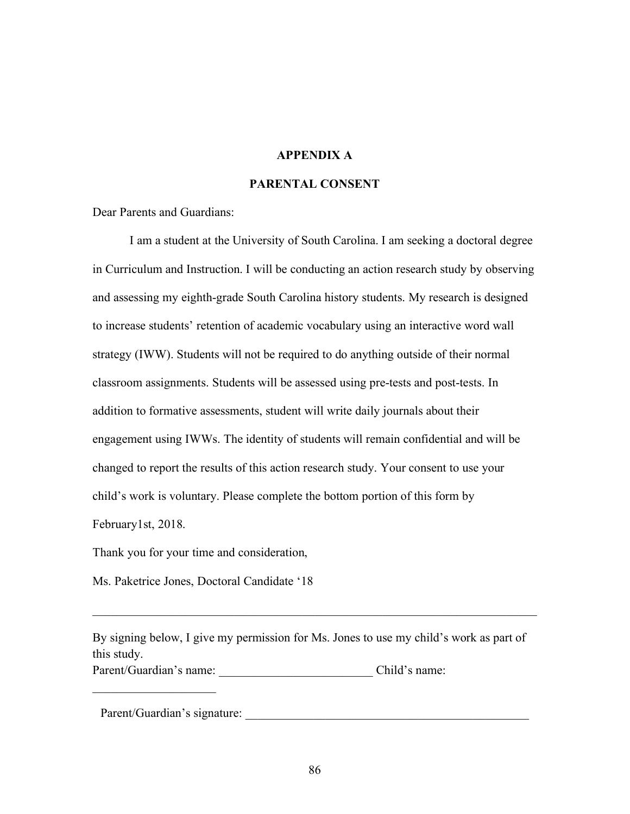### **APPENDIX A**

## **PARENTAL CONSENT**

Dear Parents and Guardians:

I am a student at the University of South Carolina. I am seeking a doctoral degree in Curriculum and Instruction. I will be conducting an action research study by observing and assessing my eighth-grade South Carolina history students. My research is designed to increase students' retention of academic vocabulary using an interactive word wall strategy (IWW). Students will not be required to do anything outside of their normal classroom assignments. Students will be assessed using pre-tests and post-tests. In addition to formative assessments, student will write daily journals about their engagement using IWWs. The identity of students will remain confidential and will be changed to report the results of this action research study. Your consent to use your child's work is voluntary. Please complete the bottom portion of this form by February1st, 2018.

Thank you for your time and consideration,

Ms. Paketrice Jones, Doctoral Candidate '18

By signing below, I give my permission for Ms. Jones to use my child's work as part of this study.

 $\mathcal{L}_\text{max} = \mathcal{L}_\text{max} = \mathcal{L}_\text{max} = \mathcal{L}_\text{max} = \mathcal{L}_\text{max} = \mathcal{L}_\text{max} = \mathcal{L}_\text{max} = \mathcal{L}_\text{max} = \mathcal{L}_\text{max} = \mathcal{L}_\text{max} = \mathcal{L}_\text{max} = \mathcal{L}_\text{max} = \mathcal{L}_\text{max} = \mathcal{L}_\text{max} = \mathcal{L}_\text{max} = \mathcal{L}_\text{max} = \mathcal{L}_\text{max} = \mathcal{L}_\text{max} = \mathcal{$ 

Parent/Guardian's name: \_\_\_\_\_\_\_\_\_\_\_\_\_\_\_\_\_\_\_\_\_\_\_\_\_ Child's name:

Parent/Guardian's signature: \_\_\_\_\_\_\_\_\_\_\_\_\_\_\_\_\_\_\_\_\_\_\_\_\_\_\_\_\_\_\_\_\_\_\_\_\_\_\_\_\_\_\_\_\_\_

 $\mathcal{L}_\text{max}$  , where  $\mathcal{L}_\text{max}$  , we have the set of  $\mathcal{L}_\text{max}$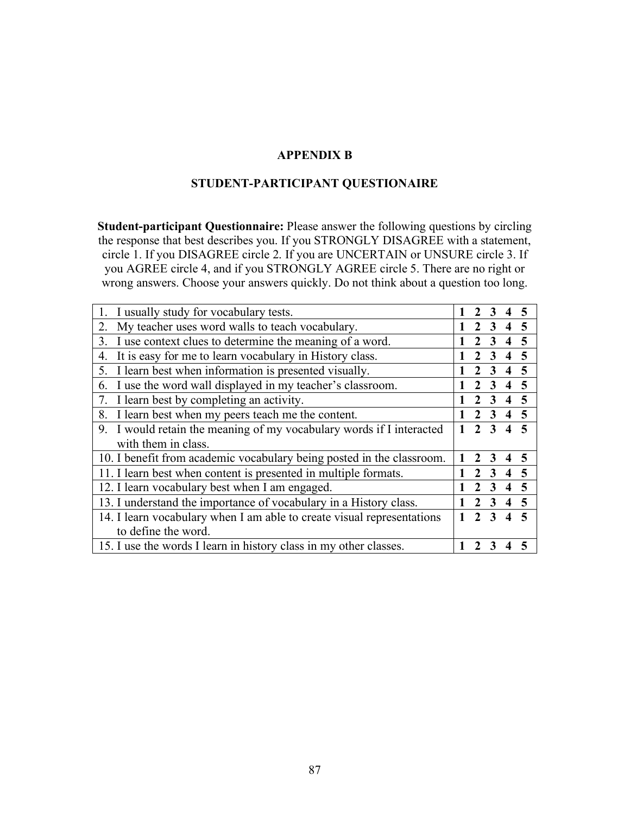### **APPENDIX B**

## **STUDENT-PARTICIPANT QUESTIONAIRE**

**Student-participant Questionnaire:** Please answer the following questions by circling the response that best describes you. If you STRONGLY DISAGREE with a statement, circle 1. If you DISAGREE circle 2. If you are UNCERTAIN or UNSURE circle 3. If you AGREE circle 4, and if you STRONGLY AGREE circle 5. There are no right or wrong answers. Choose your answers quickly. Do not think about a question too long.

| I usually study for vocabulary tests.                                   |  |  | $\mathbf 3$ |                         |                 |
|-------------------------------------------------------------------------|--|--|-------------|-------------------------|-----------------|
| My teacher uses word walls to teach vocabulary.<br>2.                   |  |  |             | 4                       |                 |
| I use context clues to determine the meaning of a word.<br>3.           |  |  |             |                         |                 |
| It is easy for me to learn vocabulary in History class.<br>4.           |  |  |             | $\boldsymbol{4}$        |                 |
| 5. I learn best when information is presented visually.                 |  |  |             |                         | -5              |
| I use the word wall displayed in my teacher's classroom.<br>6.          |  |  |             | $\overline{\mathbf{4}}$ | 5               |
| 7. I learn best by completing an activity.                              |  |  |             |                         | $\sqrt{5}$      |
| I learn best when my peers teach me the content.<br>8.                  |  |  |             | $3 \t4 \t5$             |                 |
| 9.<br>I would retain the meaning of my vocabulary words if I interacted |  |  |             |                         | $4\overline{5}$ |
| with them in class.                                                     |  |  |             |                         |                 |
| 10. I benefit from academic vocabulary being posted in the classroom.   |  |  |             |                         |                 |
| 11. I learn best when content is presented in multiple formats.         |  |  | 3           | $\overline{\bf{4}}$     | 5               |
| 12. I learn vocabulary best when I am engaged.                          |  |  |             | $\overline{\mathbf{4}}$ | - 5             |
| 13. I understand the importance of vocabulary in a History class.       |  |  | 3           |                         | $4\overline{5}$ |
| 14. I learn vocabulary when I am able to create visual representations  |  |  |             |                         | $4\overline{5}$ |
| to define the word.                                                     |  |  |             |                         |                 |
| 15. I use the words I learn in history class in my other classes.       |  |  |             |                         |                 |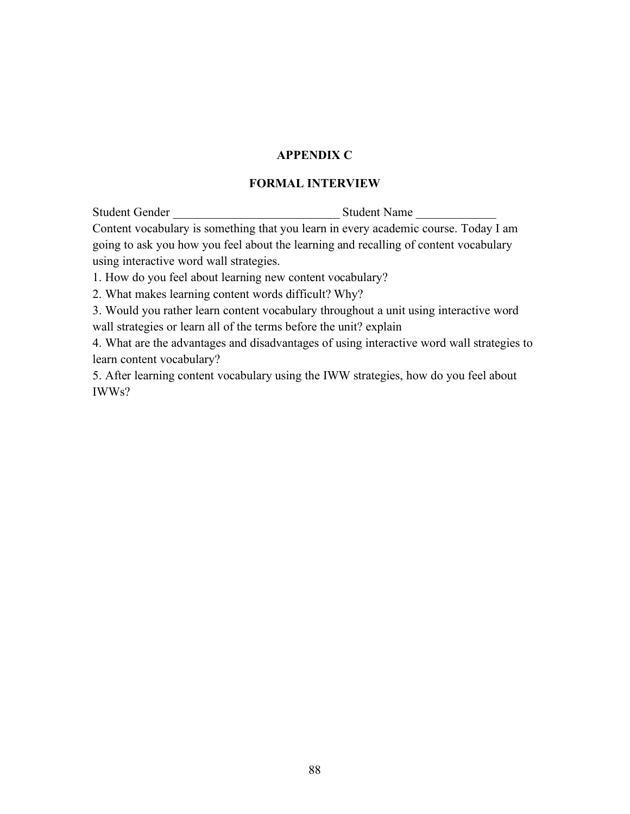## **APPENDIX C**

## **FORMAL INTERVIEW**

Student Gender **Student Name Student Name** 

Content vocabulary is something that you learn in every academic course. Today I am going to ask you how you feel about the learning and recalling of content vocabulary using interactive word wall strategies.

1. How do you feel about learning new content vocabulary?

2. What makes learning content words difficult? Why?

3. Would you rather learn content vocabulary throughout a unit using interactive word wall strategies or learn all of the terms before the unit? explain

4. What are the advantages and disadvantages of using interactive word wall strategies to learn content vocabulary?

5. After learning content vocabulary using the IWW strategies, how do you feel about IWWs?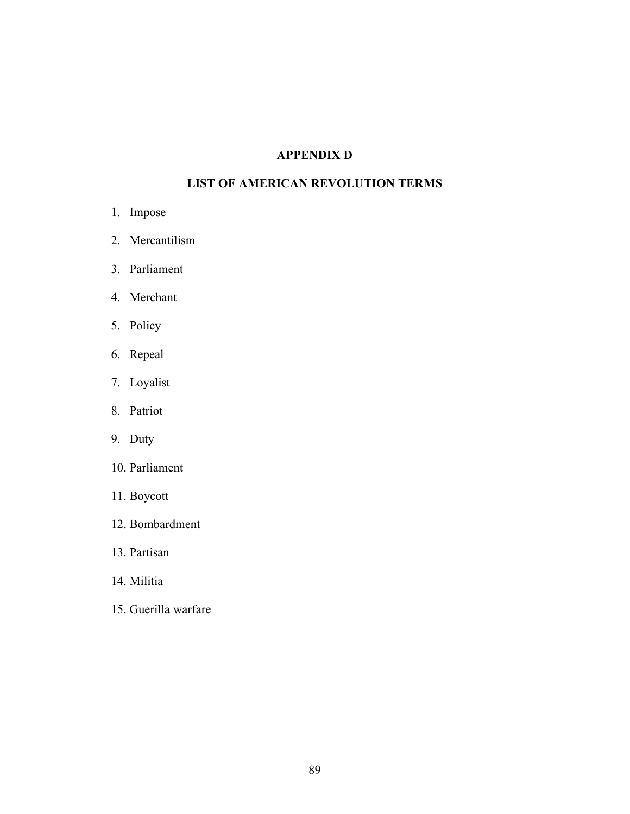# **APPENDIX D**

# **LIST OF AMERICAN REVOLUTION TERMS**

- 1. Impose
- 2. Mercantilism
- 3. Parliament
- 4. Merchant
- 5. Policy
- 6. Repeal
- 7. Loyalist
- 8. Patriot
- 9. Duty
- 10. Parliament
- 11. Boycott
- 12. Bombardment
- 13. Partisan
- 14. Militia
- 15. Guerilla warfare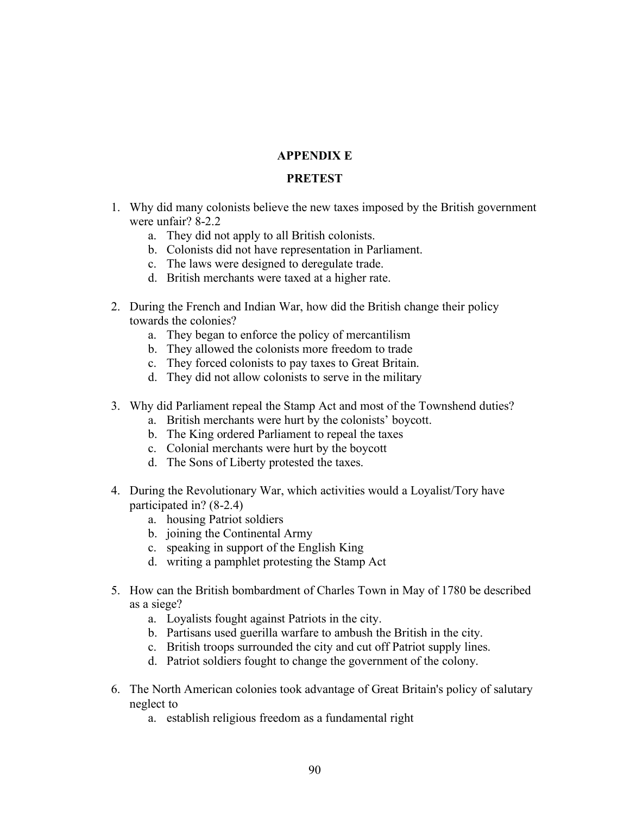## **APPENDIX E**

### **PRETEST**

- 1. Why did many colonists believe the new taxes imposed by the British government were unfair? 8-2.2
	- a. They did not apply to all British colonists.
	- b. Colonists did not have representation in Parliament.
	- c. The laws were designed to deregulate trade.
	- d. British merchants were taxed at a higher rate.
- 2. During the French and Indian War, how did the British change their policy towards the colonies?
	- a. They began to enforce the policy of mercantilism
	- b. They allowed the colonists more freedom to trade
	- c. They forced colonists to pay taxes to Great Britain.
	- d. They did not allow colonists to serve in the military
- 3. Why did Parliament repeal the Stamp Act and most of the Townshend duties?
	- a. British merchants were hurt by the colonists' boycott.
	- b. The King ordered Parliament to repeal the taxes
	- c. Colonial merchants were hurt by the boycott
	- d. The Sons of Liberty protested the taxes.
- 4. During the Revolutionary War, which activities would a Loyalist/Tory have participated in? (8-2.4)
	- a. housing Patriot soldiers
	- b. joining the Continental Army
	- c. speaking in support of the English King
	- d. writing a pamphlet protesting the Stamp Act
- 5. How can the British bombardment of Charles Town in May of 1780 be described as a siege?
	- a. Loyalists fought against Patriots in the city.
	- b. Partisans used guerilla warfare to ambush the British in the city.
	- c. British troops surrounded the city and cut off Patriot supply lines.
	- d. Patriot soldiers fought to change the government of the colony.
- 6. The North American colonies took advantage of Great Britain's policy of salutary neglect to
	- a. establish religious freedom as a fundamental right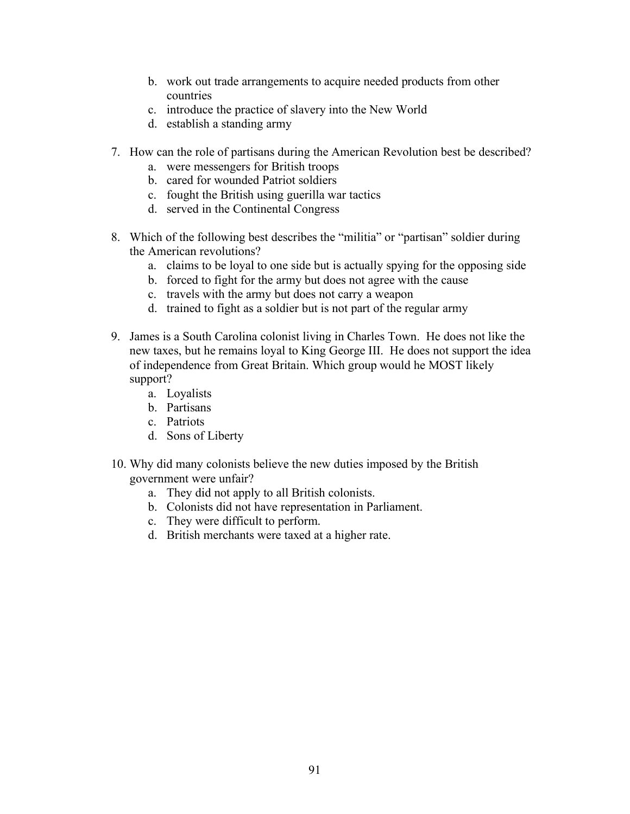- b. work out trade arrangements to acquire needed products from other countries
- c. introduce the practice of slavery into the New World
- d. establish a standing army
- 7. How can the role of partisans during the American Revolution best be described?
	- a. were messengers for British troops
	- b. cared for wounded Patriot soldiers
	- c. fought the British using guerilla war tactics
	- d. served in the Continental Congress
- 8. Which of the following best describes the "militia" or "partisan" soldier during the American revolutions?
	- a. claims to be loyal to one side but is actually spying for the opposing side
	- b. forced to fight for the army but does not agree with the cause
	- c. travels with the army but does not carry a weapon
	- d. trained to fight as a soldier but is not part of the regular army
- 9. James is a South Carolina colonist living in Charles Town. He does not like the new taxes, but he remains loyal to King George III. He does not support the idea of independence from Great Britain. Which group would he MOST likely support?
	- a. Loyalists
	- b. Partisans
	- c. Patriots
	- d. Sons of Liberty
- 10. Why did many colonists believe the new duties imposed by the British government were unfair?
	- a. They did not apply to all British colonists.
	- b. Colonists did not have representation in Parliament.
	- c. They were difficult to perform.
	- d. British merchants were taxed at a higher rate.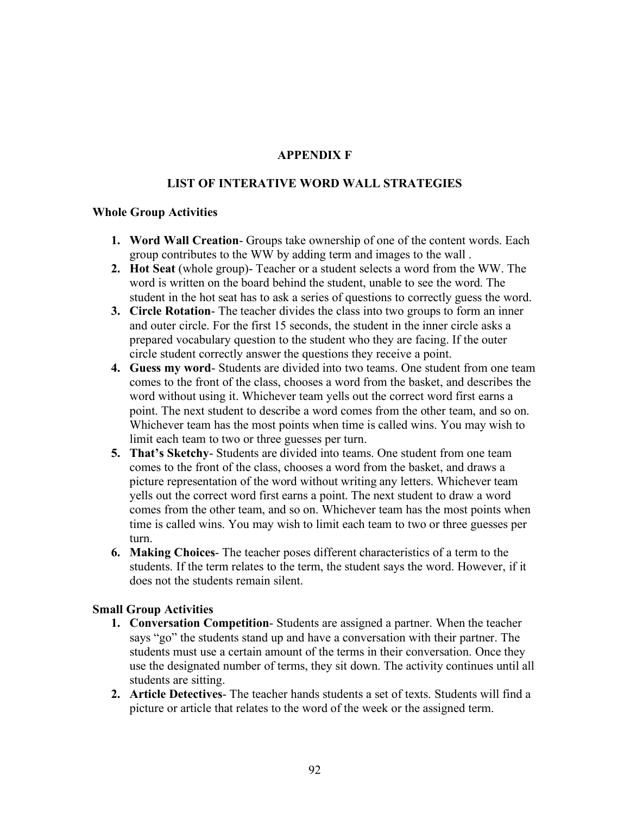## **APPENDIX F**

### **LIST OF INTERATIVE WORD WALL STRATEGIES**

### **Whole Group Activities**

- **1. Word Wall Creation** Groups take ownership of one of the content words. Each group contributes to the WW by adding term and images to the wall .
- **2. Hot Seat** (whole group)- Teacher or a student selects a word from the WW. The word is written on the board behind the student, unable to see the word. The student in the hot seat has to ask a series of questions to correctly guess the word.
- **3. Circle Rotation** The teacher divides the class into two groups to form an inner and outer circle. For the first 15 seconds, the student in the inner circle asks a prepared vocabulary question to the student who they are facing. If the outer circle student correctly answer the questions they receive a point.
- **4. Guess my word** Students are divided into two teams. One student from one team comes to the front of the class, chooses a word from the basket, and describes the word without using it. Whichever team yells out the correct word first earns a point. The next student to describe a word comes from the other team, and so on. Whichever team has the most points when time is called wins. You may wish to limit each team to two or three guesses per turn.
- **5. That's Sketchy** Students are divided into teams. One student from one team comes to the front of the class, chooses a word from the basket, and draws a picture representation of the word without writing any letters. Whichever team yells out the correct word first earns a point. The next student to draw a word comes from the other team, and so on. Whichever team has the most points when time is called wins. You may wish to limit each team to two or three guesses per turn.
- **6. Making Choices** The teacher poses different characteristics of a term to the students. If the term relates to the term, the student says the word. However, if it does not the students remain silent.

### **Small Group Activities**

- **1. Conversation Competition** Students are assigned a partner. When the teacher says "go" the students stand up and have a conversation with their partner. The students must use a certain amount of the terms in their conversation. Once they use the designated number of terms, they sit down. The activity continues until all students are sitting.
- **2. Article Detectives** The teacher hands students a set of texts. Students will find a picture or article that relates to the word of the week or the assigned term.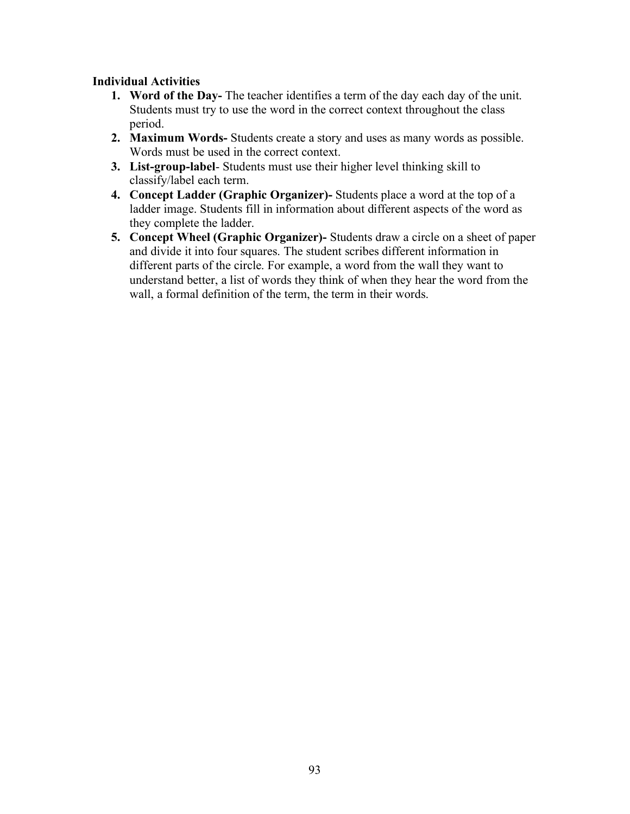## **Individual Activities**

- **1. Word of the Day-** The teacher identifies a term of the day each day of the unit. Students must try to use the word in the correct context throughout the class period.
- **2. Maximum Words-** Students create a story and uses as many words as possible. Words must be used in the correct context.
- **3. List-group-label** Students must use their higher level thinking skill to classify/label each term.
- **4. Concept Ladder (Graphic Organizer)-** Students place a word at the top of a ladder image. Students fill in information about different aspects of the word as they complete the ladder.
- **5. Concept Wheel (Graphic Organizer)-** Students draw a circle on a sheet of paper and divide it into four squares. The student scribes different information in different parts of the circle. For example, a word from the wall they want to understand better, a list of words they think of when they hear the word from the wall, a formal definition of the term, the term in their words.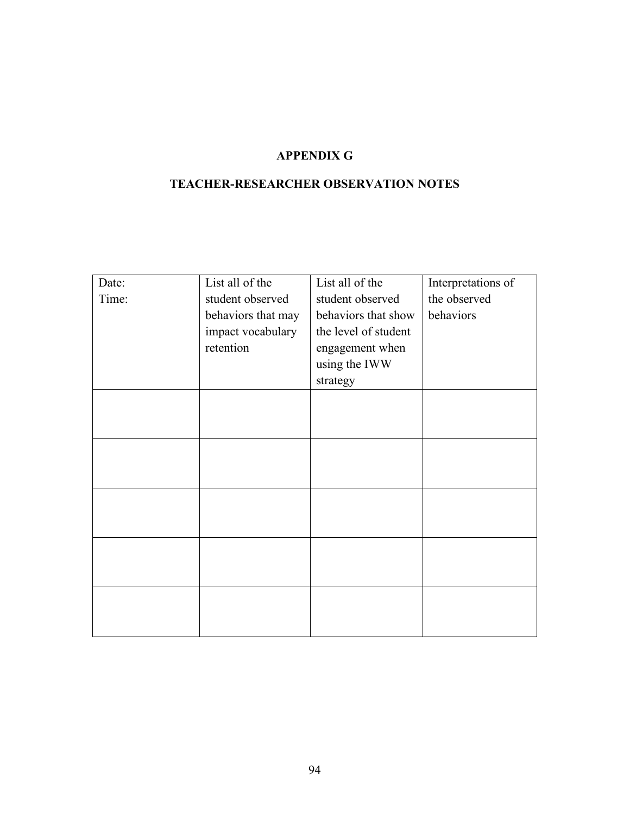# **APPENDIX G**

# **TEACHER-RESEARCHER OBSERVATION NOTES**

| Date: | List all of the    | List all of the      | Interpretations of |
|-------|--------------------|----------------------|--------------------|
| Time: | student observed   | student observed     | the observed       |
|       | behaviors that may | behaviors that show  | behaviors          |
|       | impact vocabulary  | the level of student |                    |
|       | retention          | engagement when      |                    |
|       |                    | using the IWW        |                    |
|       |                    | strategy             |                    |
|       |                    |                      |                    |
|       |                    |                      |                    |
|       |                    |                      |                    |
|       |                    |                      |                    |
|       |                    |                      |                    |
|       |                    |                      |                    |
|       |                    |                      |                    |
|       |                    |                      |                    |
|       |                    |                      |                    |
|       |                    |                      |                    |
|       |                    |                      |                    |
|       |                    |                      |                    |
|       |                    |                      |                    |
|       |                    |                      |                    |
|       |                    |                      |                    |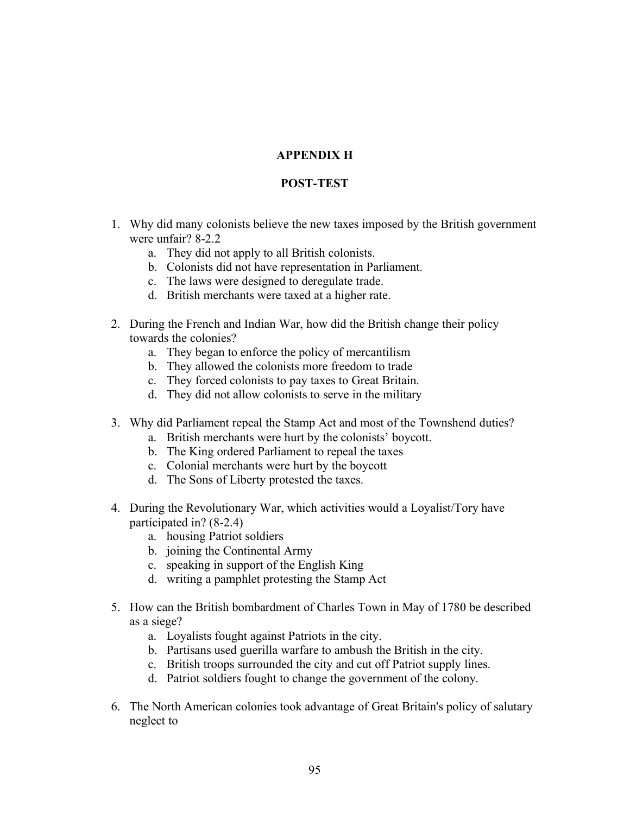# **APPENDIX H**

## **POST-TEST**

- 1. Why did many colonists believe the new taxes imposed by the British government were unfair? 8-2.2
	- a. They did not apply to all British colonists.
	- b. Colonists did not have representation in Parliament.
	- c. The laws were designed to deregulate trade.
	- d. British merchants were taxed at a higher rate.
- 2. During the French and Indian War, how did the British change their policy towards the colonies?
	- a. They began to enforce the policy of mercantilism
	- b. They allowed the colonists more freedom to trade
	- c. They forced colonists to pay taxes to Great Britain.
	- d. They did not allow colonists to serve in the military
- 3. Why did Parliament repeal the Stamp Act and most of the Townshend duties?
	- a. British merchants were hurt by the colonists' boycott.
	- b. The King ordered Parliament to repeal the taxes
	- c. Colonial merchants were hurt by the boycott
	- d. The Sons of Liberty protested the taxes.
- 4. During the Revolutionary War, which activities would a Loyalist/Tory have participated in? (8-2.4)
	- a. housing Patriot soldiers
	- b. joining the Continental Army
	- c. speaking in support of the English King
	- d. writing a pamphlet protesting the Stamp Act
- 5. How can the British bombardment of Charles Town in May of 1780 be described as a siege?
	- a. Loyalists fought against Patriots in the city.
	- b. Partisans used guerilla warfare to ambush the British in the city.
	- c. British troops surrounded the city and cut off Patriot supply lines.
	- d. Patriot soldiers fought to change the government of the colony.
- 6. The North American colonies took advantage of Great Britain's policy of salutary neglect to